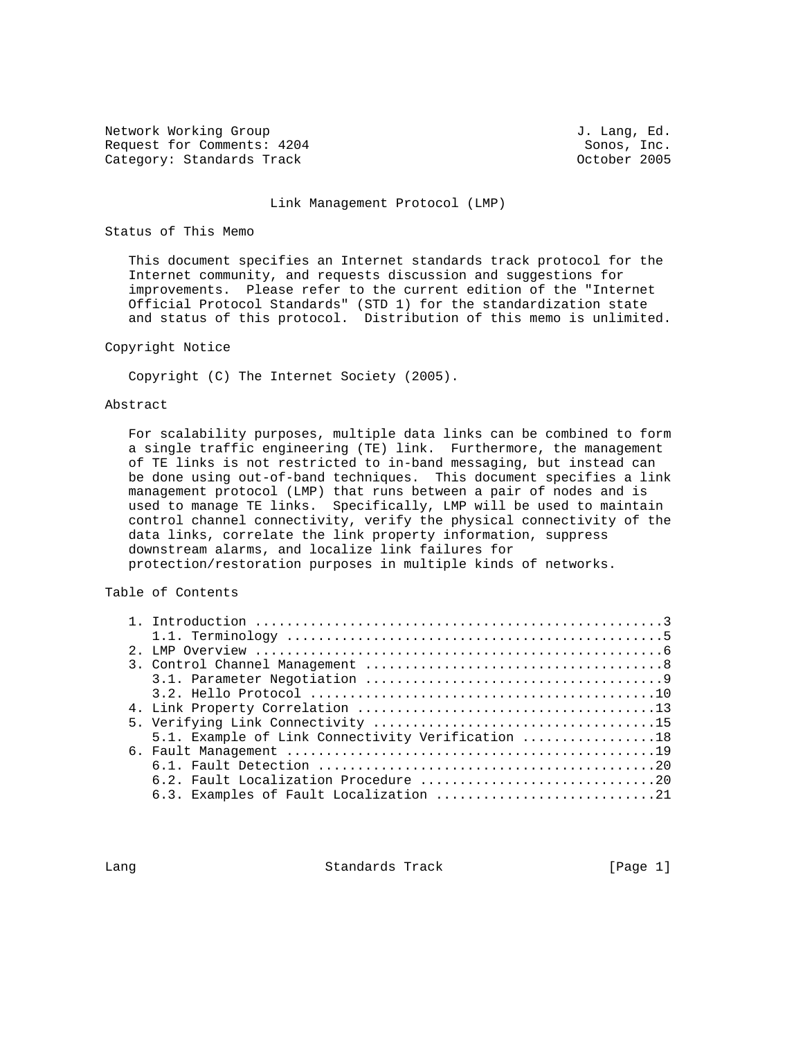Network Working Group 3. The U.S. of the U.S. of the U.S. of the U.S. of the U.S. of the U.S. of the U.S. of the U.S. of the U.S. of the U.S. of the U.S. of the U.S. of the U.S. of the U.S. of the U.S. of the U.S. of the U Request for Comments:  $4204$  Sonos, Inc. Category: Standards Track Category: Standards Track Category: October 2005

#### Link Management Protocol (LMP)

## Status of This Memo

 This document specifies an Internet standards track protocol for the Internet community, and requests discussion and suggestions for improvements. Please refer to the current edition of the "Internet Official Protocol Standards" (STD 1) for the standardization state and status of this protocol. Distribution of this memo is unlimited.

## Copyright Notice

Copyright (C) The Internet Society (2005).

## Abstract

 For scalability purposes, multiple data links can be combined to form a single traffic engineering (TE) link. Furthermore, the management of TE links is not restricted to in-band messaging, but instead can be done using out-of-band techniques. This document specifies a link management protocol (LMP) that runs between a pair of nodes and is used to manage TE links. Specifically, LMP will be used to maintain control channel connectivity, verify the physical connectivity of the data links, correlate the link property information, suppress downstream alarms, and localize link failures for protection/restoration purposes in multiple kinds of networks.

## Table of Contents

|  | 5.1. Example of Link Connectivity Verification 18 |
|--|---------------------------------------------------|
|  |                                                   |
|  |                                                   |
|  |                                                   |
|  | 6.3. Examples of Fault Localization 21            |

Lang **Standards Track** [Page 1]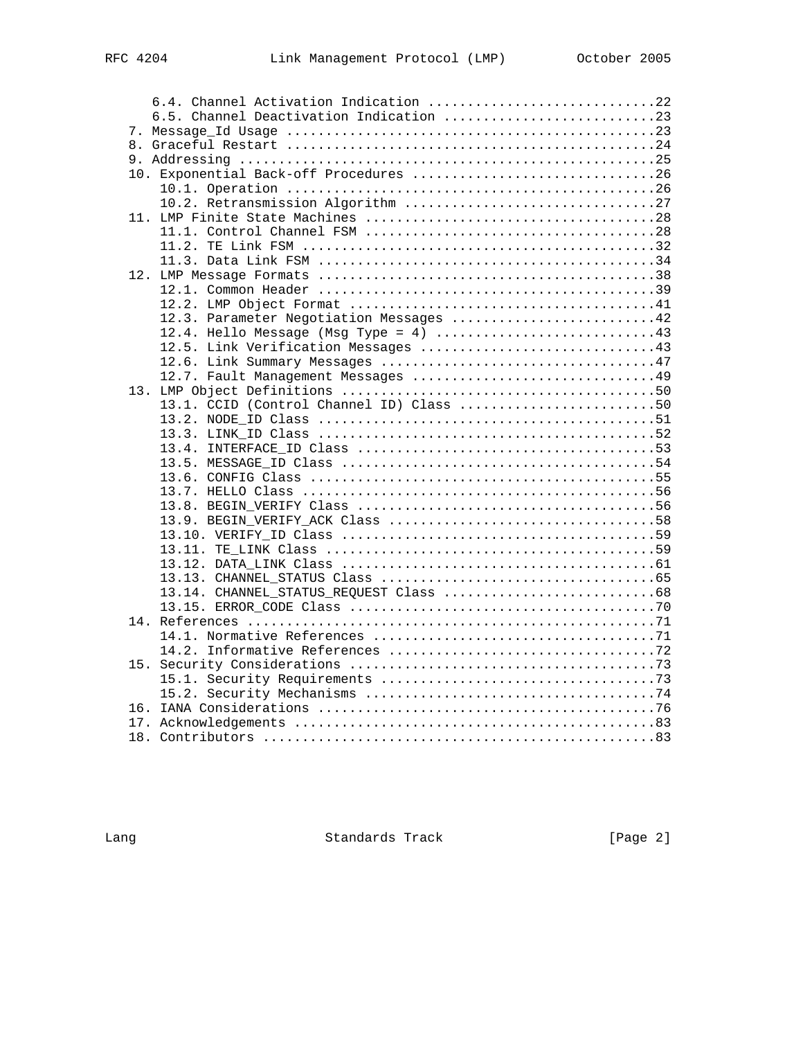| 6.4. Channel Activation Indication 22    |  |
|------------------------------------------|--|
|                                          |  |
|                                          |  |
|                                          |  |
|                                          |  |
| 10. Exponential Back-off Procedures 26   |  |
|                                          |  |
|                                          |  |
|                                          |  |
|                                          |  |
|                                          |  |
|                                          |  |
|                                          |  |
|                                          |  |
|                                          |  |
| 12.3. Parameter Negotiation Messages 42  |  |
|                                          |  |
|                                          |  |
|                                          |  |
|                                          |  |
|                                          |  |
| 13.1. CCID (Control Channel ID) Class 50 |  |
|                                          |  |
|                                          |  |
|                                          |  |
|                                          |  |
|                                          |  |
|                                          |  |
|                                          |  |
|                                          |  |
|                                          |  |
|                                          |  |
|                                          |  |
|                                          |  |
| 13.14. CHANNEL STATUS REQUEST Class 68   |  |
|                                          |  |
|                                          |  |
|                                          |  |
|                                          |  |
|                                          |  |
|                                          |  |
|                                          |  |
|                                          |  |
|                                          |  |

Lang **Example 2** Standards Track **Example 2** [Page 2]

18. Contributors ..................................................83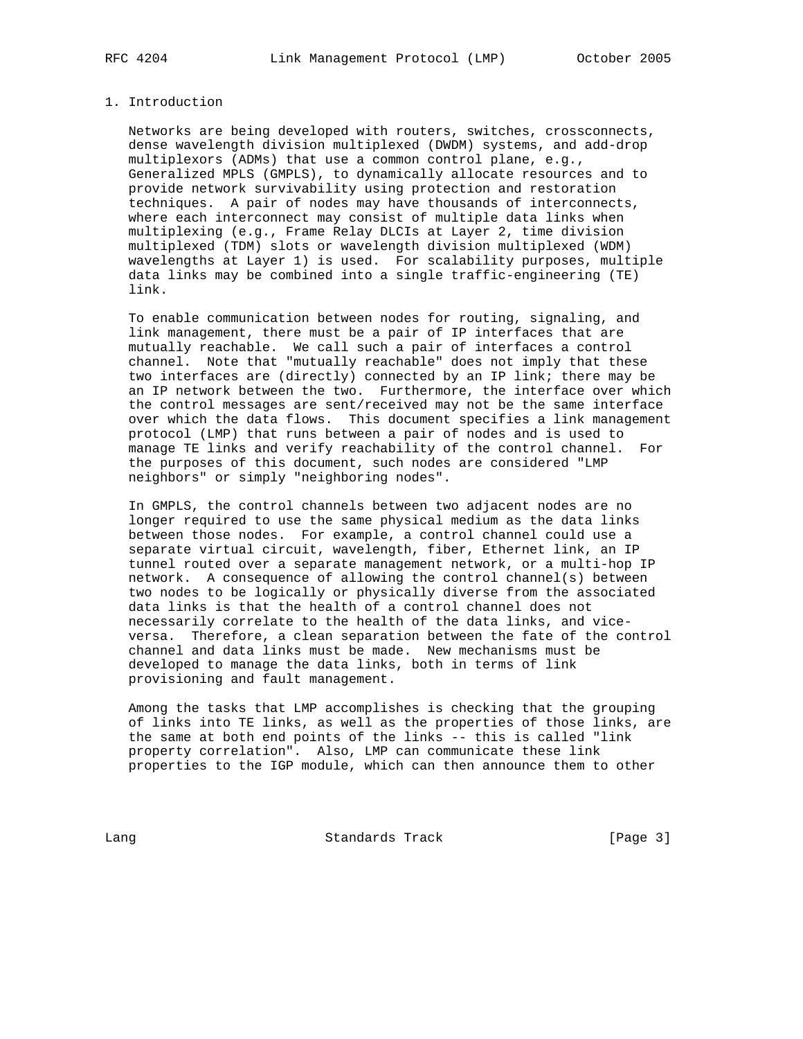### 1. Introduction

 Networks are being developed with routers, switches, crossconnects, dense wavelength division multiplexed (DWDM) systems, and add-drop multiplexors (ADMs) that use a common control plane, e.g., Generalized MPLS (GMPLS), to dynamically allocate resources and to provide network survivability using protection and restoration techniques. A pair of nodes may have thousands of interconnects, where each interconnect may consist of multiple data links when multiplexing (e.g., Frame Relay DLCIs at Layer 2, time division multiplexed (TDM) slots or wavelength division multiplexed (WDM) wavelengths at Layer 1) is used. For scalability purposes, multiple data links may be combined into a single traffic-engineering (TE) link.

 To enable communication between nodes for routing, signaling, and link management, there must be a pair of IP interfaces that are mutually reachable. We call such a pair of interfaces a control channel. Note that "mutually reachable" does not imply that these two interfaces are (directly) connected by an IP link; there may be an IP network between the two. Furthermore, the interface over which the control messages are sent/received may not be the same interface over which the data flows. This document specifies a link management protocol (LMP) that runs between a pair of nodes and is used to manage TE links and verify reachability of the control channel. For the purposes of this document, such nodes are considered "LMP neighbors" or simply "neighboring nodes".

 In GMPLS, the control channels between two adjacent nodes are no longer required to use the same physical medium as the data links between those nodes. For example, a control channel could use a separate virtual circuit, wavelength, fiber, Ethernet link, an IP tunnel routed over a separate management network, or a multi-hop IP network. A consequence of allowing the control channel(s) between two nodes to be logically or physically diverse from the associated data links is that the health of a control channel does not necessarily correlate to the health of the data links, and vice versa. Therefore, a clean separation between the fate of the control channel and data links must be made. New mechanisms must be developed to manage the data links, both in terms of link provisioning and fault management.

 Among the tasks that LMP accomplishes is checking that the grouping of links into TE links, as well as the properties of those links, are the same at both end points of the links -- this is called "link property correlation". Also, LMP can communicate these link properties to the IGP module, which can then announce them to other

Lang Chamber Standards Track [Page 3]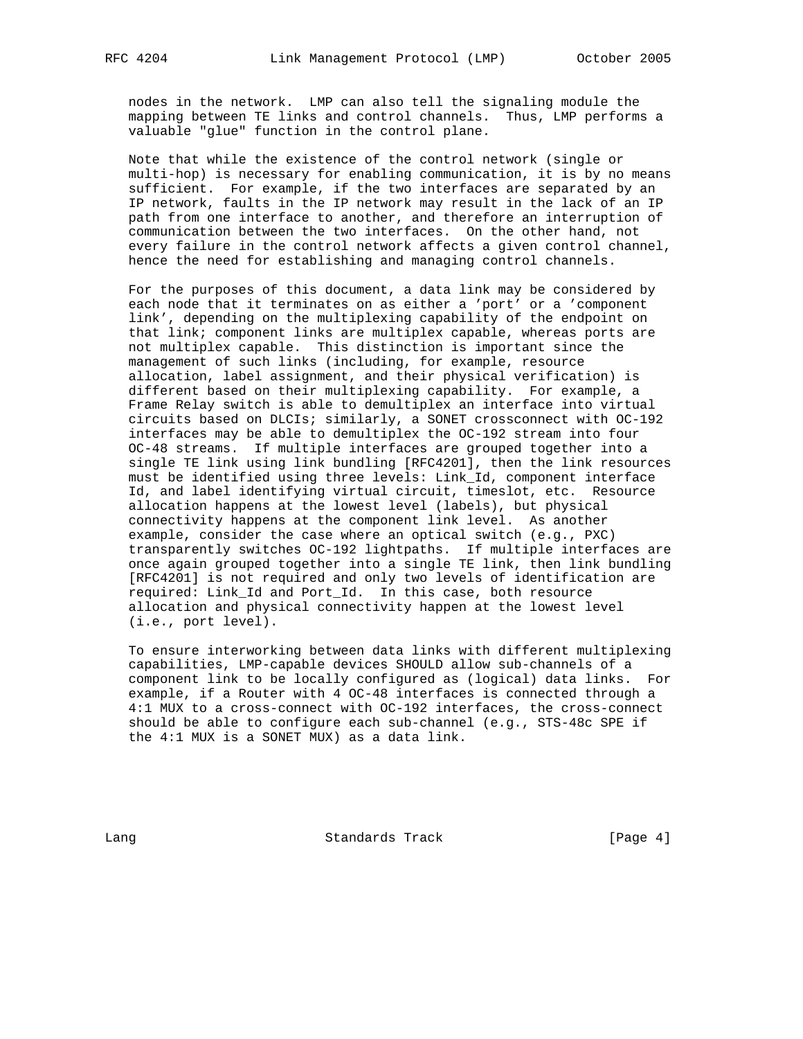nodes in the network. LMP can also tell the signaling module the mapping between TE links and control channels. Thus, LMP performs a valuable "glue" function in the control plane.

 Note that while the existence of the control network (single or multi-hop) is necessary for enabling communication, it is by no means sufficient. For example, if the two interfaces are separated by an IP network, faults in the IP network may result in the lack of an IP path from one interface to another, and therefore an interruption of communication between the two interfaces. On the other hand, not every failure in the control network affects a given control channel, hence the need for establishing and managing control channels.

 For the purposes of this document, a data link may be considered by each node that it terminates on as either a 'port' or a 'component link', depending on the multiplexing capability of the endpoint on that link; component links are multiplex capable, whereas ports are not multiplex capable. This distinction is important since the management of such links (including, for example, resource allocation, label assignment, and their physical verification) is different based on their multiplexing capability. For example, a Frame Relay switch is able to demultiplex an interface into virtual circuits based on DLCIs; similarly, a SONET crossconnect with OC-192 interfaces may be able to demultiplex the OC-192 stream into four OC-48 streams. If multiple interfaces are grouped together into a single TE link using link bundling [RFC4201], then the link resources must be identified using three levels: Link\_Id, component interface Id, and label identifying virtual circuit, timeslot, etc. Resource allocation happens at the lowest level (labels), but physical connectivity happens at the component link level. As another example, consider the case where an optical switch (e.g., PXC) transparently switches OC-192 lightpaths. If multiple interfaces are once again grouped together into a single TE link, then link bundling [RFC4201] is not required and only two levels of identification are required: Link\_Id and Port\_Id. In this case, both resource allocation and physical connectivity happen at the lowest level (i.e., port level).

 To ensure interworking between data links with different multiplexing capabilities, LMP-capable devices SHOULD allow sub-channels of a component link to be locally configured as (logical) data links. For example, if a Router with 4 OC-48 interfaces is connected through a 4:1 MUX to a cross-connect with OC-192 interfaces, the cross-connect should be able to configure each sub-channel (e.g., STS-48c SPE if the 4:1 MUX is a SONET MUX) as a data link.

Lang Contract Standards Track Change (Page 4)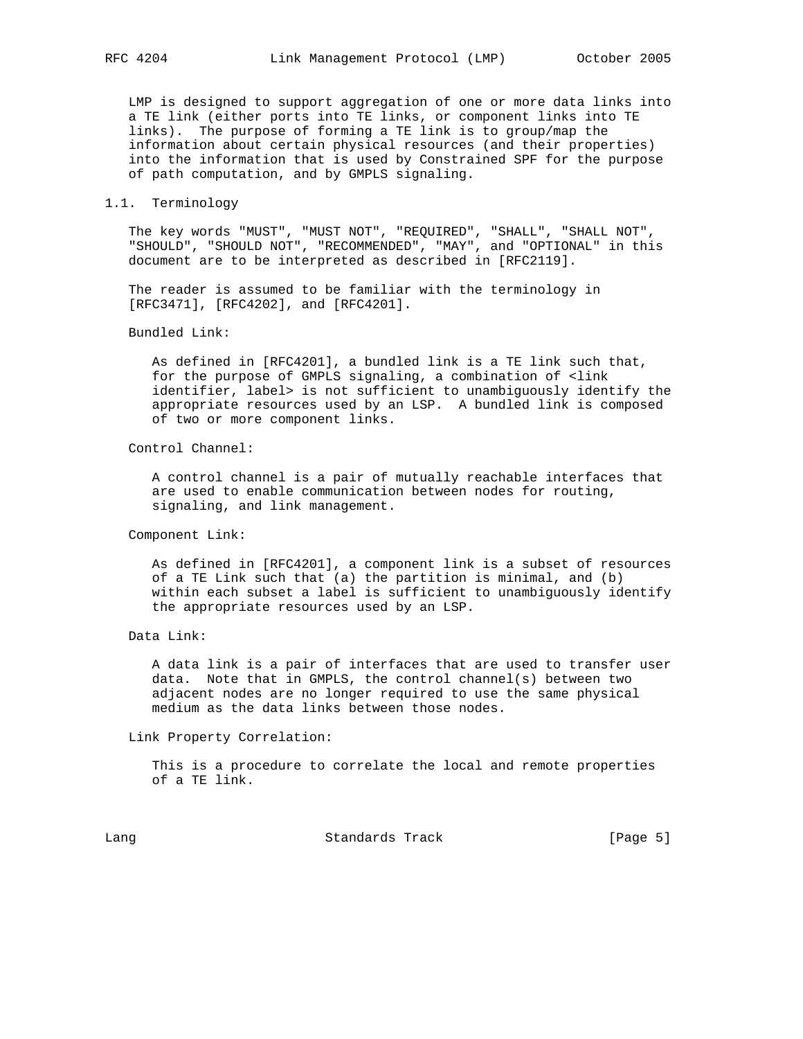LMP is designed to support aggregation of one or more data links into a TE link (either ports into TE links, or component links into TE links). The purpose of forming a TE link is to group/map the information about certain physical resources (and their properties) into the information that is used by Constrained SPF for the purpose of path computation, and by GMPLS signaling.

# 1.1. Terminology

 The key words "MUST", "MUST NOT", "REQUIRED", "SHALL", "SHALL NOT", "SHOULD", "SHOULD NOT", "RECOMMENDED", "MAY", and "OPTIONAL" in this document are to be interpreted as described in [RFC2119].

 The reader is assumed to be familiar with the terminology in [RFC3471], [RFC4202], and [RFC4201].

### Bundled Link:

 As defined in [RFC4201], a bundled link is a TE link such that, for the purpose of GMPLS signaling, a combination of <link identifier, label> is not sufficient to unambiguously identify the appropriate resources used by an LSP. A bundled link is composed of two or more component links.

## Control Channel:

 A control channel is a pair of mutually reachable interfaces that are used to enable communication between nodes for routing, signaling, and link management.

## Component Link:

 As defined in [RFC4201], a component link is a subset of resources of a TE Link such that (a) the partition is minimal, and (b) within each subset a label is sufficient to unambiguously identify the appropriate resources used by an LSP.

 A data link is a pair of interfaces that are used to transfer user data. Note that in GMPLS, the control channel(s) between two adjacent nodes are no longer required to use the same physical medium as the data links between those nodes.

Link Property Correlation:

 This is a procedure to correlate the local and remote properties of a TE link.

Lang Chamber Standards Track (Page 5)

Data Link: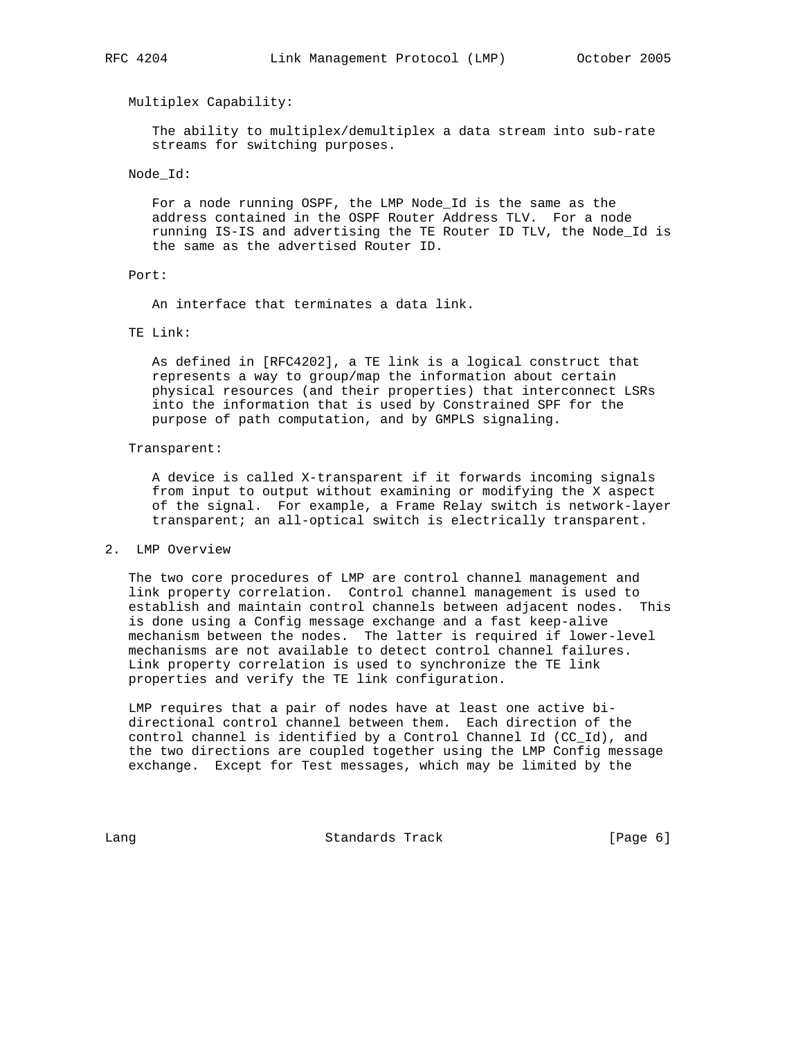#### Multiplex Capability:

 The ability to multiplex/demultiplex a data stream into sub-rate streams for switching purposes.

### Node\_Id:

 For a node running OSPF, the LMP Node\_Id is the same as the address contained in the OSPF Router Address TLV. For a node running IS-IS and advertising the TE Router ID TLV, the Node\_Id is the same as the advertised Router ID.

#### Port:

An interface that terminates a data link.

## TE Link:

 As defined in [RFC4202], a TE link is a logical construct that represents a way to group/map the information about certain physical resources (and their properties) that interconnect LSRs into the information that is used by Constrained SPF for the purpose of path computation, and by GMPLS signaling.

#### Transparent:

 A device is called X-transparent if it forwards incoming signals from input to output without examining or modifying the X aspect of the signal. For example, a Frame Relay switch is network-layer transparent; an all-optical switch is electrically transparent.

## 2. LMP Overview

 The two core procedures of LMP are control channel management and link property correlation. Control channel management is used to establish and maintain control channels between adjacent nodes. This is done using a Config message exchange and a fast keep-alive mechanism between the nodes. The latter is required if lower-level mechanisms are not available to detect control channel failures. Link property correlation is used to synchronize the TE link properties and verify the TE link configuration.

 LMP requires that a pair of nodes have at least one active bi directional control channel between them. Each direction of the control channel is identified by a Control Channel Id (CC\_Id), and the two directions are coupled together using the LMP Config message exchange. Except for Test messages, which may be limited by the

Lang Communication Standards Track Communication (Page 6)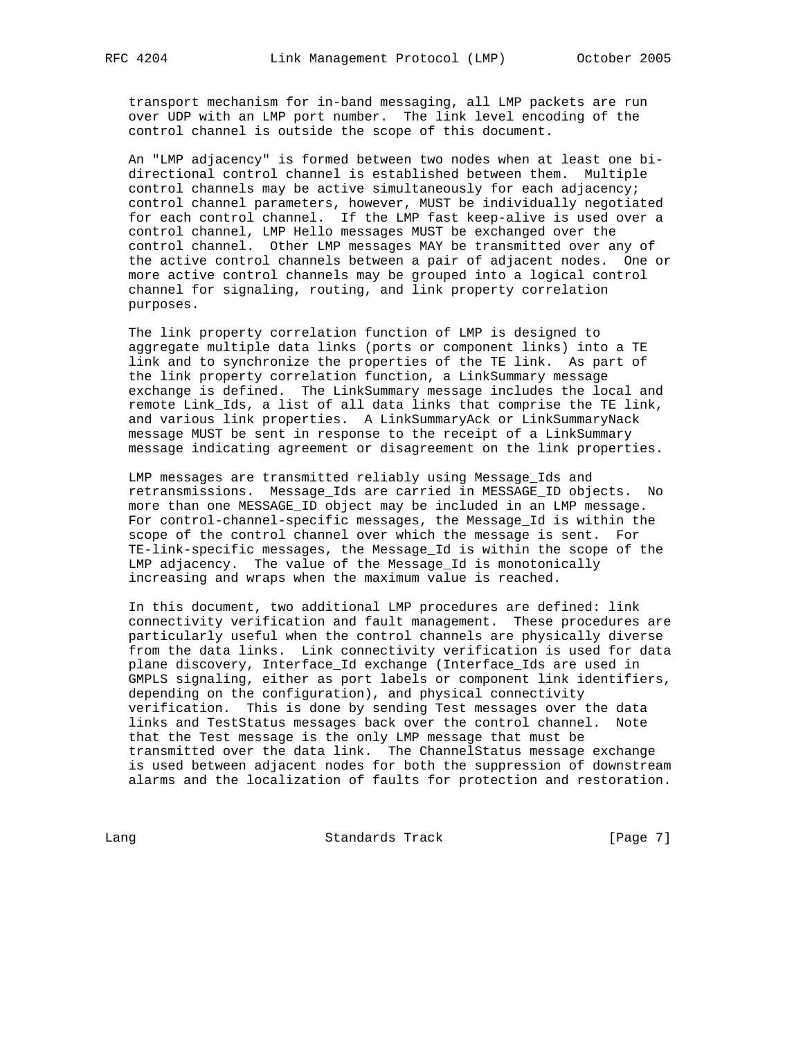transport mechanism for in-band messaging, all LMP packets are run over UDP with an LMP port number. The link level encoding of the control channel is outside the scope of this document.

 An "LMP adjacency" is formed between two nodes when at least one bi directional control channel is established between them. Multiple control channels may be active simultaneously for each adjacency; control channel parameters, however, MUST be individually negotiated for each control channel. If the LMP fast keep-alive is used over a control channel, LMP Hello messages MUST be exchanged over the control channel. Other LMP messages MAY be transmitted over any of the active control channels between a pair of adjacent nodes. One or more active control channels may be grouped into a logical control channel for signaling, routing, and link property correlation purposes.

 The link property correlation function of LMP is designed to aggregate multiple data links (ports or component links) into a TE link and to synchronize the properties of the TE link. As part of the link property correlation function, a LinkSummary message exchange is defined. The LinkSummary message includes the local and remote Link\_Ids, a list of all data links that comprise the TE link, and various link properties. A LinkSummaryAck or LinkSummaryNack message MUST be sent in response to the receipt of a LinkSummary message indicating agreement or disagreement on the link properties.

 LMP messages are transmitted reliably using Message\_Ids and retransmissions. Message\_Ids are carried in MESSAGE\_ID objects. No more than one MESSAGE\_ID object may be included in an LMP message. For control-channel-specific messages, the Message\_Id is within the scope of the control channel over which the message is sent. For TE-link-specific messages, the Message\_Id is within the scope of the LMP adjacency. The value of the Message\_Id is monotonically increasing and wraps when the maximum value is reached.

 In this document, two additional LMP procedures are defined: link connectivity verification and fault management. These procedures are particularly useful when the control channels are physically diverse from the data links. Link connectivity verification is used for data plane discovery, Interface\_Id exchange (Interface\_Ids are used in GMPLS signaling, either as port labels or component link identifiers, depending on the configuration), and physical connectivity verification. This is done by sending Test messages over the data links and TestStatus messages back over the control channel. Note that the Test message is the only LMP message that must be transmitted over the data link. The ChannelStatus message exchange is used between adjacent nodes for both the suppression of downstream alarms and the localization of faults for protection and restoration.

Lang Contract Standards Track Contract (Page 7)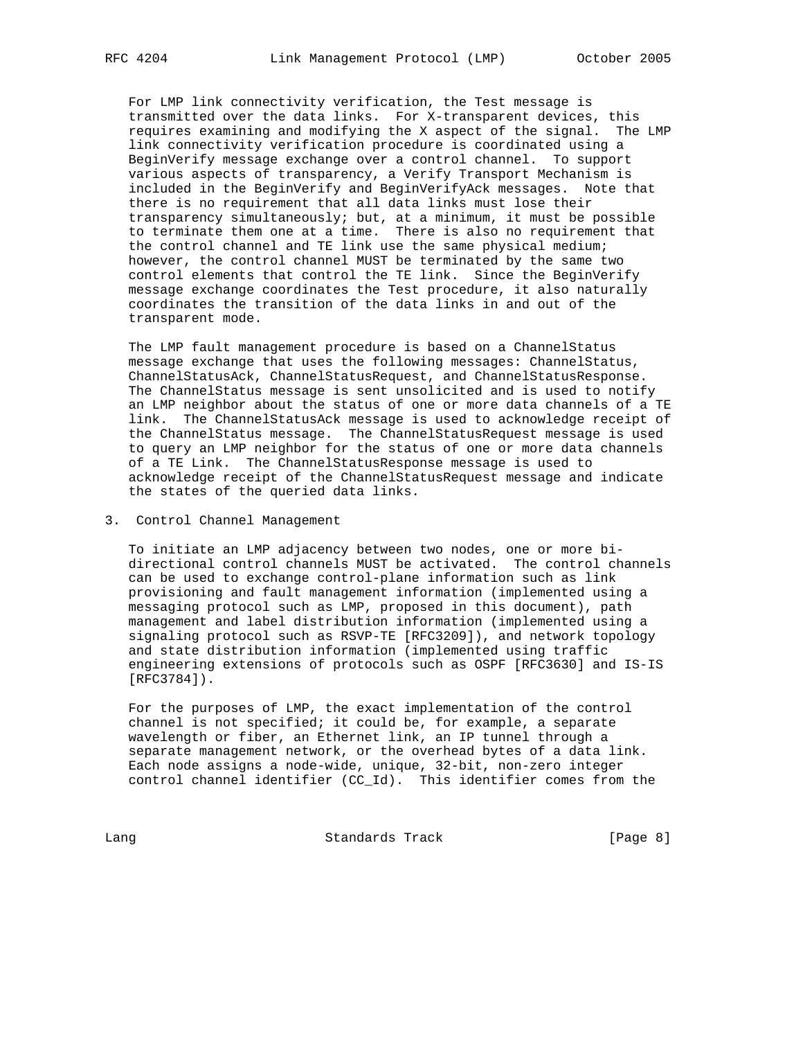For LMP link connectivity verification, the Test message is transmitted over the data links. For X-transparent devices, this requires examining and modifying the X aspect of the signal. The LMP link connectivity verification procedure is coordinated using a BeginVerify message exchange over a control channel. To support various aspects of transparency, a Verify Transport Mechanism is included in the BeginVerify and BeginVerifyAck messages. Note that there is no requirement that all data links must lose their transparency simultaneously; but, at a minimum, it must be possible to terminate them one at a time. There is also no requirement that the control channel and TE link use the same physical medium; however, the control channel MUST be terminated by the same two control elements that control the TE link. Since the BeginVerify message exchange coordinates the Test procedure, it also naturally coordinates the transition of the data links in and out of the transparent mode.

The LMP fault management procedure is based on a ChannelStatus message exchange that uses the following messages: ChannelStatus, ChannelStatusAck, ChannelStatusRequest, and ChannelStatusResponse. The ChannelStatus message is sent unsolicited and is used to notify an LMP neighbor about the status of one or more data channels of a TE link. The ChannelStatusAck message is used to acknowledge receipt of the ChannelStatus message. The ChannelStatusRequest message is used to query an LMP neighbor for the status of one or more data channels of a TE Link. The ChannelStatusResponse message is used to acknowledge receipt of the ChannelStatusRequest message and indicate the states of the queried data links.

3. Control Channel Management

 To initiate an LMP adjacency between two nodes, one or more bi directional control channels MUST be activated. The control channels can be used to exchange control-plane information such as link provisioning and fault management information (implemented using a messaging protocol such as LMP, proposed in this document), path management and label distribution information (implemented using a signaling protocol such as RSVP-TE [RFC3209]), and network topology and state distribution information (implemented using traffic engineering extensions of protocols such as OSPF [RFC3630] and IS-IS [RFC3784]).

 For the purposes of LMP, the exact implementation of the control channel is not specified; it could be, for example, a separate wavelength or fiber, an Ethernet link, an IP tunnel through a separate management network, or the overhead bytes of a data link. Each node assigns a node-wide, unique, 32-bit, non-zero integer control channel identifier (CC\_Id). This identifier comes from the

Lang Contract Standards Track Change 1, 2014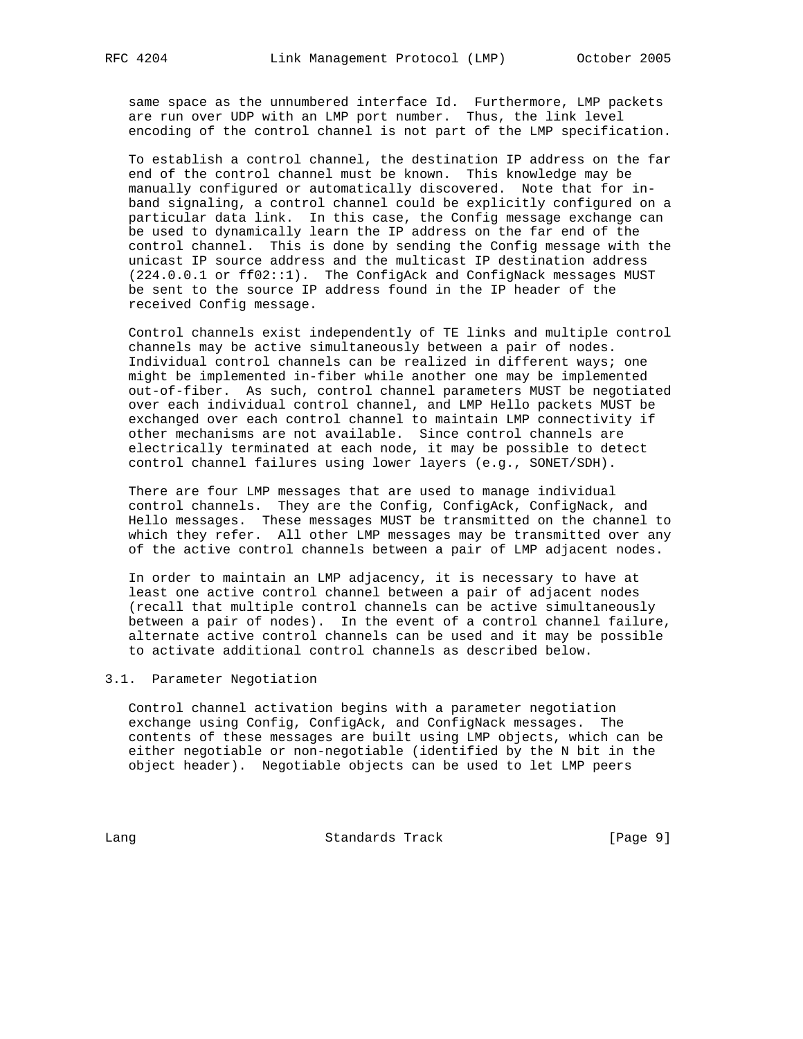same space as the unnumbered interface Id. Furthermore, LMP packets are run over UDP with an LMP port number. Thus, the link level encoding of the control channel is not part of the LMP specification.

 To establish a control channel, the destination IP address on the far end of the control channel must be known. This knowledge may be manually configured or automatically discovered. Note that for in band signaling, a control channel could be explicitly configured on a particular data link. In this case, the Config message exchange can be used to dynamically learn the IP address on the far end of the control channel. This is done by sending the Config message with the unicast IP source address and the multicast IP destination address (224.0.0.1 or ff02::1). The ConfigAck and ConfigNack messages MUST be sent to the source IP address found in the IP header of the received Config message.

 Control channels exist independently of TE links and multiple control channels may be active simultaneously between a pair of nodes. Individual control channels can be realized in different ways; one might be implemented in-fiber while another one may be implemented out-of-fiber. As such, control channel parameters MUST be negotiated over each individual control channel, and LMP Hello packets MUST be exchanged over each control channel to maintain LMP connectivity if other mechanisms are not available. Since control channels are electrically terminated at each node, it may be possible to detect control channel failures using lower layers (e.g., SONET/SDH).

 There are four LMP messages that are used to manage individual control channels. They are the Config, ConfigAck, ConfigNack, and Hello messages. These messages MUST be transmitted on the channel to which they refer. All other LMP messages may be transmitted over any of the active control channels between a pair of LMP adjacent nodes.

 In order to maintain an LMP adjacency, it is necessary to have at least one active control channel between a pair of adjacent nodes (recall that multiple control channels can be active simultaneously between a pair of nodes). In the event of a control channel failure, alternate active control channels can be used and it may be possible to activate additional control channels as described below.

## 3.1. Parameter Negotiation

 Control channel activation begins with a parameter negotiation exchange using Config, ConfigAck, and ConfigNack messages. The contents of these messages are built using LMP objects, which can be either negotiable or non-negotiable (identified by the N bit in the object header). Negotiable objects can be used to let LMP peers

Lang Contract Standards Track Change (Page 9)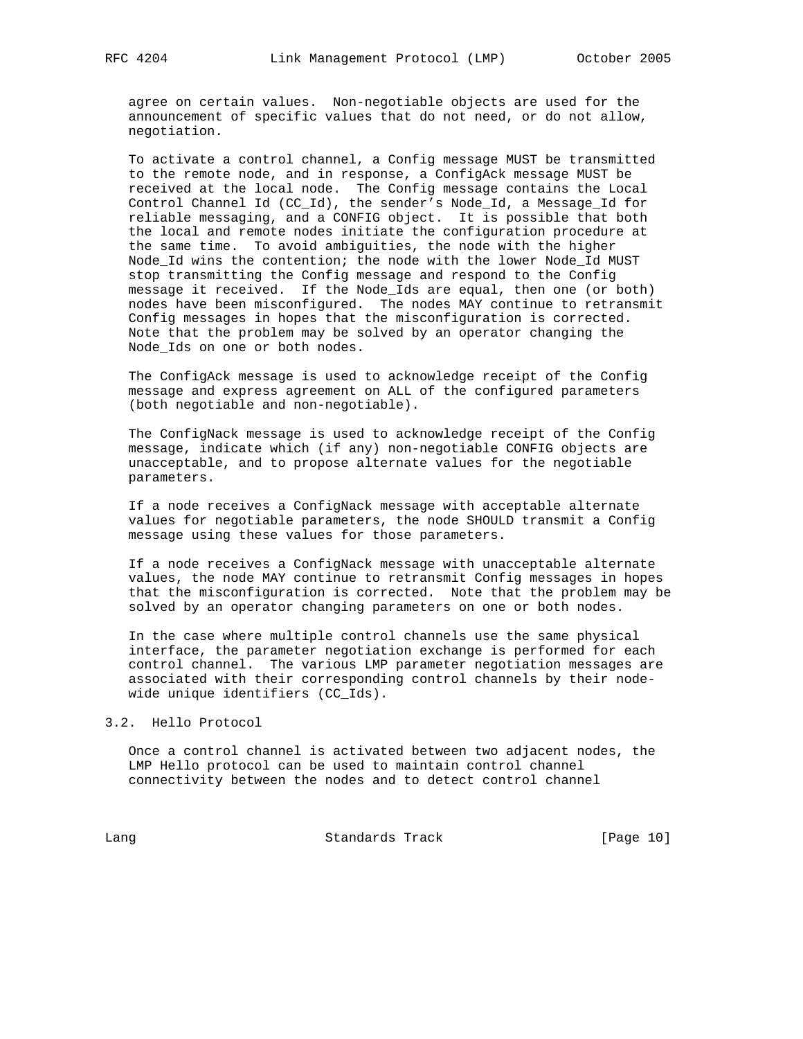agree on certain values. Non-negotiable objects are used for the announcement of specific values that do not need, or do not allow, negotiation.

 To activate a control channel, a Config message MUST be transmitted to the remote node, and in response, a ConfigAck message MUST be received at the local node. The Config message contains the Local Control Channel Id (CC\_Id), the sender's Node\_Id, a Message\_Id for reliable messaging, and a CONFIG object. It is possible that both the local and remote nodes initiate the configuration procedure at the same time. To avoid ambiguities, the node with the higher Node\_Id wins the contention; the node with the lower Node\_Id MUST stop transmitting the Config message and respond to the Config message it received. If the Node\_Ids are equal, then one (or both) nodes have been misconfigured. The nodes MAY continue to retransmit Config messages in hopes that the misconfiguration is corrected. Note that the problem may be solved by an operator changing the Node\_Ids on one or both nodes.

 The ConfigAck message is used to acknowledge receipt of the Config message and express agreement on ALL of the configured parameters (both negotiable and non-negotiable).

 The ConfigNack message is used to acknowledge receipt of the Config message, indicate which (if any) non-negotiable CONFIG objects are unacceptable, and to propose alternate values for the negotiable parameters.

 If a node receives a ConfigNack message with acceptable alternate values for negotiable parameters, the node SHOULD transmit a Config message using these values for those parameters.

 If a node receives a ConfigNack message with unacceptable alternate values, the node MAY continue to retransmit Config messages in hopes that the misconfiguration is corrected. Note that the problem may be solved by an operator changing parameters on one or both nodes.

 In the case where multiple control channels use the same physical interface, the parameter negotiation exchange is performed for each control channel. The various LMP parameter negotiation messages are associated with their corresponding control channels by their node wide unique identifiers (CC\_Ids).

3.2. Hello Protocol

 Once a control channel is activated between two adjacent nodes, the LMP Hello protocol can be used to maintain control channel connectivity between the nodes and to detect control channel

Lang Contract Standards Track [Page 10]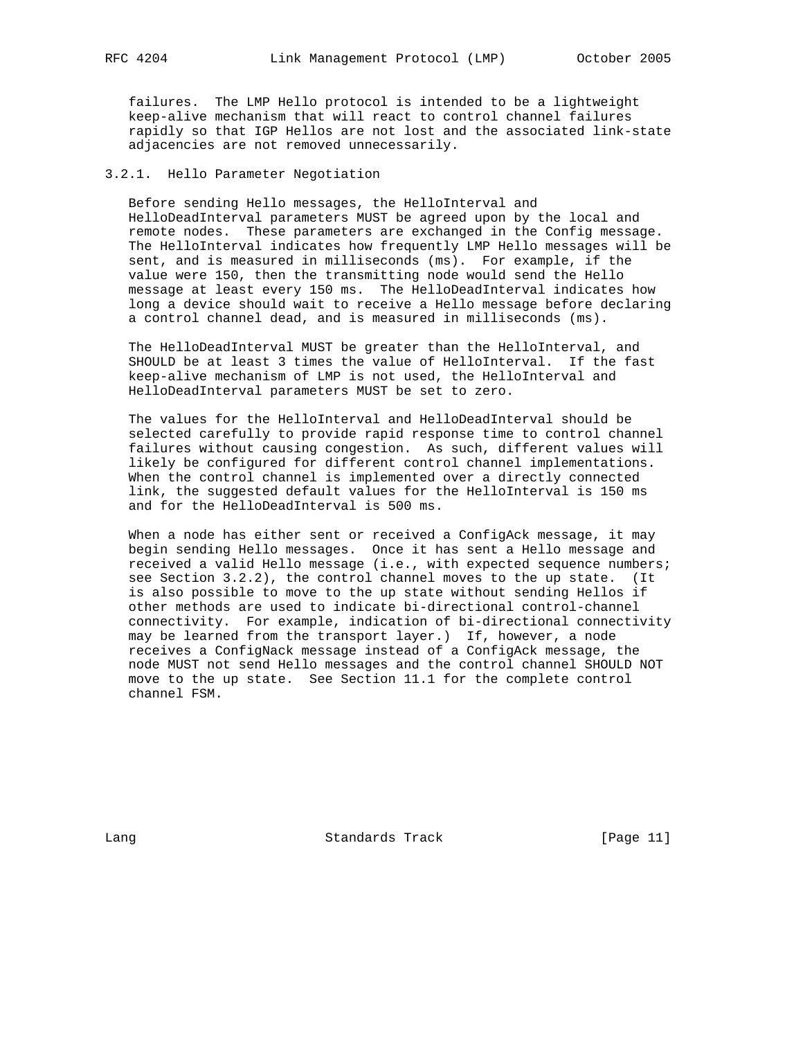failures. The LMP Hello protocol is intended to be a lightweight keep-alive mechanism that will react to control channel failures rapidly so that IGP Hellos are not lost and the associated link-state adjacencies are not removed unnecessarily.

## 3.2.1. Hello Parameter Negotiation

 Before sending Hello messages, the HelloInterval and HelloDeadInterval parameters MUST be agreed upon by the local and remote nodes. These parameters are exchanged in the Config message. The HelloInterval indicates how frequently LMP Hello messages will be sent, and is measured in milliseconds (ms). For example, if the value were 150, then the transmitting node would send the Hello message at least every 150 ms. The HelloDeadInterval indicates how long a device should wait to receive a Hello message before declaring a control channel dead, and is measured in milliseconds (ms).

 The HelloDeadInterval MUST be greater than the HelloInterval, and SHOULD be at least 3 times the value of HelloInterval. If the fast keep-alive mechanism of LMP is not used, the HelloInterval and HelloDeadInterval parameters MUST be set to zero.

 The values for the HelloInterval and HelloDeadInterval should be selected carefully to provide rapid response time to control channel failures without causing congestion. As such, different values will likely be configured for different control channel implementations. When the control channel is implemented over a directly connected link, the suggested default values for the HelloInterval is 150 ms and for the HelloDeadInterval is 500 ms.

 When a node has either sent or received a ConfigAck message, it may begin sending Hello messages. Once it has sent a Hello message and received a valid Hello message (i.e., with expected sequence numbers; see Section 3.2.2), the control channel moves to the up state. (It is also possible to move to the up state without sending Hellos if other methods are used to indicate bi-directional control-channel connectivity. For example, indication of bi-directional connectivity may be learned from the transport layer.) If, however, a node receives a ConfigNack message instead of a ConfigAck message, the node MUST not send Hello messages and the control channel SHOULD NOT move to the up state. See Section 11.1 for the complete control channel FSM.

Lang Contract Standards Track [Page 11]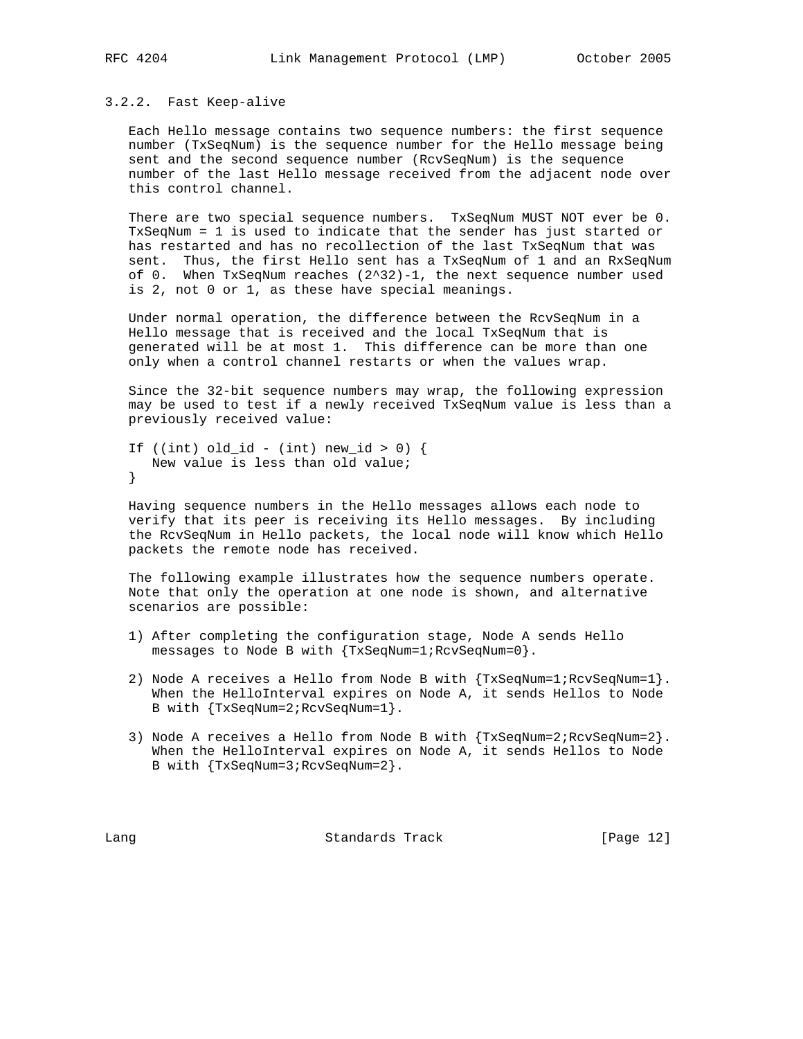#### 3.2.2. Fast Keep-alive

 Each Hello message contains two sequence numbers: the first sequence number (TxSeqNum) is the sequence number for the Hello message being sent and the second sequence number (RcvSeqNum) is the sequence number of the last Hello message received from the adjacent node over this control channel.

 There are two special sequence numbers. TxSeqNum MUST NOT ever be 0. TxSeqNum = 1 is used to indicate that the sender has just started or has restarted and has no recollection of the last TxSeqNum that was sent. Thus, the first Hello sent has a TxSeqNum of 1 and an RxSeqNum of 0. When TxSeqNum reaches (2^32)-1, the next sequence number used is 2, not 0 or 1, as these have special meanings.

 Under normal operation, the difference between the RcvSeqNum in a Hello message that is received and the local TxSeqNum that is generated will be at most 1. This difference can be more than one only when a control channel restarts or when the values wrap.

 Since the 32-bit sequence numbers may wrap, the following expression may be used to test if a newly received TxSeqNum value is less than a previously received value:

```
If ((int) old_id - (int) new_id > 0) {
  New value is less than old value;
}
```
 Having sequence numbers in the Hello messages allows each node to verify that its peer is receiving its Hello messages. By including the RcvSeqNum in Hello packets, the local node will know which Hello packets the remote node has received.

 The following example illustrates how the sequence numbers operate. Note that only the operation at one node is shown, and alternative scenarios are possible:

- 1) After completing the configuration stage, Node A sends Hello messages to Node B with {TxSeqNum=1;RcvSeqNum=0}.
- 2) Node A receives a Hello from Node B with {TxSeqNum=1;RcvSeqNum=1}. When the HelloInterval expires on Node A, it sends Hellos to Node B with {TxSeqNum=2;RcvSeqNum=1}.
- 3) Node A receives a Hello from Node B with {TxSeqNum=2;RcvSeqNum=2}. When the HelloInterval expires on Node A, it sends Hellos to Node B with {TxSeqNum=3;RcvSeqNum=2}.

Lang Contract Standards Track [Page 12]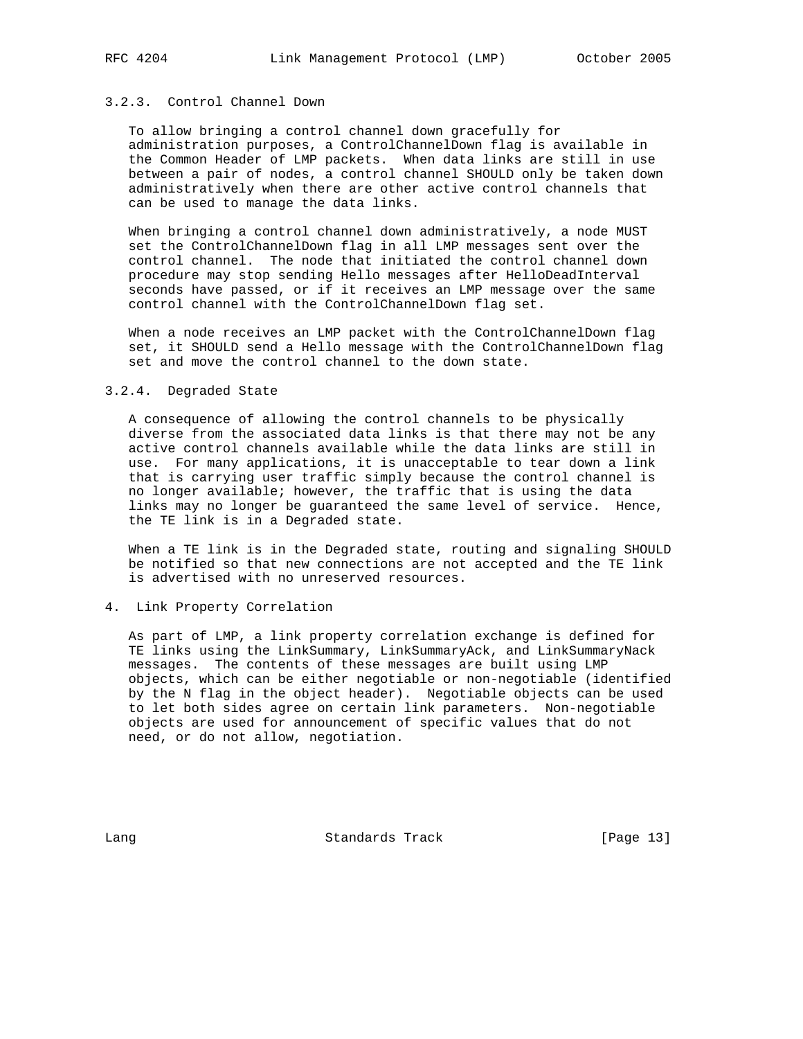## 3.2.3. Control Channel Down

 To allow bringing a control channel down gracefully for administration purposes, a ControlChannelDown flag is available in the Common Header of LMP packets. When data links are still in use between a pair of nodes, a control channel SHOULD only be taken down administratively when there are other active control channels that can be used to manage the data links.

 When bringing a control channel down administratively, a node MUST set the ControlChannelDown flag in all LMP messages sent over the control channel. The node that initiated the control channel down procedure may stop sending Hello messages after HelloDeadInterval seconds have passed, or if it receives an LMP message over the same control channel with the ControlChannelDown flag set.

 When a node receives an LMP packet with the ControlChannelDown flag set, it SHOULD send a Hello message with the ControlChannelDown flag set and move the control channel to the down state.

#### 3.2.4. Degraded State

 A consequence of allowing the control channels to be physically diverse from the associated data links is that there may not be any active control channels available while the data links are still in use. For many applications, it is unacceptable to tear down a link that is carrying user traffic simply because the control channel is no longer available; however, the traffic that is using the data links may no longer be guaranteed the same level of service. Hence, the TE link is in a Degraded state.

 When a TE link is in the Degraded state, routing and signaling SHOULD be notified so that new connections are not accepted and the TE link is advertised with no unreserved resources.

### 4. Link Property Correlation

 As part of LMP, a link property correlation exchange is defined for TE links using the LinkSummary, LinkSummaryAck, and LinkSummaryNack messages. The contents of these messages are built using LMP objects, which can be either negotiable or non-negotiable (identified by the N flag in the object header). Negotiable objects can be used to let both sides agree on certain link parameters. Non-negotiable objects are used for announcement of specific values that do not need, or do not allow, negotiation.

Lang Contract Standards Track [Page 13]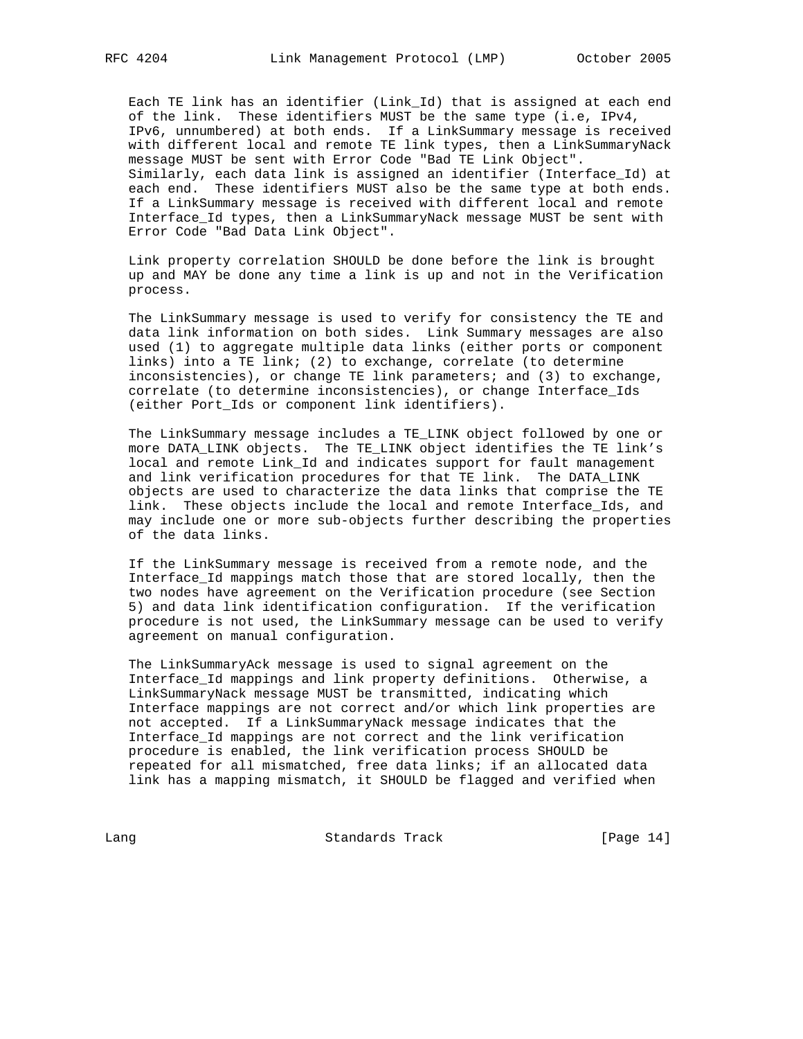Each TE link has an identifier (Link\_Id) that is assigned at each end of the link. These identifiers MUST be the same type (i.e, IPv4, IPv6, unnumbered) at both ends. If a LinkSummary message is received with different local and remote TE link types, then a LinkSummaryNack message MUST be sent with Error Code "Bad TE Link Object". Similarly, each data link is assigned an identifier (Interface\_Id) at each end. These identifiers MUST also be the same type at both ends. If a LinkSummary message is received with different local and remote Interface\_Id types, then a LinkSummaryNack message MUST be sent with Error Code "Bad Data Link Object".

 Link property correlation SHOULD be done before the link is brought up and MAY be done any time a link is up and not in the Verification process.

 The LinkSummary message is used to verify for consistency the TE and data link information on both sides. Link Summary messages are also used (1) to aggregate multiple data links (either ports or component links) into a TE link; (2) to exchange, correlate (to determine inconsistencies), or change TE link parameters; and (3) to exchange, correlate (to determine inconsistencies), or change Interface\_Ids (either Port\_Ids or component link identifiers).

 The LinkSummary message includes a TE\_LINK object followed by one or more DATA\_LINK objects. The TE\_LINK object identifies the TE link's local and remote Link\_Id and indicates support for fault management and link verification procedures for that TE link. The DATA\_LINK objects are used to characterize the data links that comprise the TE link. These objects include the local and remote Interface\_Ids, and may include one or more sub-objects further describing the properties of the data links.

 If the LinkSummary message is received from a remote node, and the Interface\_Id mappings match those that are stored locally, then the two nodes have agreement on the Verification procedure (see Section 5) and data link identification configuration. If the verification procedure is not used, the LinkSummary message can be used to verify agreement on manual configuration.

 The LinkSummaryAck message is used to signal agreement on the Interface\_Id mappings and link property definitions. Otherwise, a LinkSummaryNack message MUST be transmitted, indicating which Interface mappings are not correct and/or which link properties are not accepted. If a LinkSummaryNack message indicates that the Interface\_Id mappings are not correct and the link verification procedure is enabled, the link verification process SHOULD be repeated for all mismatched, free data links; if an allocated data link has a mapping mismatch, it SHOULD be flagged and verified when

Lang Contract Standards Track [Page 14]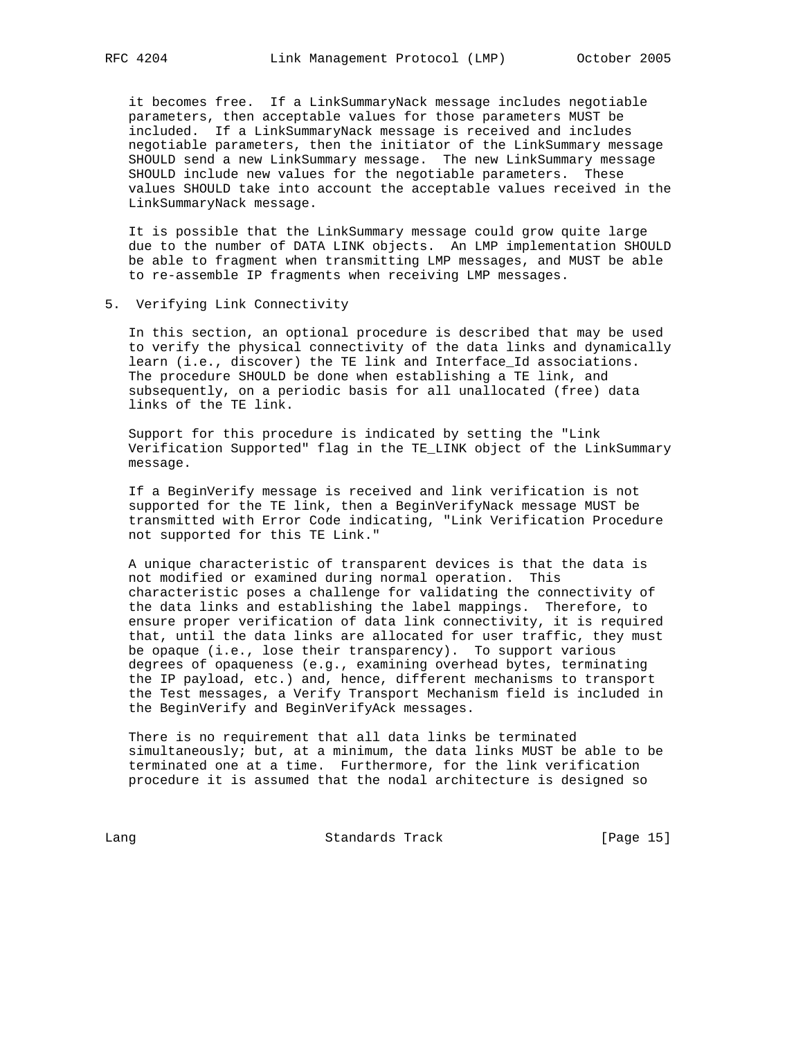it becomes free. If a LinkSummaryNack message includes negotiable parameters, then acceptable values for those parameters MUST be included. If a LinkSummaryNack message is received and includes negotiable parameters, then the initiator of the LinkSummary message SHOULD send a new LinkSummary message. The new LinkSummary message SHOULD include new values for the negotiable parameters. These values SHOULD take into account the acceptable values received in the LinkSummaryNack message.

 It is possible that the LinkSummary message could grow quite large due to the number of DATA LINK objects. An LMP implementation SHOULD be able to fragment when transmitting LMP messages, and MUST be able to re-assemble IP fragments when receiving LMP messages.

5. Verifying Link Connectivity

 In this section, an optional procedure is described that may be used to verify the physical connectivity of the data links and dynamically learn (i.e., discover) the TE link and Interface\_Id associations. The procedure SHOULD be done when establishing a TE link, and subsequently, on a periodic basis for all unallocated (free) data links of the TE link.

 Support for this procedure is indicated by setting the "Link Verification Supported" flag in the TE\_LINK object of the LinkSummary message.

 If a BeginVerify message is received and link verification is not supported for the TE link, then a BeginVerifyNack message MUST be transmitted with Error Code indicating, "Link Verification Procedure not supported for this TE Link."

 A unique characteristic of transparent devices is that the data is not modified or examined during normal operation. This characteristic poses a challenge for validating the connectivity of the data links and establishing the label mappings. Therefore, to ensure proper verification of data link connectivity, it is required that, until the data links are allocated for user traffic, they must be opaque (i.e., lose their transparency). To support various degrees of opaqueness (e.g., examining overhead bytes, terminating the IP payload, etc.) and, hence, different mechanisms to transport the Test messages, a Verify Transport Mechanism field is included in the BeginVerify and BeginVerifyAck messages.

 There is no requirement that all data links be terminated simultaneously; but, at a minimum, the data links MUST be able to be terminated one at a time. Furthermore, for the link verification procedure it is assumed that the nodal architecture is designed so

Lang Contract Standards Track [Page 15]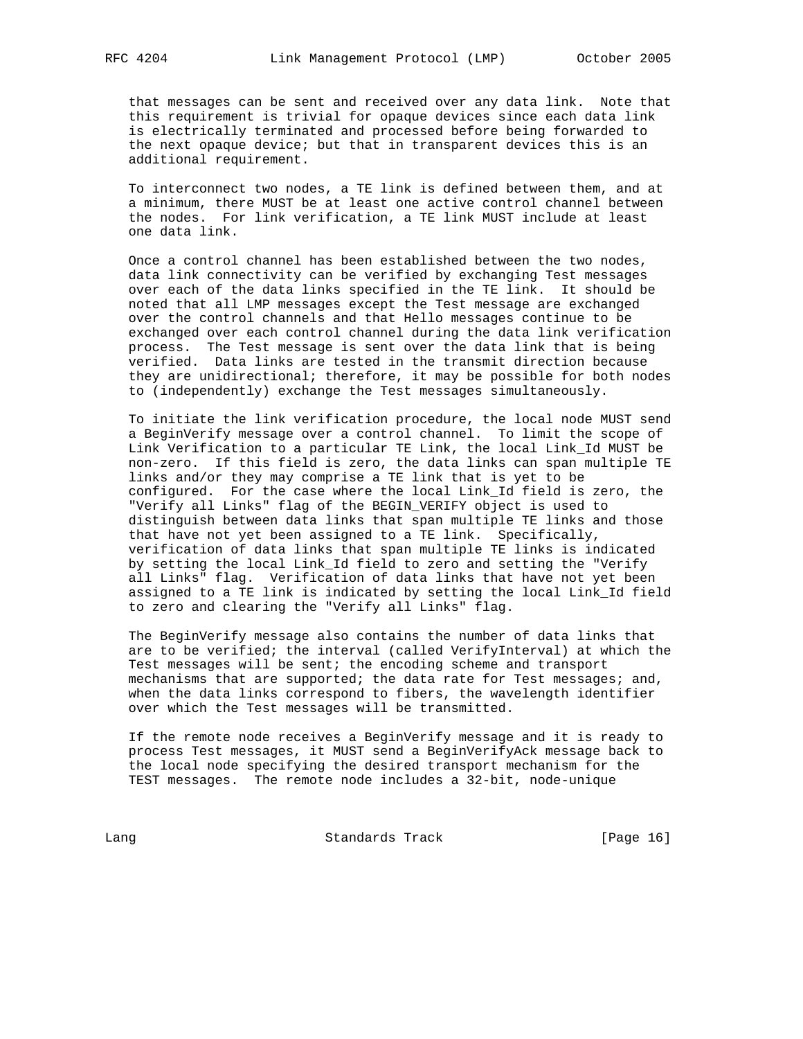that messages can be sent and received over any data link. Note that this requirement is trivial for opaque devices since each data link is electrically terminated and processed before being forwarded to the next opaque device; but that in transparent devices this is an additional requirement.

 To interconnect two nodes, a TE link is defined between them, and at a minimum, there MUST be at least one active control channel between the nodes. For link verification, a TE link MUST include at least one data link.

 Once a control channel has been established between the two nodes, data link connectivity can be verified by exchanging Test messages over each of the data links specified in the TE link. It should be noted that all LMP messages except the Test message are exchanged over the control channels and that Hello messages continue to be exchanged over each control channel during the data link verification process. The Test message is sent over the data link that is being verified. Data links are tested in the transmit direction because they are unidirectional; therefore, it may be possible for both nodes to (independently) exchange the Test messages simultaneously.

 To initiate the link verification procedure, the local node MUST send a BeginVerify message over a control channel. To limit the scope of Link Verification to a particular TE Link, the local Link\_Id MUST be non-zero. If this field is zero, the data links can span multiple TE links and/or they may comprise a TE link that is yet to be configured. For the case where the local Link\_Id field is zero, the "Verify all Links" flag of the BEGIN\_VERIFY object is used to distinguish between data links that span multiple TE links and those that have not yet been assigned to a TE link. Specifically, verification of data links that span multiple TE links is indicated by setting the local Link\_Id field to zero and setting the "Verify all Links" flag. Verification of data links that have not yet been assigned to a TE link is indicated by setting the local Link\_Id field to zero and clearing the "Verify all Links" flag.

 The BeginVerify message also contains the number of data links that are to be verified; the interval (called VerifyInterval) at which the Test messages will be sent; the encoding scheme and transport mechanisms that are supported; the data rate for Test messages; and, when the data links correspond to fibers, the wavelength identifier over which the Test messages will be transmitted.

 If the remote node receives a BeginVerify message and it is ready to process Test messages, it MUST send a BeginVerifyAck message back to the local node specifying the desired transport mechanism for the TEST messages. The remote node includes a 32-bit, node-unique

Lang Contract Standards Track [Page 16]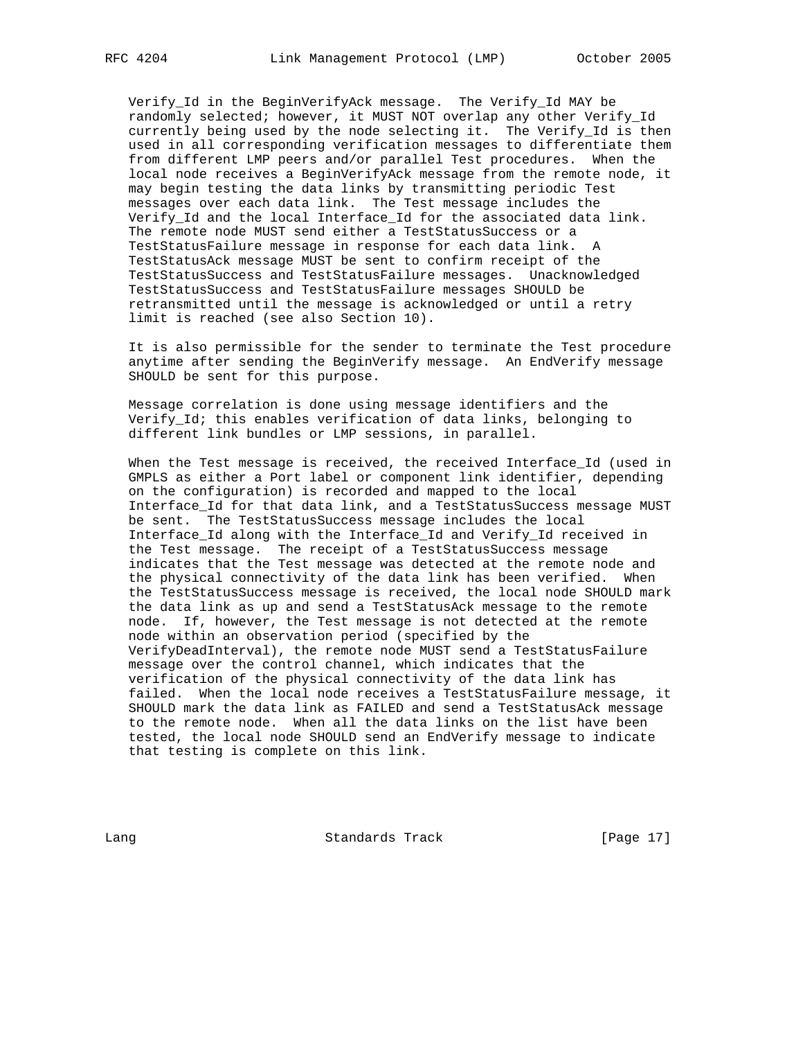Verify\_Id in the BeginVerifyAck message. The Verify\_Id MAY be

 randomly selected; however, it MUST NOT overlap any other Verify\_Id currently being used by the node selecting it. The Verify\_Id is then used in all corresponding verification messages to differentiate them from different LMP peers and/or parallel Test procedures. When the local node receives a BeginVerifyAck message from the remote node, it may begin testing the data links by transmitting periodic Test messages over each data link. The Test message includes the Verify\_Id and the local Interface\_Id for the associated data link. The remote node MUST send either a TestStatusSuccess or a TestStatusFailure message in response for each data link. A TestStatusAck message MUST be sent to confirm receipt of the TestStatusSuccess and TestStatusFailure messages. Unacknowledged TestStatusSuccess and TestStatusFailure messages SHOULD be retransmitted until the message is acknowledged or until a retry limit is reached (see also Section 10).

 It is also permissible for the sender to terminate the Test procedure anytime after sending the BeginVerify message. An EndVerify message SHOULD be sent for this purpose.

 Message correlation is done using message identifiers and the Verify\_Id; this enables verification of data links, belonging to different link bundles or LMP sessions, in parallel.

 When the Test message is received, the received Interface\_Id (used in GMPLS as either a Port label or component link identifier, depending on the configuration) is recorded and mapped to the local Interface\_Id for that data link, and a TestStatusSuccess message MUST be sent. The TestStatusSuccess message includes the local Interface\_Id along with the Interface\_Id and Verify\_Id received in the Test message. The receipt of a TestStatusSuccess message indicates that the Test message was detected at the remote node and the physical connectivity of the data link has been verified. When the TestStatusSuccess message is received, the local node SHOULD mark the data link as up and send a TestStatusAck message to the remote node. If, however, the Test message is not detected at the remote node within an observation period (specified by the VerifyDeadInterval), the remote node MUST send a TestStatusFailure message over the control channel, which indicates that the verification of the physical connectivity of the data link has failed. When the local node receives a TestStatusFailure message, it SHOULD mark the data link as FAILED and send a TestStatusAck message to the remote node. When all the data links on the list have been tested, the local node SHOULD send an EndVerify message to indicate that testing is complete on this link.

Lang Contract Standards Track [Page 17]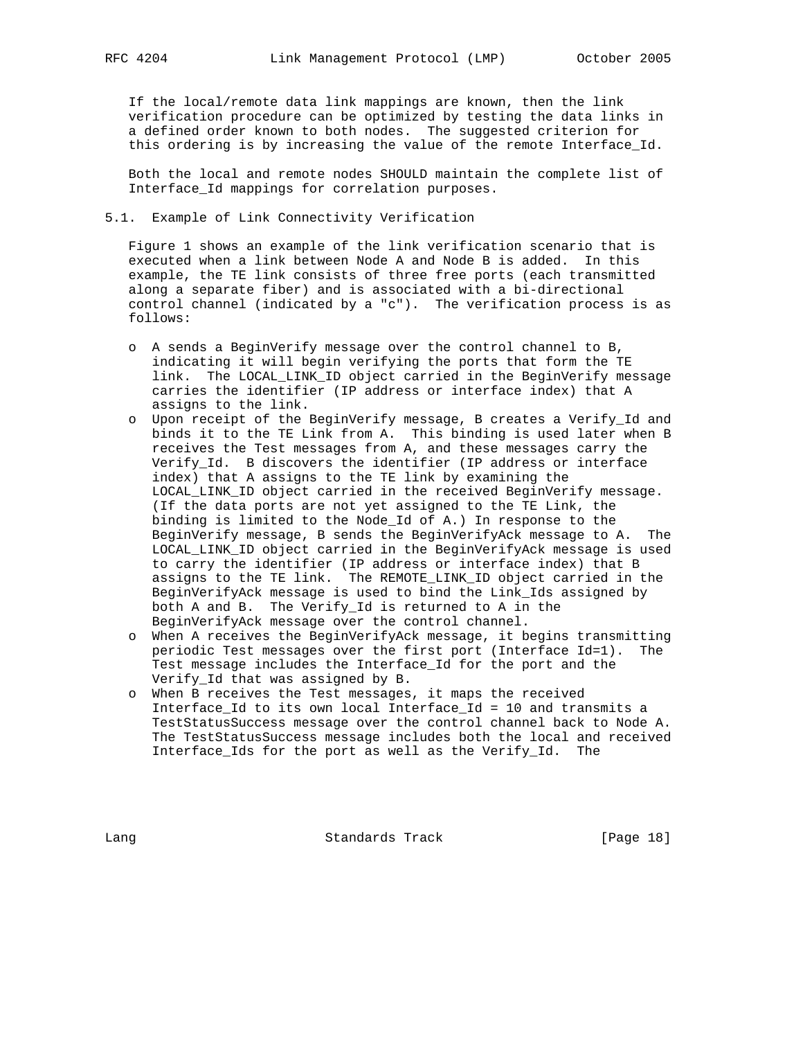If the local/remote data link mappings are known, then the link verification procedure can be optimized by testing the data links in a defined order known to both nodes. The suggested criterion for this ordering is by increasing the value of the remote Interface\_Id.

 Both the local and remote nodes SHOULD maintain the complete list of Interface\_Id mappings for correlation purposes.

## 5.1. Example of Link Connectivity Verification

 Figure 1 shows an example of the link verification scenario that is executed when a link between Node A and Node B is added. In this example, the TE link consists of three free ports (each transmitted along a separate fiber) and is associated with a bi-directional control channel (indicated by a "c"). The verification process is as follows:

- o A sends a BeginVerify message over the control channel to B, indicating it will begin verifying the ports that form the TE link. The LOCAL\_LINK\_ID object carried in the BeginVerify message carries the identifier (IP address or interface index) that A assigns to the link.
- o Upon receipt of the BeginVerify message, B creates a Verify\_Id and binds it to the TE Link from A. This binding is used later when B receives the Test messages from A, and these messages carry the Verify\_Id. B discovers the identifier (IP address or interface index) that A assigns to the TE link by examining the LOCAL\_LINK\_ID object carried in the received BeginVerify message. (If the data ports are not yet assigned to the TE Link, the binding is limited to the Node\_Id of A.) In response to the BeginVerify message, B sends the BeginVerifyAck message to A. The LOCAL\_LINK\_ID object carried in the BeginVerifyAck message is used to carry the identifier (IP address or interface index) that B assigns to the TE link. The REMOTE\_LINK\_ID object carried in the BeginVerifyAck message is used to bind the Link\_Ids assigned by both A and B. The Verify\_Id is returned to A in the BeginVerifyAck message over the control channel.
- o When A receives the BeginVerifyAck message, it begins transmitting periodic Test messages over the first port (Interface Id=1). The Test message includes the Interface Id for the port and the Verify\_Id that was assigned by B.
- o When B receives the Test messages, it maps the received Interface\_Id to its own local Interface\_Id = 10 and transmits a TestStatusSuccess message over the control channel back to Node A. The TestStatusSuccess message includes both the local and received Interface\_Ids for the port as well as the Verify\_Id. The

Lang Contract Standards Track [Page 18]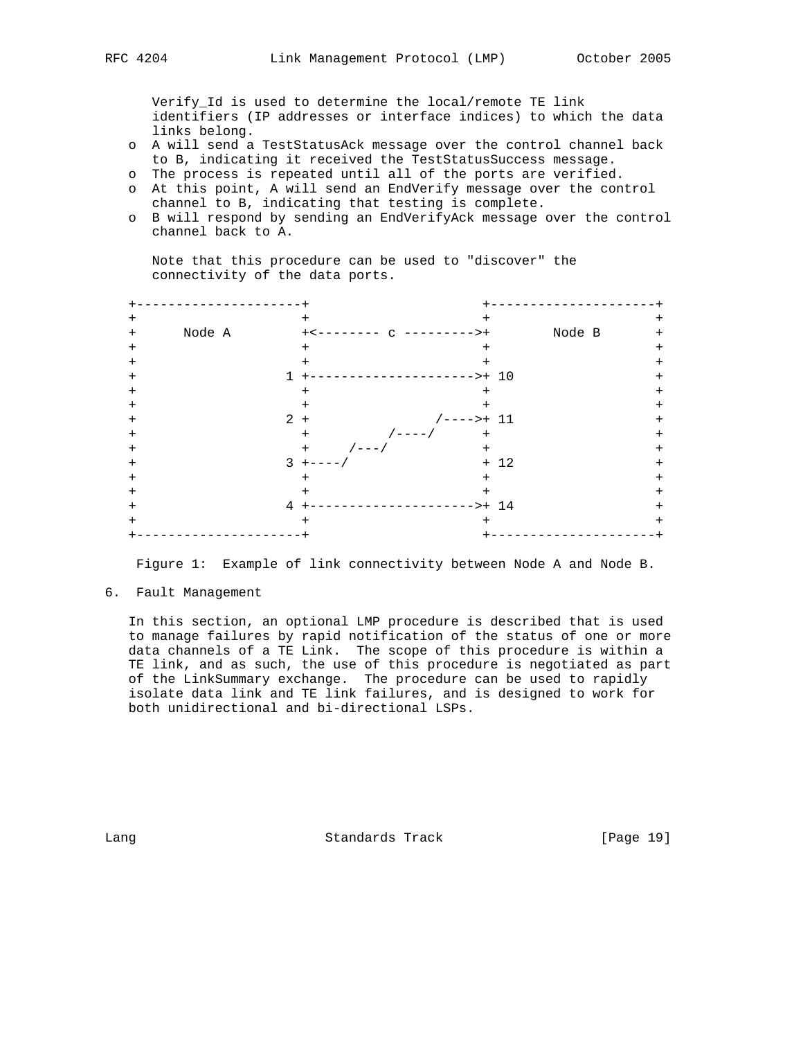Verify\_Id is used to determine the local/remote TE link identifiers (IP addresses or interface indices) to which the data links belong.

- o A will send a TestStatusAck message over the control channel back to B, indicating it received the TestStatusSuccess message.
- o The process is repeated until all of the ports are verified.
- o At this point, A will send an EndVerify message over the control channel to B, indicating that testing is complete.
- o B will respond by sending an EndVerifyAck message over the control channel back to A.

 Note that this procedure can be used to "discover" the connectivity of the data ports.

| $\ddot{}$ |        |              | $\ddot{}$                  | $^{+}$      |        |          |
|-----------|--------|--------------|----------------------------|-------------|--------|----------|
| $^{+}$    | Node A |              | ----                       | $> +$       | Node B | $\,{}^+$ |
| $\ddot{}$ |        |              | $+$                        | $\pm$       |        | $\,{}^+$ |
| $\div$    |        |              | $\ddot{}$                  | $+$         |        | $\,^+$   |
|           |        |              |                            | $->+ 10$    |        |          |
|           |        |              |                            | $\ddot{}$   |        |          |
| $\,{}^+$  |        |              |                            | $^{+}$      |        | $\,{}^+$ |
| $\,^+$    |        |              | $2 +$                      | $/--->+ 11$ |        |          |
|           |        |              | $/ - - - - /$<br>$\ddot{}$ | $\ddot{}$   |        | $\,^+$   |
| $\,{}^+$  |        |              | $/ - - - /$<br>$+$         | $+$         |        | $\,{}^+$ |
|           |        | $\mathbf{3}$ | $+$                        |             | $+ 12$ |          |
| $\,^+$    |        |              | $\ddot{}$                  | $+$         |        | $\,{}^+$ |
|           |        |              |                            | $+$         |        |          |
|           |        | 4            |                            | $->+ 14$    |        |          |
| $\,^+$    |        |              |                            | $^{+}$      |        | +        |
|           |        |              |                            |             |        |          |

Figure 1: Example of link connectivity between Node A and Node B.

6. Fault Management

 In this section, an optional LMP procedure is described that is used to manage failures by rapid notification of the status of one or more data channels of a TE Link. The scope of this procedure is within a TE link, and as such, the use of this procedure is negotiated as part of the LinkSummary exchange. The procedure can be used to rapidly isolate data link and TE link failures, and is designed to work for both unidirectional and bi-directional LSPs.

Lang Contract Standards Track [Page 19]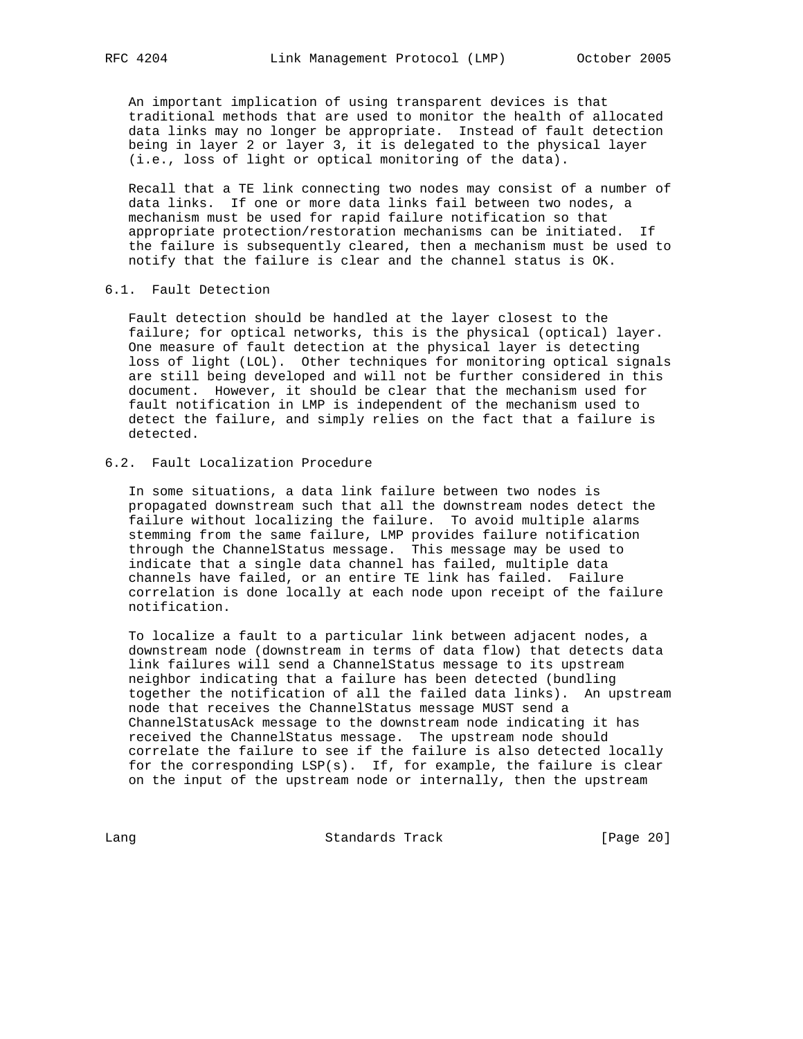An important implication of using transparent devices is that traditional methods that are used to monitor the health of allocated data links may no longer be appropriate. Instead of fault detection being in layer 2 or layer 3, it is delegated to the physical layer (i.e., loss of light or optical monitoring of the data).

 Recall that a TE link connecting two nodes may consist of a number of data links. If one or more data links fail between two nodes, a mechanism must be used for rapid failure notification so that appropriate protection/restoration mechanisms can be initiated. If the failure is subsequently cleared, then a mechanism must be used to notify that the failure is clear and the channel status is OK.

#### 6.1. Fault Detection

 Fault detection should be handled at the layer closest to the failure; for optical networks, this is the physical (optical) layer. One measure of fault detection at the physical layer is detecting loss of light (LOL). Other techniques for monitoring optical signals are still being developed and will not be further considered in this document. However, it should be clear that the mechanism used for fault notification in LMP is independent of the mechanism used to detect the failure, and simply relies on the fact that a failure is detected.

# 6.2. Fault Localization Procedure

 In some situations, a data link failure between two nodes is propagated downstream such that all the downstream nodes detect the failure without localizing the failure. To avoid multiple alarms stemming from the same failure, LMP provides failure notification through the ChannelStatus message. This message may be used to indicate that a single data channel has failed, multiple data channels have failed, or an entire TE link has failed. Failure correlation is done locally at each node upon receipt of the failure notification.

 To localize a fault to a particular link between adjacent nodes, a downstream node (downstream in terms of data flow) that detects data link failures will send a ChannelStatus message to its upstream neighbor indicating that a failure has been detected (bundling together the notification of all the failed data links). An upstream node that receives the ChannelStatus message MUST send a ChannelStatusAck message to the downstream node indicating it has received the ChannelStatus message. The upstream node should correlate the failure to see if the failure is also detected locally for the corresponding LSP(s). If, for example, the failure is clear on the input of the upstream node or internally, then the upstream

Lang Contract Standards Track [Page 20]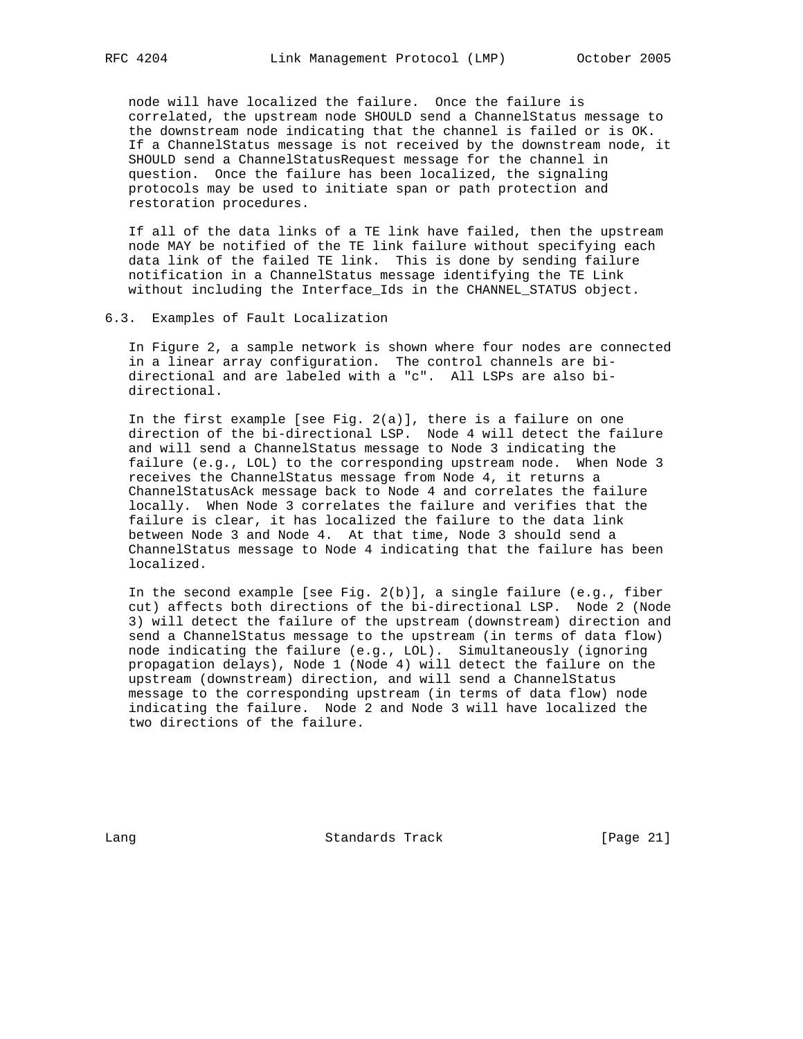node will have localized the failure. Once the failure is correlated, the upstream node SHOULD send a ChannelStatus message to the downstream node indicating that the channel is failed or is OK. If a ChannelStatus message is not received by the downstream node, it SHOULD send a ChannelStatusRequest message for the channel in question. Once the failure has been localized, the signaling protocols may be used to initiate span or path protection and restoration procedures.

 If all of the data links of a TE link have failed, then the upstream node MAY be notified of the TE link failure without specifying each data link of the failed TE link. This is done by sending failure notification in a ChannelStatus message identifying the TE Link without including the Interface\_Ids in the CHANNEL\_STATUS object.

### 6.3. Examples of Fault Localization

 In Figure 2, a sample network is shown where four nodes are connected in a linear array configuration. The control channels are bi directional and are labeled with a "c". All LSPs are also bi directional.

 In the first example [see Fig. 2(a)], there is a failure on one direction of the bi-directional LSP. Node 4 will detect the failure and will send a ChannelStatus message to Node 3 indicating the failure (e.g., LOL) to the corresponding upstream node. When Node 3 receives the ChannelStatus message from Node 4, it returns a ChannelStatusAck message back to Node 4 and correlates the failure locally. When Node 3 correlates the failure and verifies that the failure is clear, it has localized the failure to the data link between Node 3 and Node 4. At that time, Node 3 should send a ChannelStatus message to Node 4 indicating that the failure has been localized.

 In the second example [see Fig. 2(b)], a single failure (e.g., fiber cut) affects both directions of the bi-directional LSP. Node 2 (Node 3) will detect the failure of the upstream (downstream) direction and send a ChannelStatus message to the upstream (in terms of data flow) node indicating the failure (e.g., LOL). Simultaneously (ignoring propagation delays), Node 1 (Node 4) will detect the failure on the upstream (downstream) direction, and will send a ChannelStatus message to the corresponding upstream (in terms of data flow) node indicating the failure. Node 2 and Node 3 will have localized the two directions of the failure.

Lang Contract Standards Track [Page 21]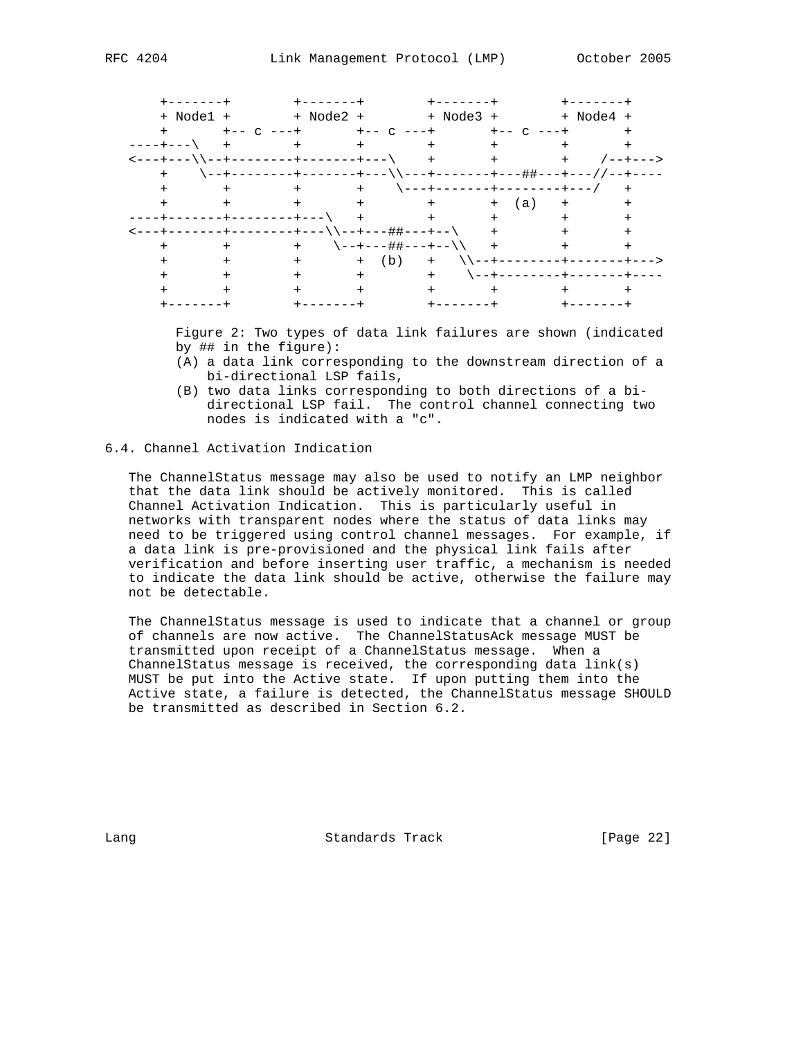| +-------+                                 |                               | $+ - - - - - - -$ |                     | $+ - - - - - - -$ |                      | $+ - - - - - -$ |  |
|-------------------------------------------|-------------------------------|-------------------|---------------------|-------------------|----------------------|-----------------|--|
|                                           | + Node1 + + Node2 + + Node3 + |                   |                     |                   |                      | + Node4 +       |  |
|                                           | $+ - -$ C                     |                   | $+ - -$ C           |                   | $+ - -$ C $- - +$    |                 |  |
| ---+---\                                  |                               | $+$ $-$           |                     | $+$ $-$           |                      | $+$ $-$         |  |
| <---+---\\--+--------+-----------\   +    |                               |                   |                     |                   | $+$ $-$              | $+$ $-$         |  |
|                                           |                               |                   |                     |                   |                      |                 |  |
|                                           | $+$                           |                   |                     |                   |                      |                 |  |
|                                           | $+$                           |                   | $+$ $+$ $+$ $+$ $+$ |                   | + (a)                | $+$             |  |
|                                           | -------+---\                  | $+$               |                     | $+$ $-$           | $+$                  |                 |  |
| --+-------+--------+---\\--+---##+---+--\ |                               |                   |                     |                   |                      |                 |  |
|                                           |                               | $+$               | \--+---##---+--\\ + |                   |                      |                 |  |
|                                           |                               | $+$ $-$           | $+(b)$              | $+$               | \\--+--------+------ |                 |  |
|                                           |                               |                   | $+$ $ -$            | $+$ $-$           |                      |                 |  |
|                                           |                               |                   |                     | $+$               |                      |                 |  |
|                                           |                               |                   |                     |                   |                      |                 |  |

 Figure 2: Two types of data link failures are shown (indicated by ## in the figure):

- (A) a data link corresponding to the downstream direction of a bi-directional LSP fails,
- (B) two data links corresponding to both directions of a bi directional LSP fail. The control channel connecting two nodes is indicated with a "c".

# 6.4. Channel Activation Indication

 The ChannelStatus message may also be used to notify an LMP neighbor that the data link should be actively monitored. This is called Channel Activation Indication. This is particularly useful in networks with transparent nodes where the status of data links may need to be triggered using control channel messages. For example, if a data link is pre-provisioned and the physical link fails after verification and before inserting user traffic, a mechanism is needed to indicate the data link should be active, otherwise the failure may not be detectable.

 The ChannelStatus message is used to indicate that a channel or group of channels are now active. The ChannelStatusAck message MUST be transmitted upon receipt of a ChannelStatus message. When a ChannelStatus message is received, the corresponding data link(s) MUST be put into the Active state. If upon putting them into the Active state, a failure is detected, the ChannelStatus message SHOULD be transmitted as described in Section 6.2.

Lang **Standards Track** [Page 22]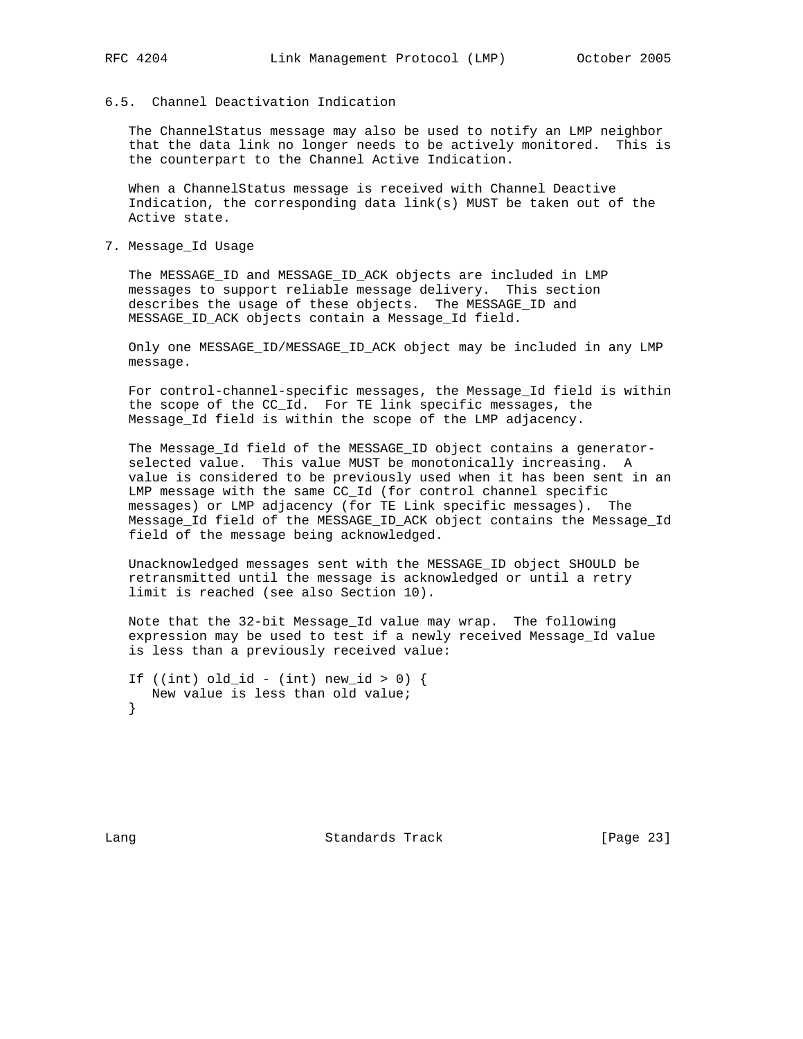## 6.5. Channel Deactivation Indication

 The ChannelStatus message may also be used to notify an LMP neighbor that the data link no longer needs to be actively monitored. This is the counterpart to the Channel Active Indication.

 When a ChannelStatus message is received with Channel Deactive Indication, the corresponding data link(s) MUST be taken out of the Active state.

7. Message\_Id Usage

 The MESSAGE\_ID and MESSAGE\_ID\_ACK objects are included in LMP messages to support reliable message delivery. This section describes the usage of these objects. The MESSAGE\_ID and MESSAGE\_ID\_ACK objects contain a Message\_Id field.

 Only one MESSAGE\_ID/MESSAGE\_ID\_ACK object may be included in any LMP message.

 For control-channel-specific messages, the Message\_Id field is within the scope of the CC\_Id. For TE link specific messages, the Message\_Id field is within the scope of the LMP adjacency.

 The Message\_Id field of the MESSAGE\_ID object contains a generator selected value. This value MUST be monotonically increasing. A value is considered to be previously used when it has been sent in an LMP message with the same CC\_Id (for control channel specific messages) or LMP adjacency (for TE Link specific messages). The Message\_Id field of the MESSAGE\_ID\_ACK object contains the Message\_Id field of the message being acknowledged.

 Unacknowledged messages sent with the MESSAGE\_ID object SHOULD be retransmitted until the message is acknowledged or until a retry limit is reached (see also Section 10).

 Note that the 32-bit Message\_Id value may wrap. The following expression may be used to test if a newly received Message\_Id value is less than a previously received value:

If ((int) old\_id - (int) new\_id > 0) { New value is less than old value; }

Lang Contract Standards Track [Page 23]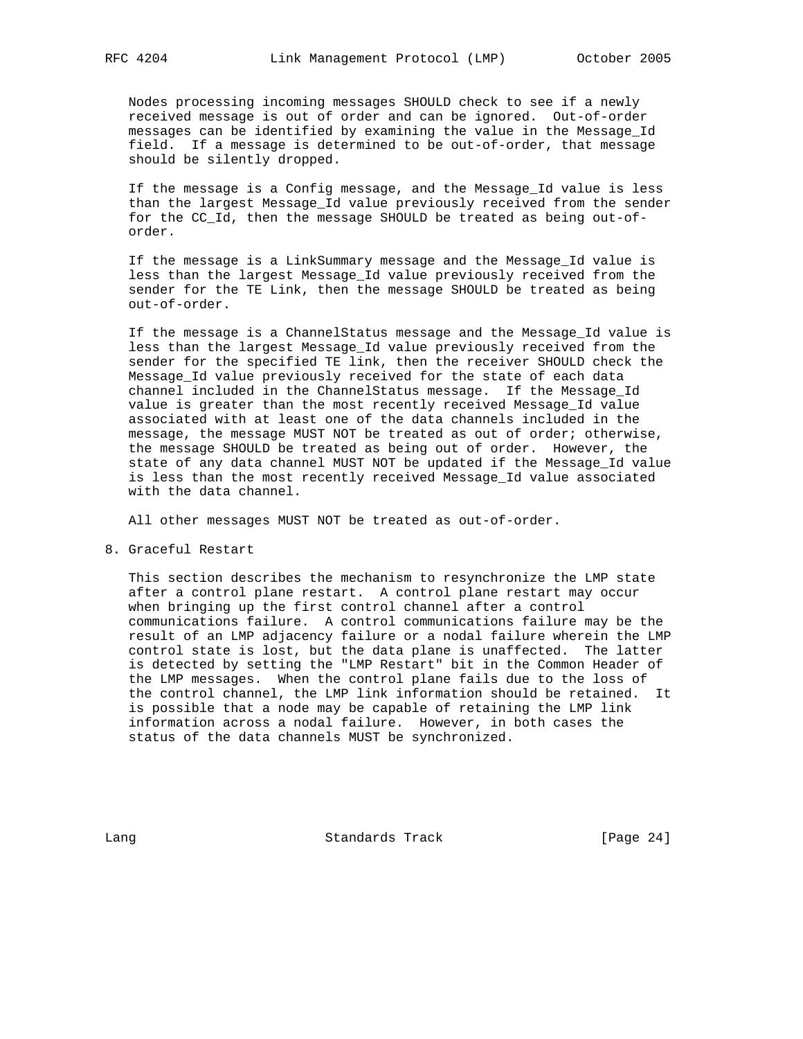Nodes processing incoming messages SHOULD check to see if a newly received message is out of order and can be ignored. Out-of-order messages can be identified by examining the value in the Message\_Id field. If a message is determined to be out-of-order, that message should be silently dropped.

 If the message is a Config message, and the Message\_Id value is less than the largest Message\_Id value previously received from the sender for the CC\_Id, then the message SHOULD be treated as being out-of order.

 If the message is a LinkSummary message and the Message\_Id value is less than the largest Message\_Id value previously received from the sender for the TE Link, then the message SHOULD be treated as being out-of-order.

 If the message is a ChannelStatus message and the Message\_Id value is less than the largest Message\_Id value previously received from the sender for the specified TE link, then the receiver SHOULD check the Message\_Id value previously received for the state of each data channel included in the ChannelStatus message. If the Message\_Id value is greater than the most recently received Message\_Id value associated with at least one of the data channels included in the message, the message MUST NOT be treated as out of order; otherwise, the message SHOULD be treated as being out of order. However, the state of any data channel MUST NOT be updated if the Message\_Id value is less than the most recently received Message\_Id value associated with the data channel.

All other messages MUST NOT be treated as out-of-order.

8. Graceful Restart

 This section describes the mechanism to resynchronize the LMP state after a control plane restart. A control plane restart may occur when bringing up the first control channel after a control communications failure. A control communications failure may be the result of an LMP adjacency failure or a nodal failure wherein the LMP control state is lost, but the data plane is unaffected. The latter is detected by setting the "LMP Restart" bit in the Common Header of the LMP messages. When the control plane fails due to the loss of the control channel, the LMP link information should be retained. It is possible that a node may be capable of retaining the LMP link information across a nodal failure. However, in both cases the status of the data channels MUST be synchronized.

Lang Contract Standards Track [Page 24]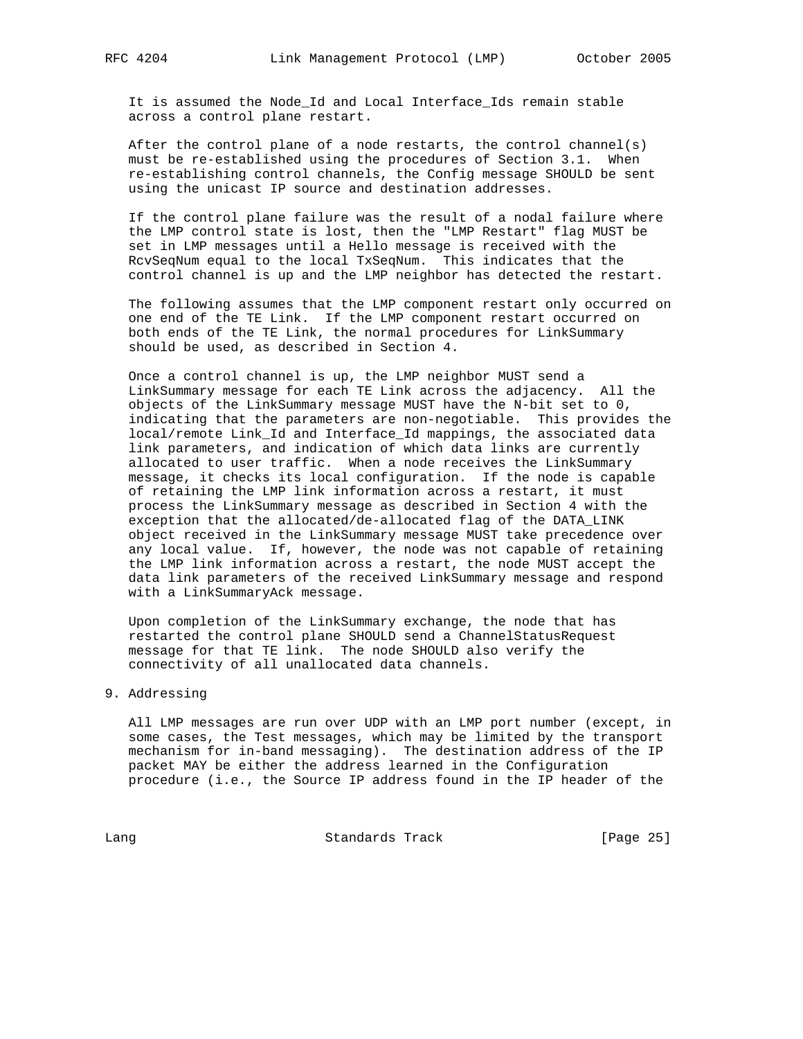It is assumed the Node\_Id and Local Interface\_Ids remain stable across a control plane restart.

 After the control plane of a node restarts, the control channel(s) must be re-established using the procedures of Section 3.1. When re-establishing control channels, the Config message SHOULD be sent using the unicast IP source and destination addresses.

 If the control plane failure was the result of a nodal failure where the LMP control state is lost, then the "LMP Restart" flag MUST be set in LMP messages until a Hello message is received with the RcvSeqNum equal to the local TxSeqNum. This indicates that the control channel is up and the LMP neighbor has detected the restart.

 The following assumes that the LMP component restart only occurred on one end of the TE Link. If the LMP component restart occurred on both ends of the TE Link, the normal procedures for LinkSummary should be used, as described in Section 4.

 Once a control channel is up, the LMP neighbor MUST send a LinkSummary message for each TE Link across the adjacency. All the objects of the LinkSummary message MUST have the N-bit set to 0, indicating that the parameters are non-negotiable. This provides the local/remote Link\_Id and Interface\_Id mappings, the associated data link parameters, and indication of which data links are currently allocated to user traffic. When a node receives the LinkSummary message, it checks its local configuration. If the node is capable of retaining the LMP link information across a restart, it must process the LinkSummary message as described in Section 4 with the exception that the allocated/de-allocated flag of the DATA\_LINK object received in the LinkSummary message MUST take precedence over any local value. If, however, the node was not capable of retaining the LMP link information across a restart, the node MUST accept the data link parameters of the received LinkSummary message and respond with a LinkSummaryAck message.

 Upon completion of the LinkSummary exchange, the node that has restarted the control plane SHOULD send a ChannelStatusRequest message for that TE link. The node SHOULD also verify the connectivity of all unallocated data channels.

## 9. Addressing

 All LMP messages are run over UDP with an LMP port number (except, in some cases, the Test messages, which may be limited by the transport mechanism for in-band messaging). The destination address of the IP packet MAY be either the address learned in the Configuration procedure (i.e., the Source IP address found in the IP header of the

Lang Contract Standards Track [Page 25]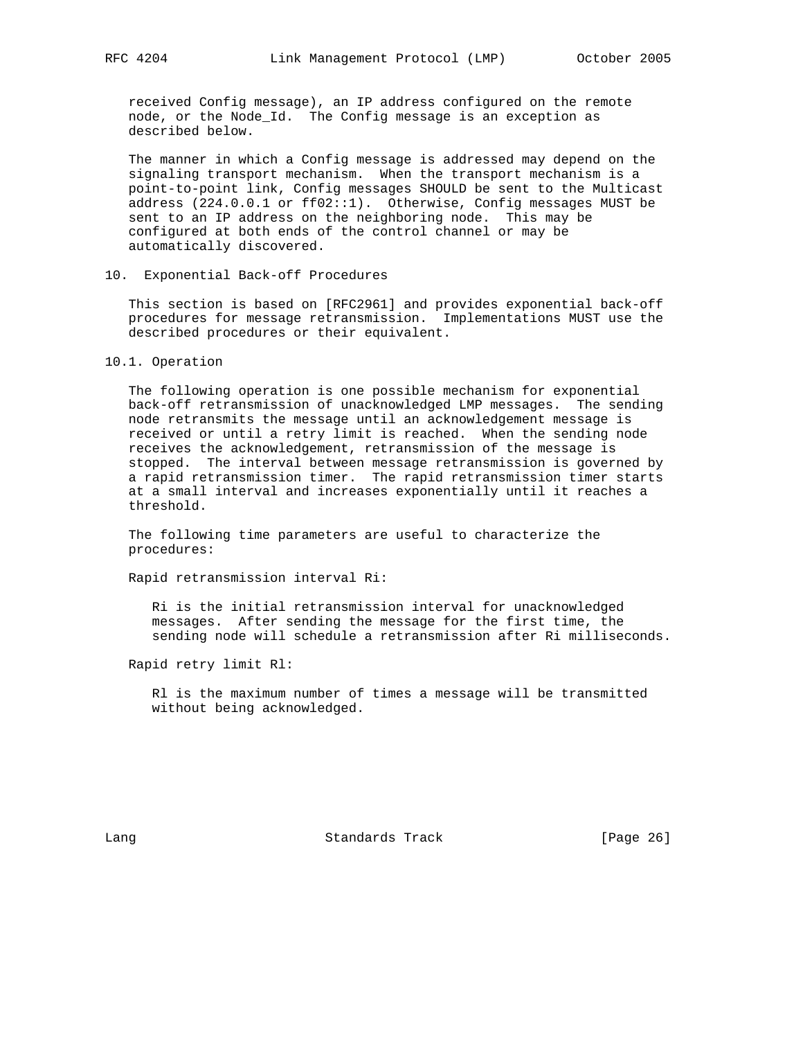received Config message), an IP address configured on the remote node, or the Node\_Id. The Config message is an exception as described below.

 The manner in which a Config message is addressed may depend on the signaling transport mechanism. When the transport mechanism is a point-to-point link, Config messages SHOULD be sent to the Multicast address (224.0.0.1 or ff02::1). Otherwise, Config messages MUST be sent to an IP address on the neighboring node. This may be configured at both ends of the control channel or may be automatically discovered.

## 10. Exponential Back-off Procedures

 This section is based on [RFC2961] and provides exponential back-off procedures for message retransmission. Implementations MUST use the described procedures or their equivalent.

#### 10.1. Operation

 The following operation is one possible mechanism for exponential back-off retransmission of unacknowledged LMP messages. The sending node retransmits the message until an acknowledgement message is received or until a retry limit is reached. When the sending node receives the acknowledgement, retransmission of the message is stopped. The interval between message retransmission is governed by a rapid retransmission timer. The rapid retransmission timer starts at a small interval and increases exponentially until it reaches a threshold.

 The following time parameters are useful to characterize the procedures:

Rapid retransmission interval Ri:

 Ri is the initial retransmission interval for unacknowledged messages. After sending the message for the first time, the sending node will schedule a retransmission after Ri milliseconds.

Rapid retry limit Rl:

 Rl is the maximum number of times a message will be transmitted without being acknowledged.

Lang **Standards Track** [Page 26]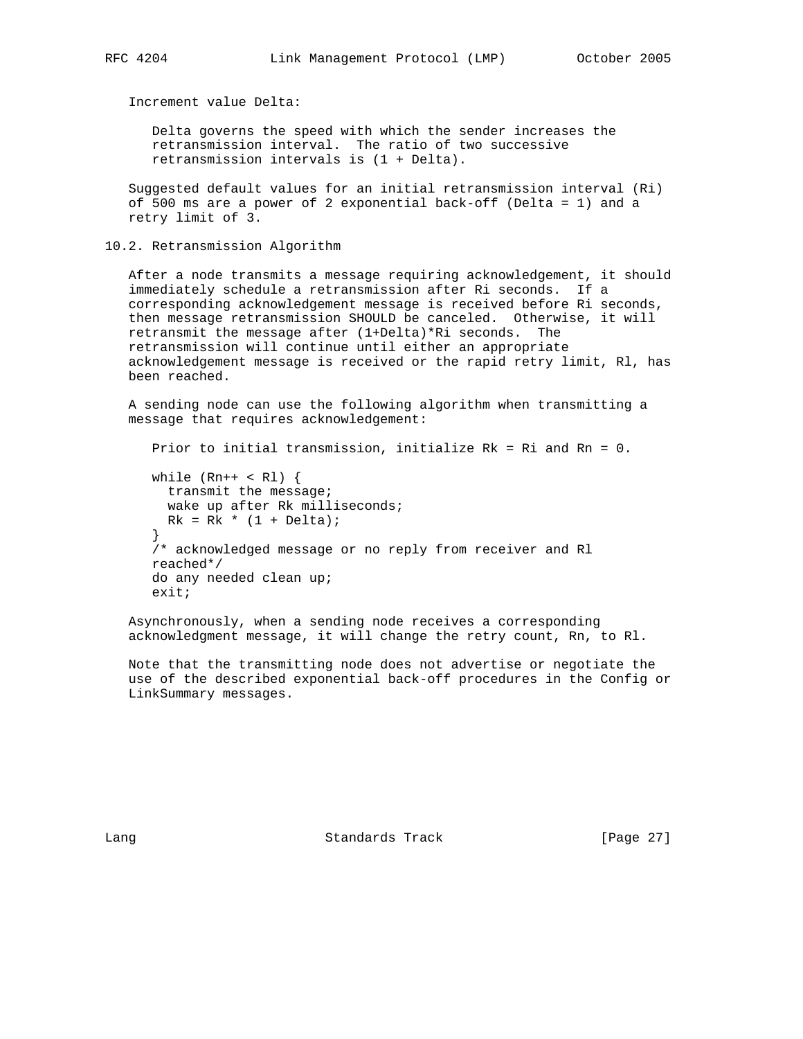Increment value Delta:

 Delta governs the speed with which the sender increases the retransmission interval. The ratio of two successive retransmission intervals is (1 + Delta).

 Suggested default values for an initial retransmission interval (Ri) of 500 ms are a power of 2 exponential back-off (Delta = 1) and a retry limit of 3.

10.2. Retransmission Algorithm

 After a node transmits a message requiring acknowledgement, it should immediately schedule a retransmission after Ri seconds. If a corresponding acknowledgement message is received before Ri seconds, then message retransmission SHOULD be canceled. Otherwise, it will retransmit the message after (1+Delta)\*Ri seconds. The retransmission will continue until either an appropriate acknowledgement message is received or the rapid retry limit, Rl, has been reached.

 A sending node can use the following algorithm when transmitting a message that requires acknowledgement:

 Prior to initial transmission, initialize Rk = Ri and Rn = 0. while  $(Rn++ < Rl)$  { transmit the message; wake up after Rk milliseconds;  $Rk = Rk * (1 + Delta);$  } /\* acknowledged message or no reply from receiver and Rl reached\*/ do any needed clean up; exit;

 Asynchronously, when a sending node receives a corresponding acknowledgment message, it will change the retry count, Rn, to Rl.

 Note that the transmitting node does not advertise or negotiate the use of the described exponential back-off procedures in the Config or LinkSummary messages.

Lang **Standards Track** [Page 27]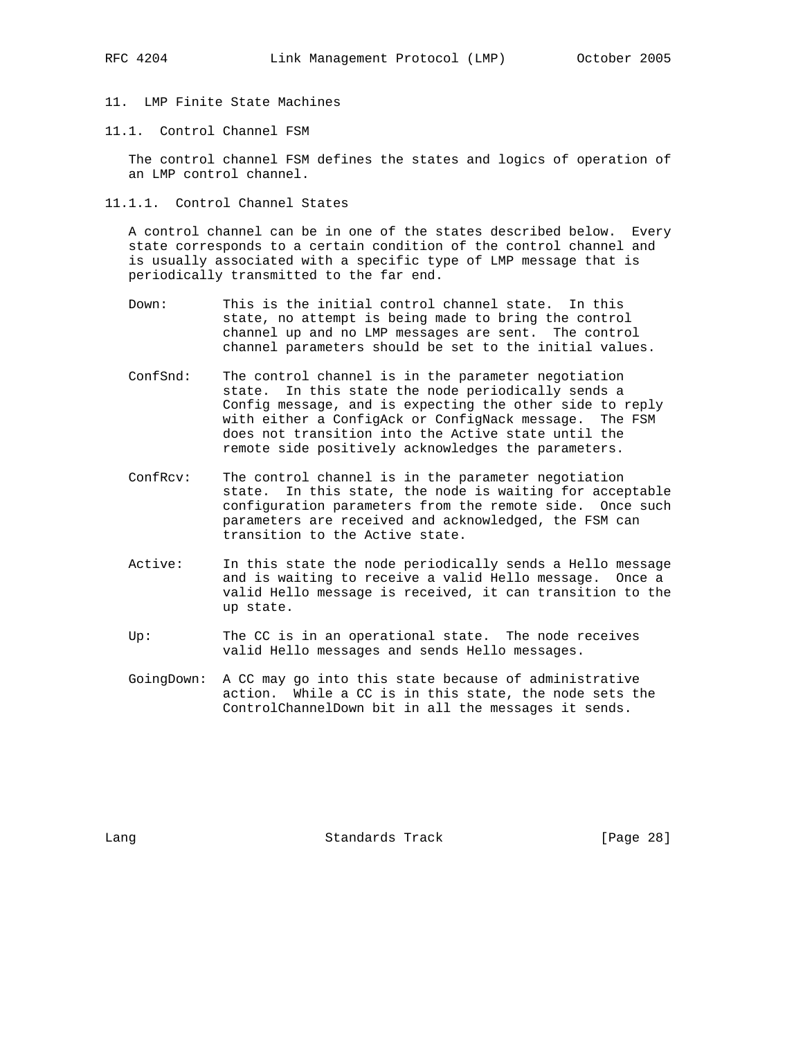- 
- 11. LMP Finite State Machines
- 11.1. Control Channel FSM

 The control channel FSM defines the states and logics of operation of an LMP control channel.

11.1.1. Control Channel States

 A control channel can be in one of the states described below. Every state corresponds to a certain condition of the control channel and is usually associated with a specific type of LMP message that is periodically transmitted to the far end.

- Down: This is the initial control channel state. In this state, no attempt is being made to bring the control channel up and no LMP messages are sent. The control channel parameters should be set to the initial values.
- ConfSnd: The control channel is in the parameter negotiation state. In this state the node periodically sends a Config message, and is expecting the other side to reply with either a ConfigAck or ConfigNack message. The FSM does not transition into the Active state until the remote side positively acknowledges the parameters.
- ConfRcv: The control channel is in the parameter negotiation state. In this state, the node is waiting for acceptable configuration parameters from the remote side. Once such parameters are received and acknowledged, the FSM can transition to the Active state.
- Active: In this state the node periodically sends a Hello message and is waiting to receive a valid Hello message. Once a valid Hello message is received, it can transition to the up state.
- Up: The CC is in an operational state. The node receives valid Hello messages and sends Hello messages.
- GoingDown: A CC may go into this state because of administrative action. While a CC is in this state, the node sets the ControlChannelDown bit in all the messages it sends.

Lang **Standards Track** [Page 28]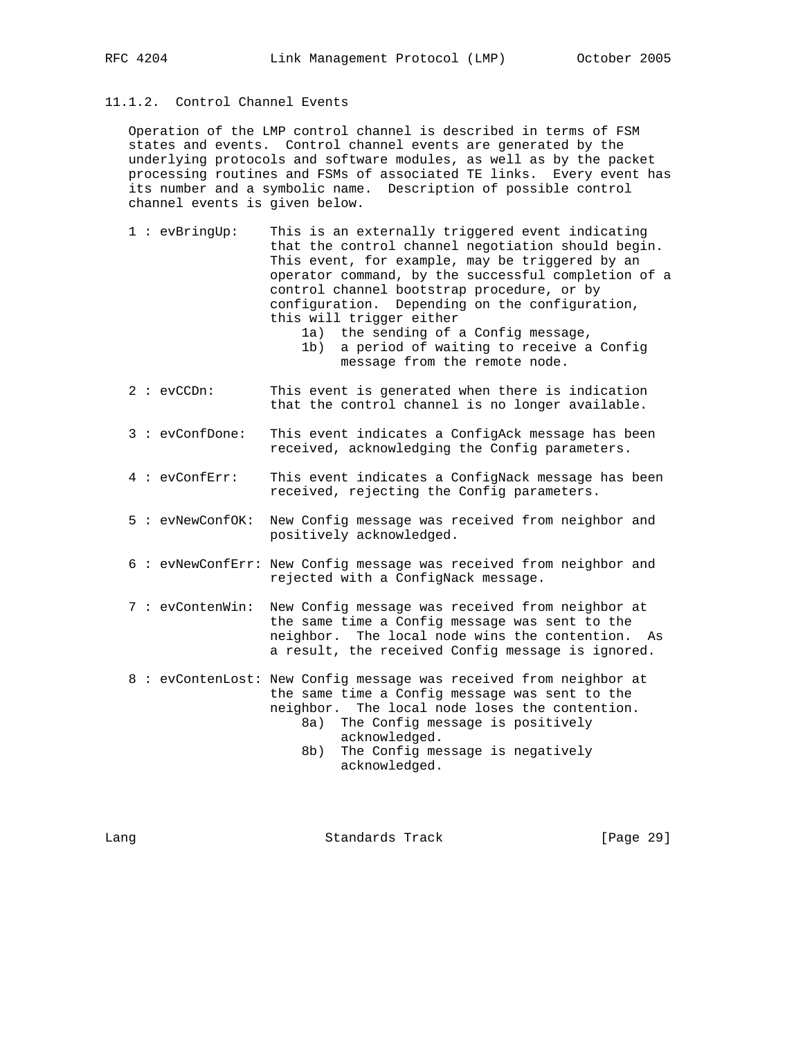# 11.1.2. Control Channel Events

 Operation of the LMP control channel is described in terms of FSM states and events. Control channel events are generated by the underlying protocols and software modules, as well as by the packet processing routines and FSMs of associated TE links. Every event has its number and a symbolic name. Description of possible control channel events is given below.

- 1 : evBringUp: This is an externally triggered event indicating that the control channel negotiation should begin. This event, for example, may be triggered by an operator command, by the successful completion of a control channel bootstrap procedure, or by configuration. Depending on the configuration, this will trigger either
	- 1a) the sending of a Config message, 1b) a period of waiting to receive a Config message from the remote node.
- 2 : evCCDn: This event is generated when there is indication that the control channel is no longer available.
- 3 : evConfDone: This event indicates a ConfigAck message has been received, acknowledging the Config parameters.
- 4 : evConfErr: This event indicates a ConfigNack message has been received, rejecting the Config parameters.
- 5 : evNewConfOK: New Config message was received from neighbor and positively acknowledged.
- 6 : evNewConfErr: New Config message was received from neighbor and rejected with a ConfigNack message.
- 7 : evContenWin: New Config message was received from neighbor at the same time a Config message was sent to the neighbor. The local node wins the contention. As a result, the received Config message is ignored.
- 8 : evContenLost: New Config message was received from neighbor at the same time a Config message was sent to the neighbor. The local node loses the contention.
	- 8a) The Config message is positively acknowledged.
	- 8b) The Config message is negatively acknowledged.

Lang **Standards Track** [Page 29]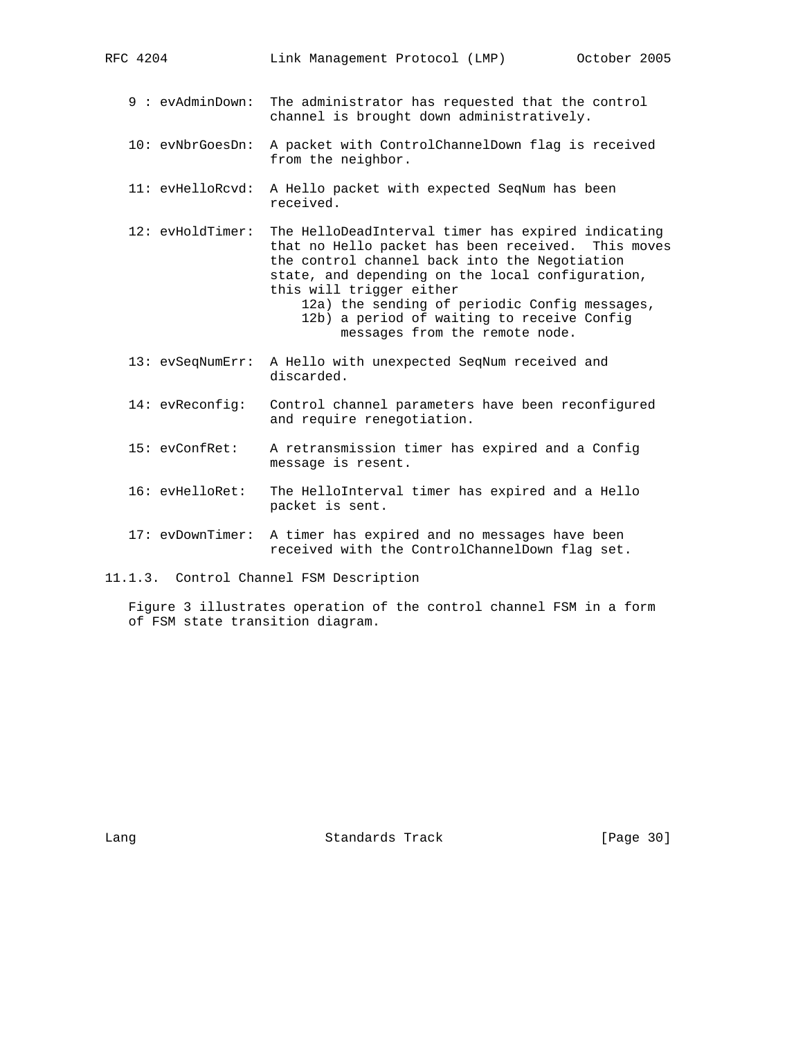| RFC 4204           | Link Management Protocol (LMP)                                                                                                                            | October 2005 |
|--------------------|-----------------------------------------------------------------------------------------------------------------------------------------------------------|--------------|
| 9 : evAdminDown:   | The administrator has requested that the control<br>channel is brought down administratively.                                                             |              |
| $10:$ evNbrGoesDn: | A packet with ControlChannelDown flag is received<br>from the neighbor.                                                                                   |              |
| $11:$ evHelloRcvd: | A Hello packet with expected SeqNum has been<br>received.                                                                                                 |              |
| 12: evHoldTimer:   | The HelloDeadInterval timer has expired indicating<br>that no Hello packet has been received. This moves<br>the control channel back into the Negotiation |              |

 state, and depending on the local configuration, this will trigger either 12a) the sending of periodic Config messages, 12b) a period of waiting to receive Config

- messages from the remote node.
- 13: evSeqNumErr: A Hello with unexpected SeqNum received and discarded.
- 14: evReconfig: Control channel parameters have been reconfigured and require renegotiation.
- 15: evConfRet: A retransmission timer has expired and a Config message is resent.
- 16: evHelloRet: The HelloInterval timer has expired and a Hello packet is sent.
- 17: evDownTimer: A timer has expired and no messages have been received with the ControlChannelDown flag set.
- 11.1.3. Control Channel FSM Description

 Figure 3 illustrates operation of the control channel FSM in a form of FSM state transition diagram.

Lang **Standards Track** [Page 30]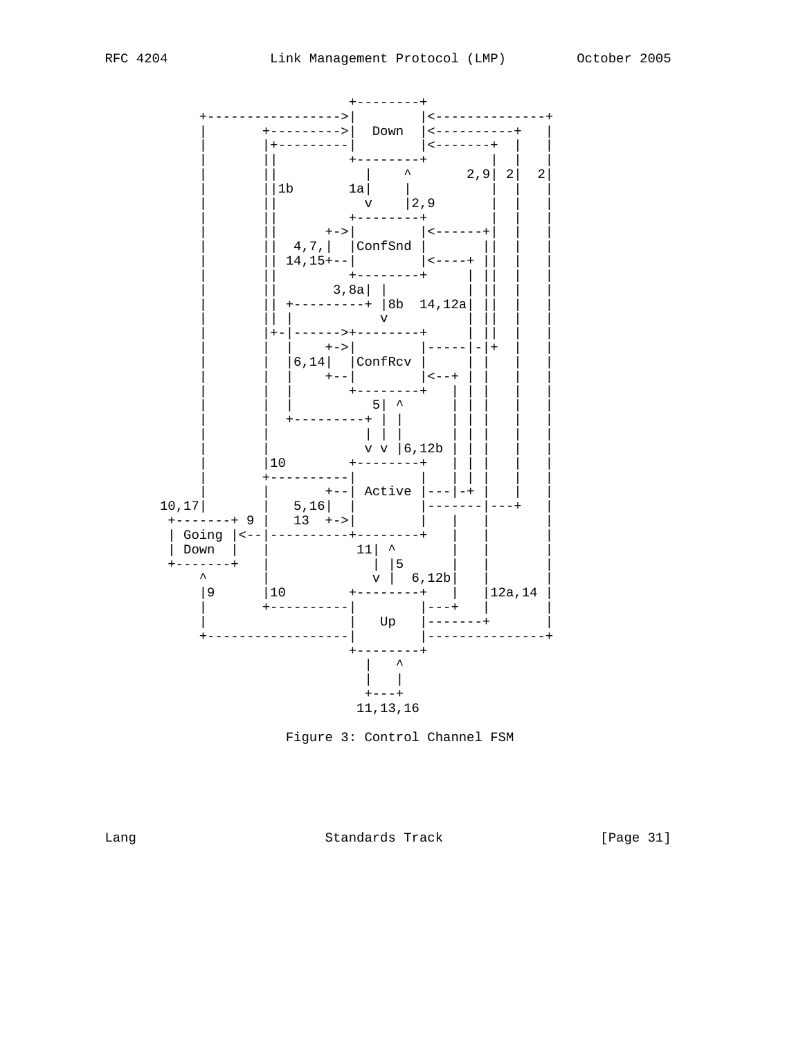



Lang

Standards Track

[Page 31]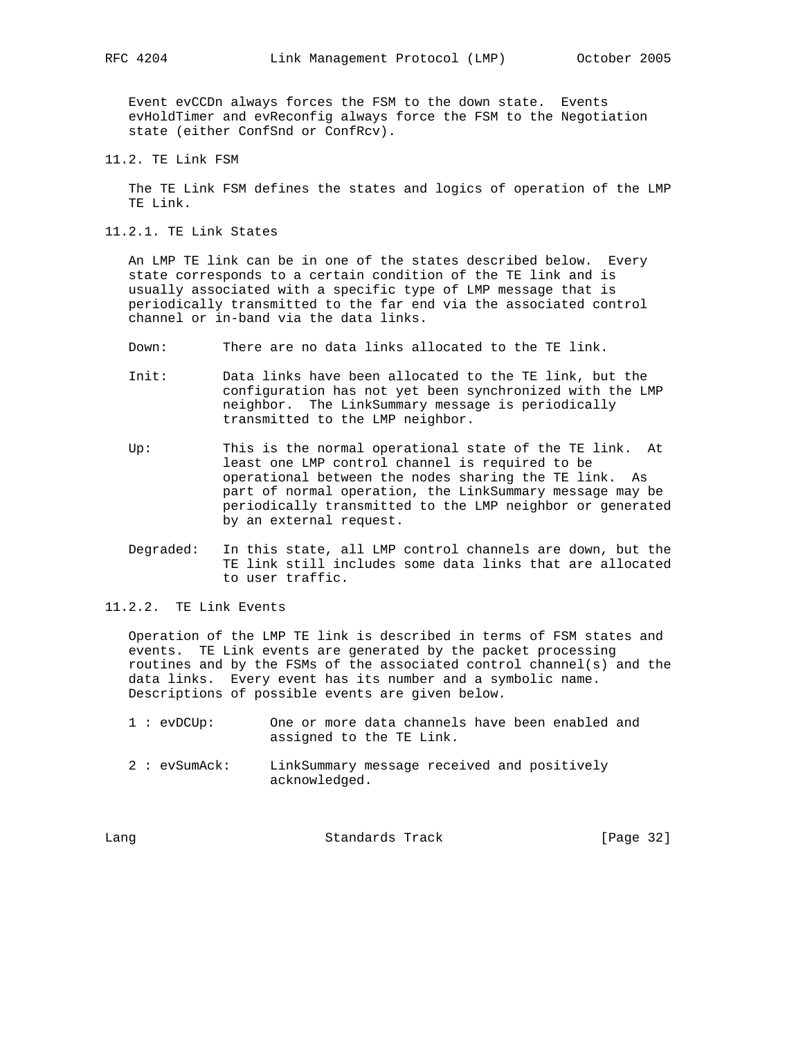Event evCCDn always forces the FSM to the down state. Events evHoldTimer and evReconfig always force the FSM to the Negotiation state (either ConfSnd or ConfRcv).

11.2. TE Link FSM

 The TE Link FSM defines the states and logics of operation of the LMP TE Link.

11.2.1. TE Link States

 An LMP TE link can be in one of the states described below. Every state corresponds to a certain condition of the TE link and is usually associated with a specific type of LMP message that is periodically transmitted to the far end via the associated control channel or in-band via the data links.

- Down: There are no data links allocated to the TE link.
- Init: Data links have been allocated to the TE link, but the configuration has not yet been synchronized with the LMP neighbor. The LinkSummary message is periodically transmitted to the LMP neighbor.
- Up: This is the normal operational state of the TE link. At least one LMP control channel is required to be operational between the nodes sharing the TE link. As part of normal operation, the LinkSummary message may be periodically transmitted to the LMP neighbor or generated by an external request.
- Degraded: In this state, all LMP control channels are down, but the TE link still includes some data links that are allocated to user traffic.

11.2.2. TE Link Events

 Operation of the LMP TE link is described in terms of FSM states and events. TE Link events are generated by the packet processing routines and by the FSMs of the associated control channel(s) and the data links. Every event has its number and a symbolic name. Descriptions of possible events are given below.

- 1 : evDCUp: One or more data channels have been enabled and assigned to the TE Link.
- 2 : evSumAck: LinkSummary message received and positively acknowledged.

| Standards Track<br>Lanq | [Page 32] |  |
|-------------------------|-----------|--|
|-------------------------|-----------|--|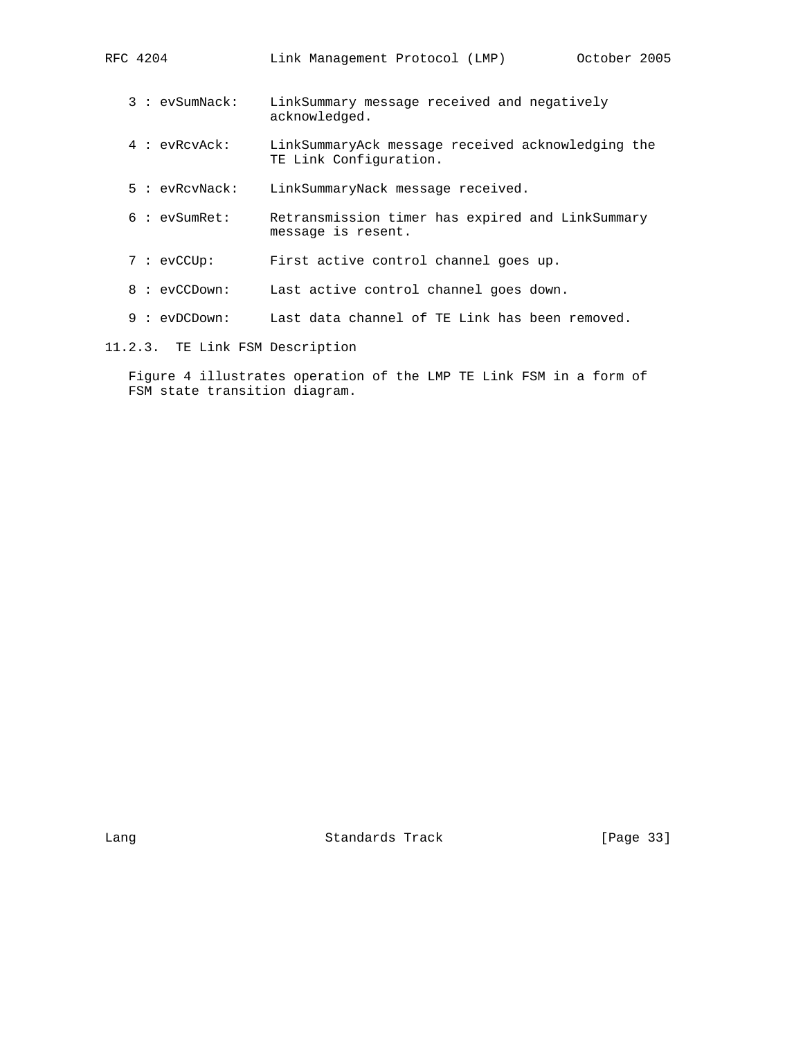| RFC 4204 | Link Management Protocol (LMP) |  | October 2005 |  |
|----------|--------------------------------|--|--------------|--|
|          |                                |  |              |  |

- 3 : evSumNack: LinkSummary message received and negatively acknowledged.
- 4 : evRcvAck: LinkSummaryAck message received acknowledging the TE Link Configuration.
- 5 : evRcvNack: LinkSummaryNack message received.
- 6 : evSumRet: Retransmission timer has expired and LinkSummary message is resent.
- 7 : evCCUp: First active control channel goes up.
- 8 : evCCDown: Last active control channel goes down.
- 9 : evDCDown: Last data channel of TE Link has been removed.
- 11.2.3. TE Link FSM Description

 Figure 4 illustrates operation of the LMP TE Link FSM in a form of FSM state transition diagram.

Lang **Standards Track** [Page 33]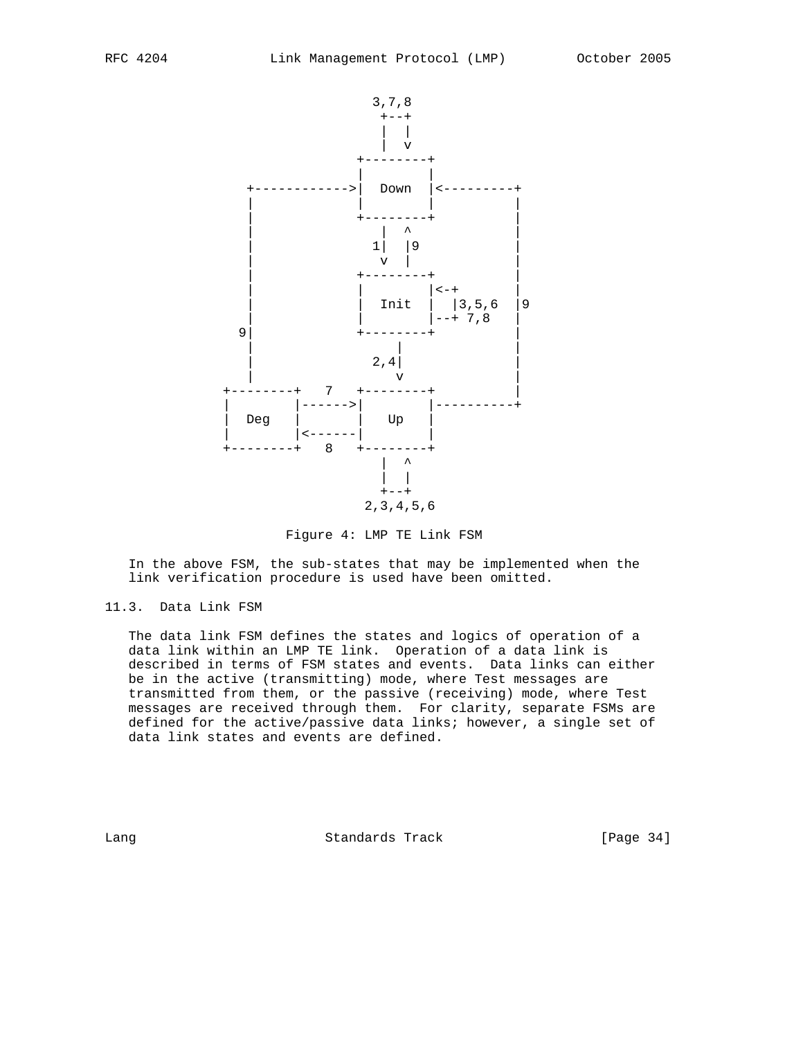

Figure 4: LMP TE Link FSM

 In the above FSM, the sub-states that may be implemented when the link verification procedure is used have been omitted.

11.3. Data Link FSM

 The data link FSM defines the states and logics of operation of a data link within an LMP TE link. Operation of a data link is described in terms of FSM states and events. Data links can either be in the active (transmitting) mode, where Test messages are transmitted from them, or the passive (receiving) mode, where Test messages are received through them. For clarity, separate FSMs are defined for the active/passive data links; however, a single set of data link states and events are defined.

Lang **Standards Track** [Page 34]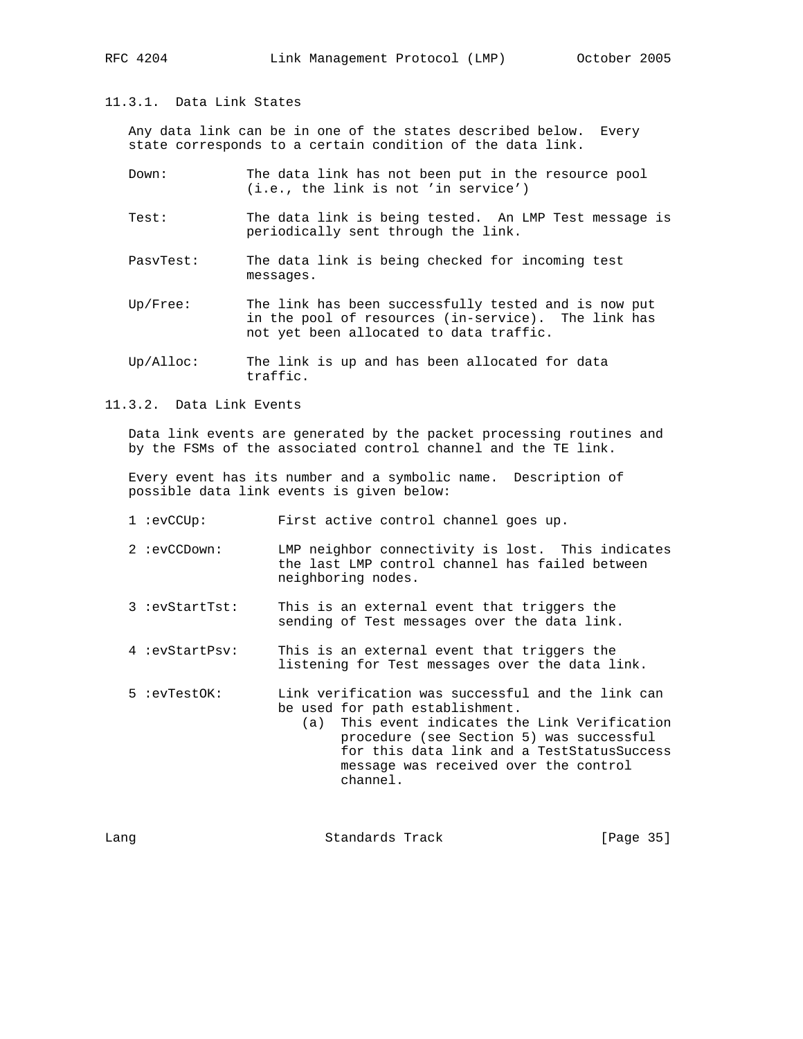11.3.1. Data Link States

 Any data link can be in one of the states described below. Every state corresponds to a certain condition of the data link.

- Down: The data link has not been put in the resource pool (i.e., the link is not 'in service')
- Test: The data link is being tested. An LMP Test message is periodically sent through the link.
- PasvTest: The data link is being checked for incoming test messages.
- Up/Free: The link has been successfully tested and is now put in the pool of resources (in-service). The link has not yet been allocated to data traffic.
- Up/Alloc: The link is up and has been allocated for data traffic.
- 11.3.2. Data Link Events

 Data link events are generated by the packet processing routines and by the FSMs of the associated control channel and the TE link.

 Every event has its number and a symbolic name. Description of possible data link events is given below:

- 1 :evCCUp: First active control channel goes up.
- 2 :evCCDown: LMP neighbor connectivity is lost. This indicates the last LMP control channel has failed between neighboring nodes.
- 3 :evStartTst: This is an external event that triggers the sending of Test messages over the data link.
- 4 :evStartPsv: This is an external event that triggers the listening for Test messages over the data link.
- 5 :evTestOK: Link verification was successful and the link can be used for path establishment.
	- (a) This event indicates the Link Verification procedure (see Section 5) was successful for this data link and a TestStatusSuccess message was received over the control channel.

| Lanq | Standards Track | [Page 35] |  |
|------|-----------------|-----------|--|
|      |                 |           |  |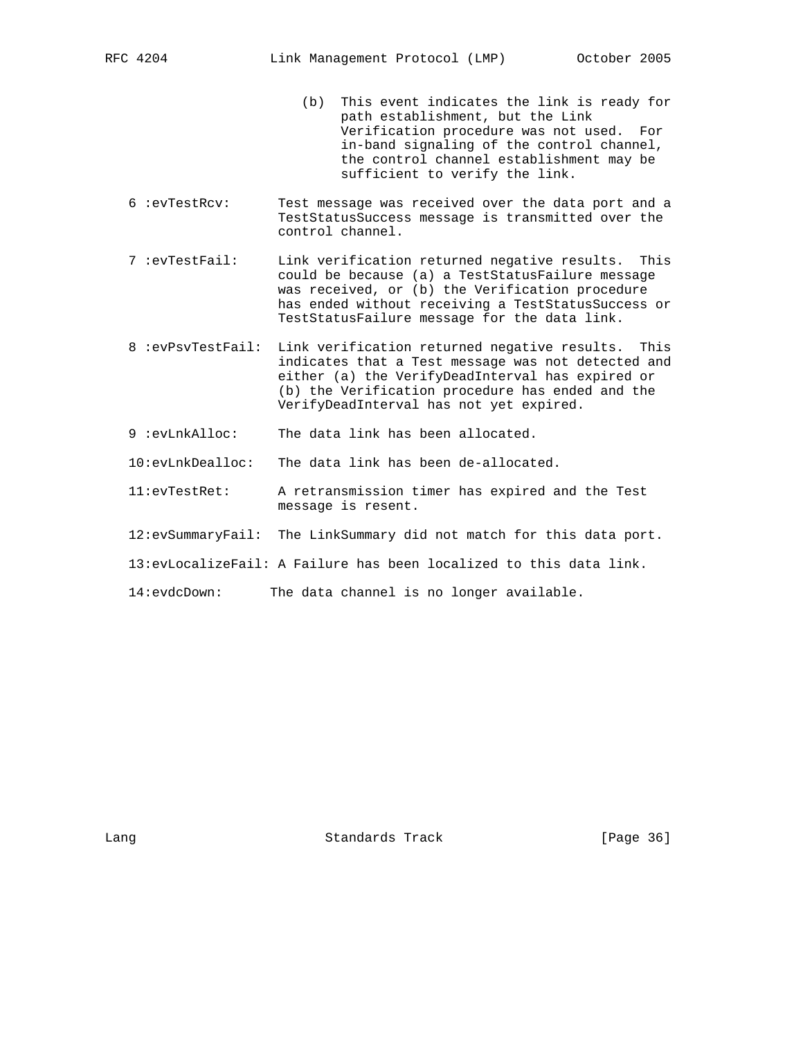- (b) This event indicates the link is ready for path establishment, but the Link Verification procedure was not used. For in-band signaling of the control channel, the control channel establishment may be sufficient to verify the link.
- 6 :evTestRcv: Test message was received over the data port and a TestStatusSuccess message is transmitted over the control channel.
- 7 :evTestFail: Link verification returned negative results. This could be because (a) a TestStatusFailure message was received, or (b) the Verification procedure has ended without receiving a TestStatusSuccess or TestStatusFailure message for the data link.
- 8 :evPsvTestFail: Link verification returned negative results. This indicates that a Test message was not detected and either (a) the VerifyDeadInterval has expired or (b) the Verification procedure has ended and the VerifyDeadInterval has not yet expired.
- 9 :evLnkAlloc: The data link has been allocated.
- 10:evLnkDealloc: The data link has been de-allocated.
- 11:evTestRet: A retransmission timer has expired and the Test message is resent.
- 12:evSummaryFail: The LinkSummary did not match for this data port.
- 13:evLocalizeFail: A Failure has been localized to this data link.
- 14:evdcDown: The data channel is no longer available.

Lang **Standards Track** [Page 36]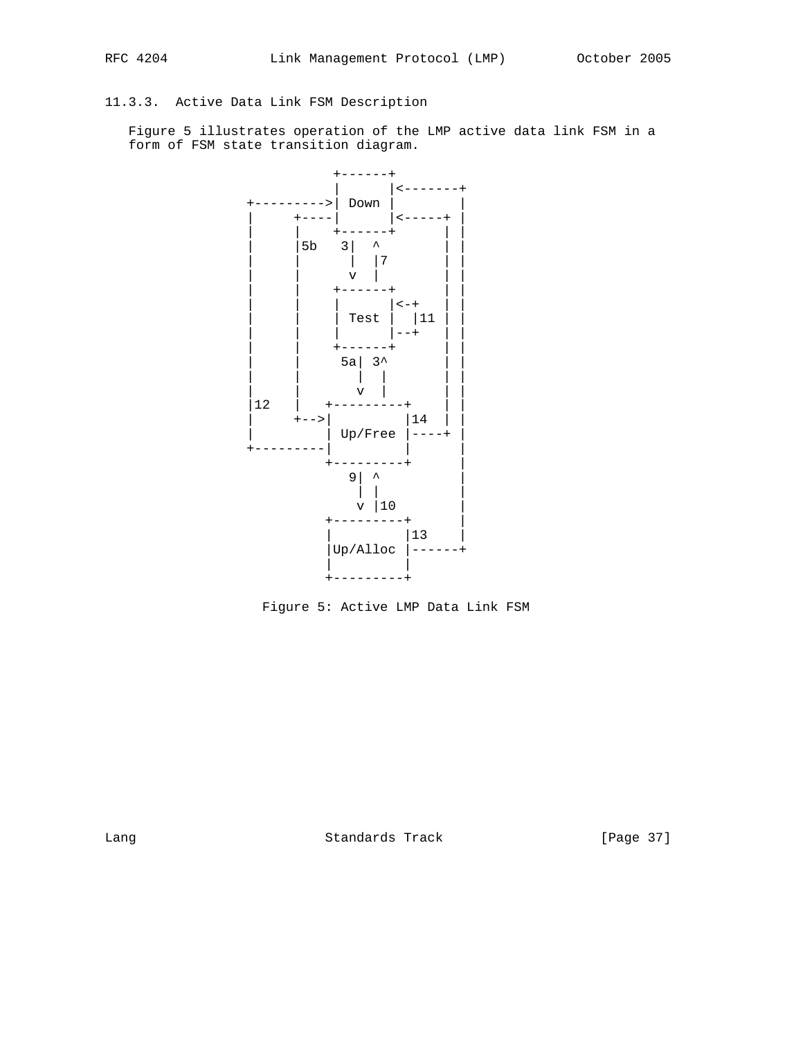# 11.3.3. Active Data Link FSM Description

 Figure 5 illustrates operation of the LMP active data link FSM in a form of FSM state transition diagram.



Figure 5: Active LMP Data Link FSM

Lang **Standards Track** [Page 37]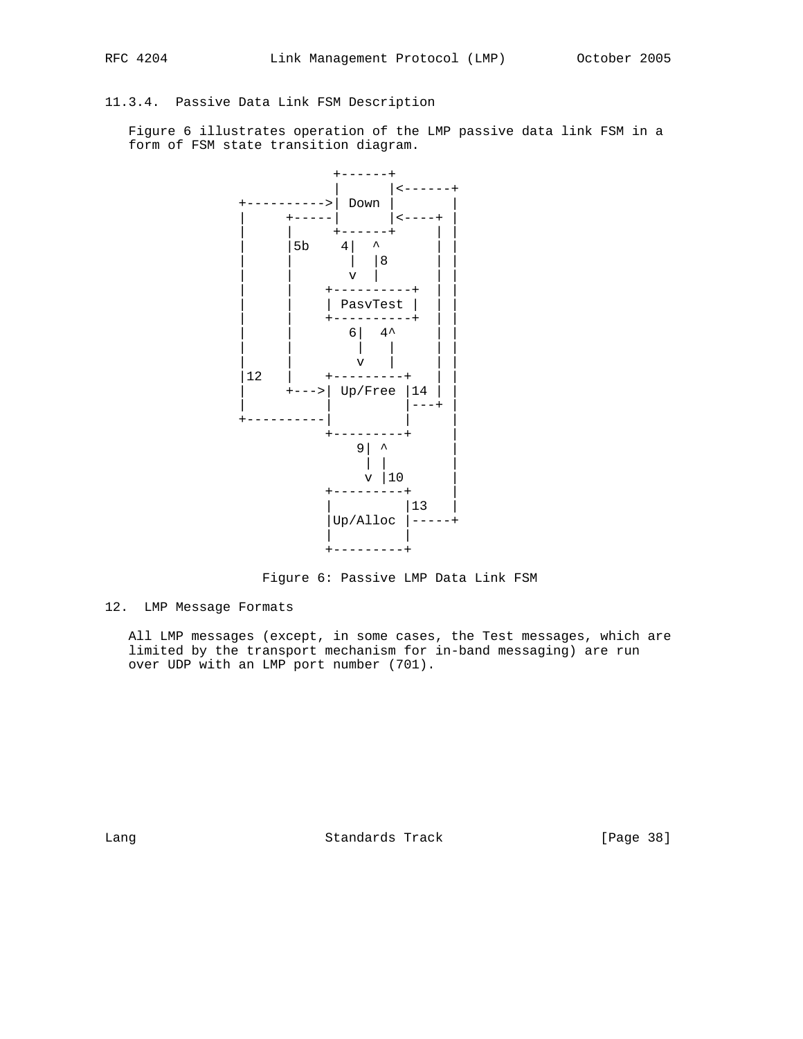## 11.3.4. Passive Data Link FSM Description

 Figure 6 illustrates operation of the LMP passive data link FSM in a form of FSM state transition diagram.



Figure 6: Passive LMP Data Link FSM

12. LMP Message Formats

 All LMP messages (except, in some cases, the Test messages, which are limited by the transport mechanism for in-band messaging) are run over UDP with an LMP port number (701).

Lang Contract Standards Track [Page 38]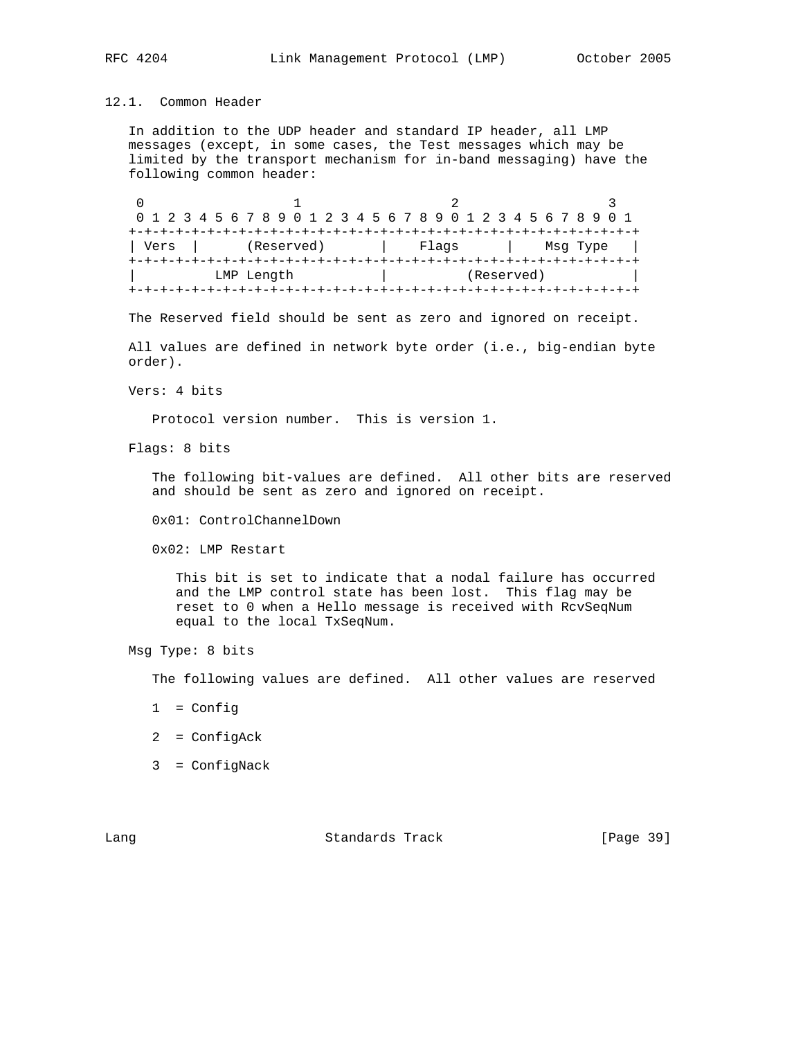### 12.1. Common Header

 In addition to the UDP header and standard IP header, all LMP messages (except, in some cases, the Test messages which may be limited by the transport mechanism for in-band messaging) have the following common header:

0  $1$  2 3 0 1 2 3 4 5 6 7 8 9 0 1 2 3 4 5 6 7 8 9 0 1 2 3 4 5 6 7 8 9 0 1 +-+-+-+-+-+-+-+-+-+-+-+-+-+-+-+-+-+-+-+-+-+-+-+-+-+-+-+-+-+-+-+-+ | Vers | (Reserved) | Flags | Msg Type | +-+-+-+-+-+-+-+-+-+-+-+-+-+-+-+-+-+-+-+-+-+-+-+-+-+-+-+-+-+-+-+-+ | LMP Length | (Reserved) | +-+-+-+-+-+-+-+-+-+-+-+-+-+-+-+-+-+-+-+-+-+-+-+-+-+-+-+-+-+-+-+-+

The Reserved field should be sent as zero and ignored on receipt.

 All values are defined in network byte order (i.e., big-endian byte order).

Vers: 4 bits

Protocol version number. This is version 1.

Flags: 8 bits

 The following bit-values are defined. All other bits are reserved and should be sent as zero and ignored on receipt.

0x01: ControlChannelDown

0x02: LMP Restart

 This bit is set to indicate that a nodal failure has occurred and the LMP control state has been lost. This flag may be reset to 0 when a Hello message is received with RcvSeqNum equal to the local TxSeqNum.

Msg Type: 8 bits

The following values are defined. All other values are reserved

- 1 = Config
- 2 = ConfigAck
- 3 = ConfigNack

Lang Contract Contract Standards Track Contract (Page 39)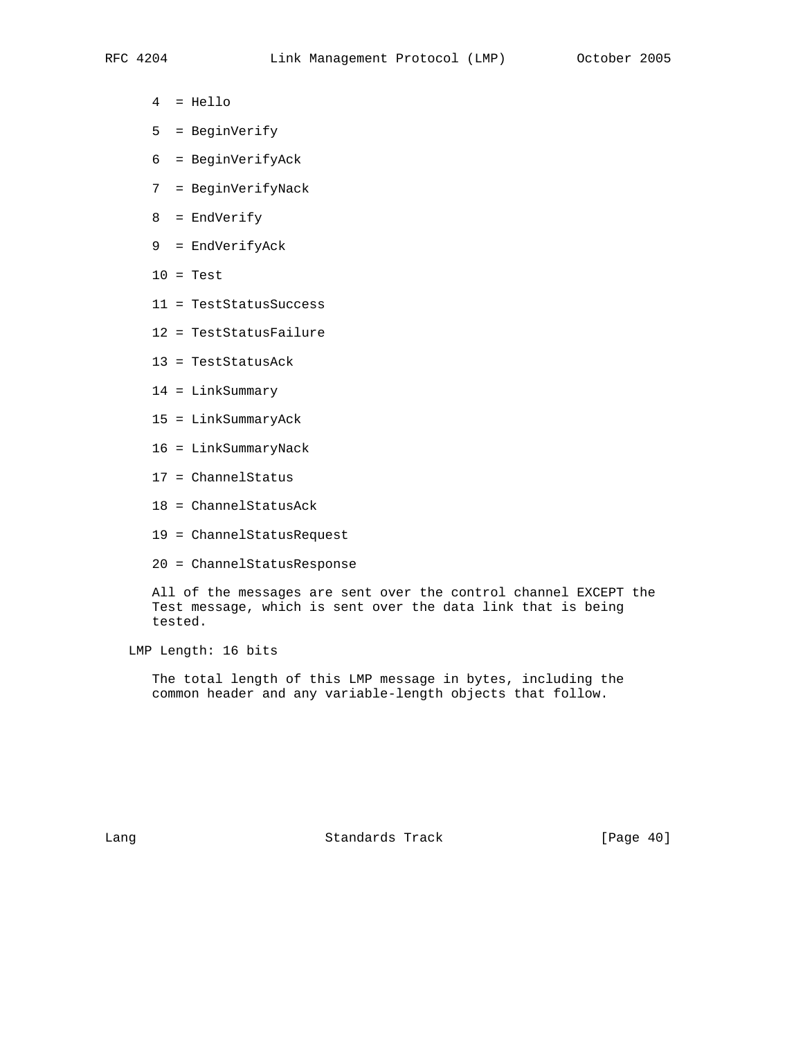- 4 = Hello
- 5 = BeginVerify
- 6 = BeginVerifyAck
- 7 = BeginVerifyNack
- 8 = EndVerify
- 9 = EndVerifyAck
- $10 = Test$
- 11 = TestStatusSuccess
- 12 = TestStatusFailure
- 13 = TestStatusAck
- 14 = LinkSummary
- 15 = LinkSummaryAck
- 16 = LinkSummaryNack
- 17 = ChannelStatus
- 18 = ChannelStatusAck
- 19 = ChannelStatusRequest
- 20 = ChannelStatusResponse

 All of the messages are sent over the control channel EXCEPT the Test message, which is sent over the data link that is being tested.

LMP Length: 16 bits

 The total length of this LMP message in bytes, including the common header and any variable-length objects that follow.

Lang Contract Standards Track [Page 40]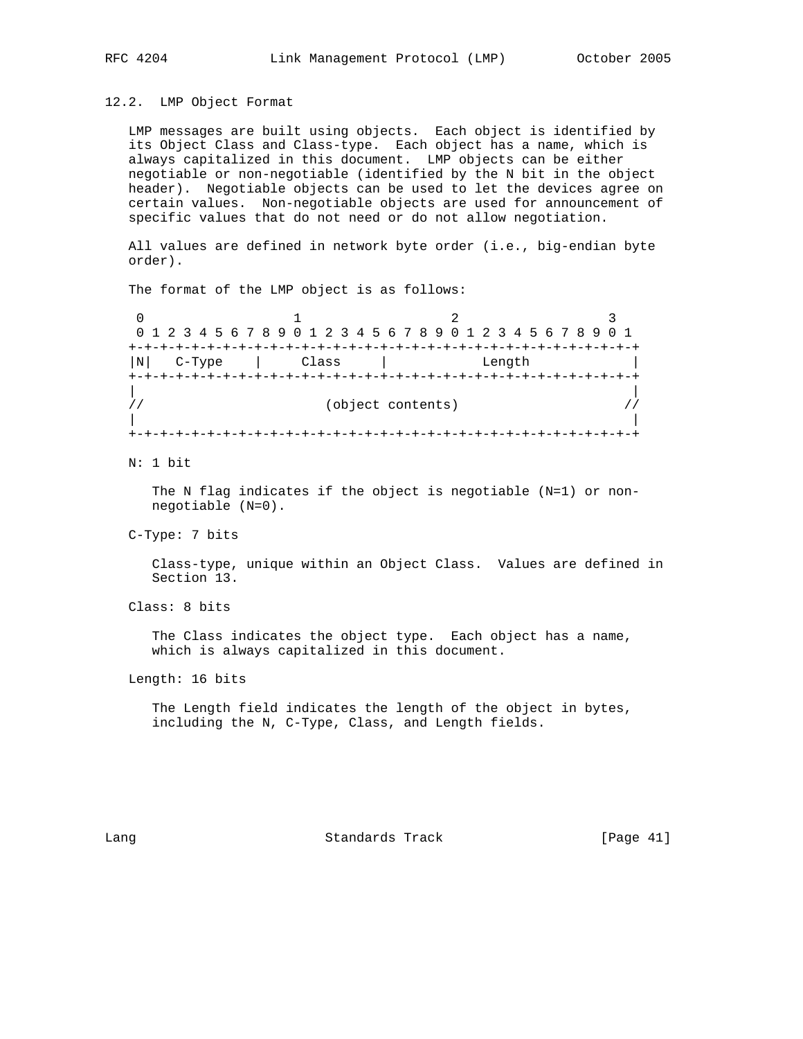### 12.2. LMP Object Format

 LMP messages are built using objects. Each object is identified by its Object Class and Class-type. Each object has a name, which is always capitalized in this document. LMP objects can be either negotiable or non-negotiable (identified by the N bit in the object header). Negotiable objects can be used to let the devices agree on certain values. Non-negotiable objects are used for announcement of specific values that do not need or do not allow negotiation.

 All values are defined in network byte order (i.e., big-endian byte order).

The format of the LMP object is as follows:

 $\begin{array}{ccccccc}\n0 & & & 1 & & & 2 & & 3\n\end{array}$  0 1 2 3 4 5 6 7 8 9 0 1 2 3 4 5 6 7 8 9 0 1 2 3 4 5 6 7 8 9 0 1 +-+-+-+-+-+-+-+-+-+-+-+-+-+-+-+-+-+-+-+-+-+-+-+-+-+-+-+-+-+-+-+-+ |N| C-Type | Class | Length | +-+-+-+-+-+-+-+-+-+-+-+-+-+-+-+-+-+-+-+-+-+-+-+-+-+-+-+-+-+-+-+-+ | | // (object contents) // | | +-+-+-+-+-+-+-+-+-+-+-+-+-+-+-+-+-+-+-+-+-+-+-+-+-+-+-+-+-+-+-+-+

#### N: 1 bit

 The N flag indicates if the object is negotiable (N=1) or non negotiable (N=0).

C-Type: 7 bits

 Class-type, unique within an Object Class. Values are defined in Section 13.

Class: 8 bits

 The Class indicates the object type. Each object has a name, which is always capitalized in this document.

Length: 16 bits

 The Length field indicates the length of the object in bytes, including the N, C-Type, Class, and Length fields.

Lang **Standards Track** [Page 41]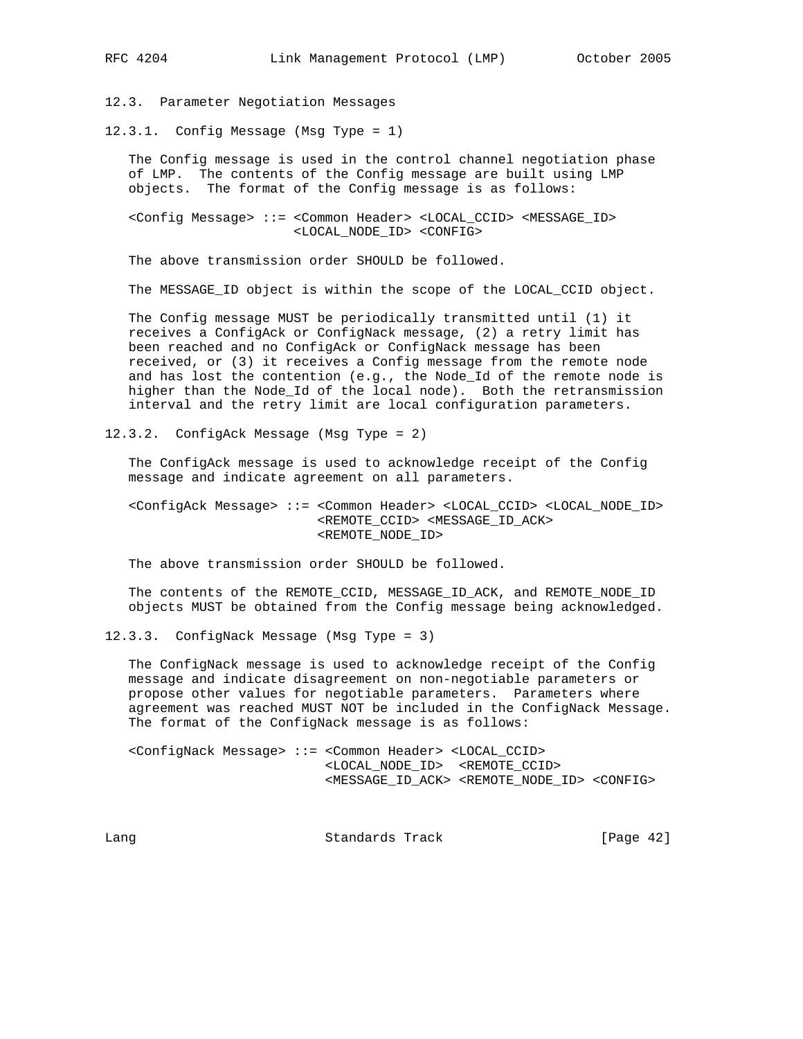12.3. Parameter Negotiation Messages

12.3.1. Config Message (Msg Type = 1)

 The Config message is used in the control channel negotiation phase of LMP. The contents of the Config message are built using LMP objects. The format of the Config message is as follows:

 <Config Message> ::= <Common Header> <LOCAL\_CCID> <MESSAGE\_ID> <LOCAL\_NODE\_ID> <CONFIG>

The above transmission order SHOULD be followed.

The MESSAGE\_ID object is within the scope of the LOCAL\_CCID object.

 The Config message MUST be periodically transmitted until (1) it receives a ConfigAck or ConfigNack message, (2) a retry limit has been reached and no ConfigAck or ConfigNack message has been received, or (3) it receives a Config message from the remote node and has lost the contention (e.g., the Node\_Id of the remote node is higher than the Node\_Id of the local node). Both the retransmission interval and the retry limit are local configuration parameters.

12.3.2. ConfigAck Message (Msg Type = 2)

 The ConfigAck message is used to acknowledge receipt of the Config message and indicate agreement on all parameters.

 <ConfigAck Message> ::= <Common Header> <LOCAL\_CCID> <LOCAL\_NODE\_ID> <REMOTE\_CCID> <MESSAGE\_ID\_ACK> <REMOTE\_NODE\_ID>

The above transmission order SHOULD be followed.

 The contents of the REMOTE\_CCID, MESSAGE\_ID\_ACK, and REMOTE\_NODE\_ID objects MUST be obtained from the Config message being acknowledged.

12.3.3. ConfigNack Message (Msg Type = 3)

 The ConfigNack message is used to acknowledge receipt of the Config message and indicate disagreement on non-negotiable parameters or propose other values for negotiable parameters. Parameters where agreement was reached MUST NOT be included in the ConfigNack Message. The format of the ConfigNack message is as follows:

 <ConfigNack Message> ::= <Common Header> <LOCAL\_CCID> <LOCAL\_NODE\_ID> <REMOTE\_CCID> <MESSAGE\_ID\_ACK> <REMOTE\_NODE\_ID> <CONFIG>

Lang **Standards Track** [Page 42]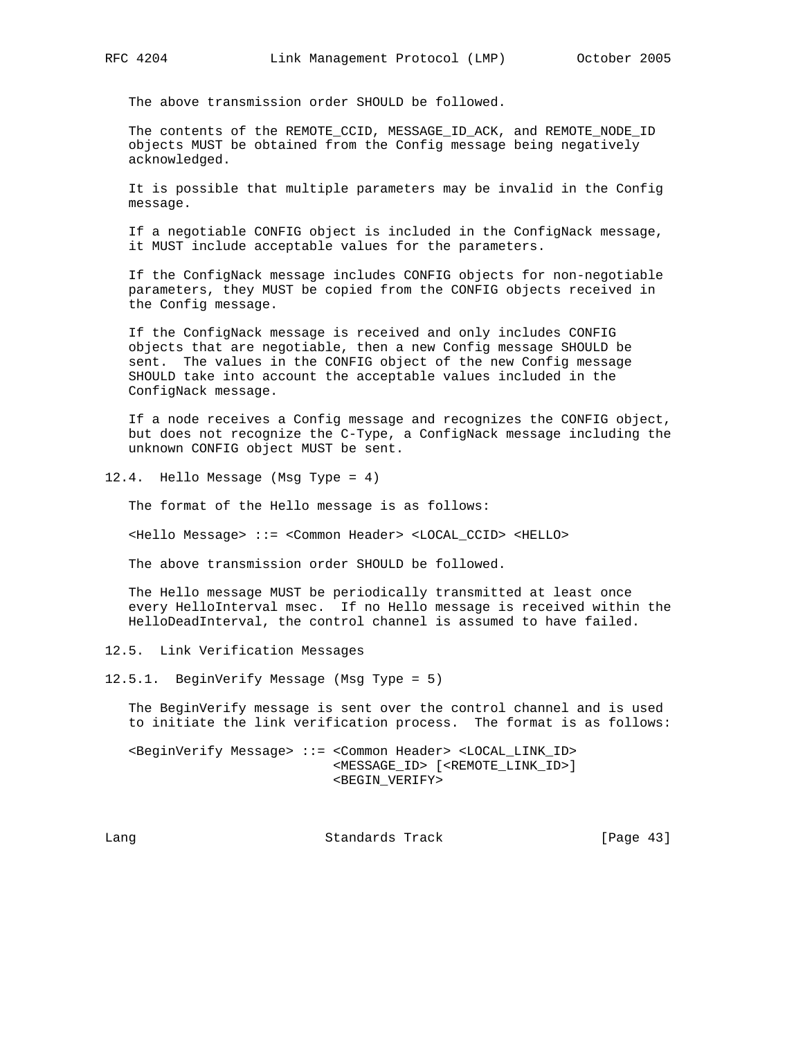The above transmission order SHOULD be followed.

 The contents of the REMOTE\_CCID, MESSAGE\_ID\_ACK, and REMOTE\_NODE\_ID objects MUST be obtained from the Config message being negatively acknowledged.

 It is possible that multiple parameters may be invalid in the Config message.

 If a negotiable CONFIG object is included in the ConfigNack message, it MUST include acceptable values for the parameters.

 If the ConfigNack message includes CONFIG objects for non-negotiable parameters, they MUST be copied from the CONFIG objects received in the Config message.

 If the ConfigNack message is received and only includes CONFIG objects that are negotiable, then a new Config message SHOULD be sent. The values in the CONFIG object of the new Config message SHOULD take into account the acceptable values included in the ConfigNack message.

 If a node receives a Config message and recognizes the CONFIG object, but does not recognize the C-Type, a ConfigNack message including the unknown CONFIG object MUST be sent.

12.4. Hello Message (Msg Type = 4)

The format of the Hello message is as follows:

<Hello Message> ::= <Common Header> <LOCAL\_CCID> <HELLO>

The above transmission order SHOULD be followed.

 The Hello message MUST be periodically transmitted at least once every HelloInterval msec. If no Hello message is received within the HelloDeadInterval, the control channel is assumed to have failed.

12.5. Link Verification Messages

12.5.1. BeginVerify Message (Msg Type = 5)

 The BeginVerify message is sent over the control channel and is used to initiate the link verification process. The format is as follows:

 <BeginVerify Message> ::= <Common Header> <LOCAL\_LINK\_ID> <MESSAGE\_ID> [<REMOTE\_LINK\_ID>] <BEGIN\_VERIFY>

Lang Contract Contract Standards Track Contract (Page 43)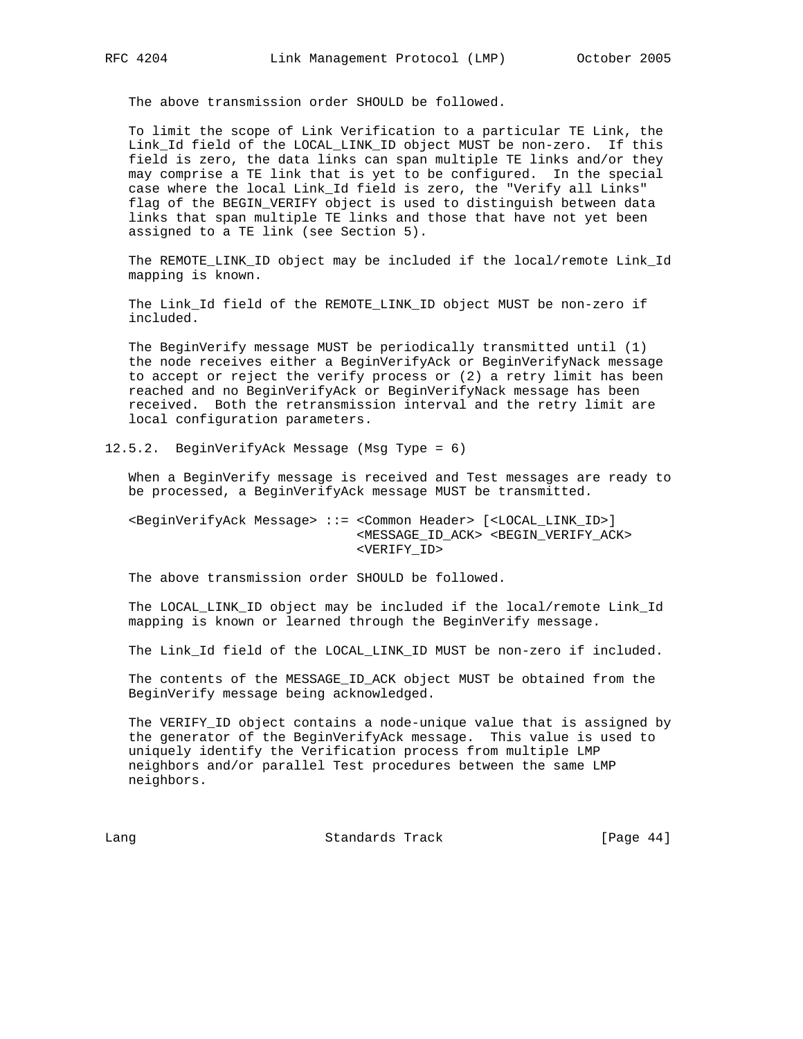The above transmission order SHOULD be followed.

 To limit the scope of Link Verification to a particular TE Link, the Link\_Id field of the LOCAL\_LINK\_ID object MUST be non-zero. If this field is zero, the data links can span multiple TE links and/or they may comprise a TE link that is yet to be configured. In the special case where the local Link\_Id field is zero, the "Verify all Links" flag of the BEGIN\_VERIFY object is used to distinguish between data links that span multiple TE links and those that have not yet been assigned to a TE link (see Section 5).

 The REMOTE\_LINK\_ID object may be included if the local/remote Link\_Id mapping is known.

 The Link\_Id field of the REMOTE\_LINK\_ID object MUST be non-zero if included.

 The BeginVerify message MUST be periodically transmitted until (1) the node receives either a BeginVerifyAck or BeginVerifyNack message to accept or reject the verify process or (2) a retry limit has been reached and no BeginVerifyAck or BeginVerifyNack message has been received. Both the retransmission interval and the retry limit are local configuration parameters.

12.5.2. BeginVerifyAck Message (Msg Type = 6)

 When a BeginVerify message is received and Test messages are ready to be processed, a BeginVerifyAck message MUST be transmitted.

 <BeginVerifyAck Message> ::= <Common Header> [<LOCAL\_LINK\_ID>] <MESSAGE\_ID\_ACK> <BEGIN\_VERIFY\_ACK> <VERIFY\_ID>

The above transmission order SHOULD be followed.

 The LOCAL\_LINK\_ID object may be included if the local/remote Link\_Id mapping is known or learned through the BeginVerify message.

The Link\_Id field of the LOCAL\_LINK\_ID MUST be non-zero if included.

 The contents of the MESSAGE\_ID\_ACK object MUST be obtained from the BeginVerify message being acknowledged.

 The VERIFY\_ID object contains a node-unique value that is assigned by the generator of the BeginVerifyAck message. This value is used to uniquely identify the Verification process from multiple LMP neighbors and/or parallel Test procedures between the same LMP neighbors.

Lang Contract Standards Track [Page 44]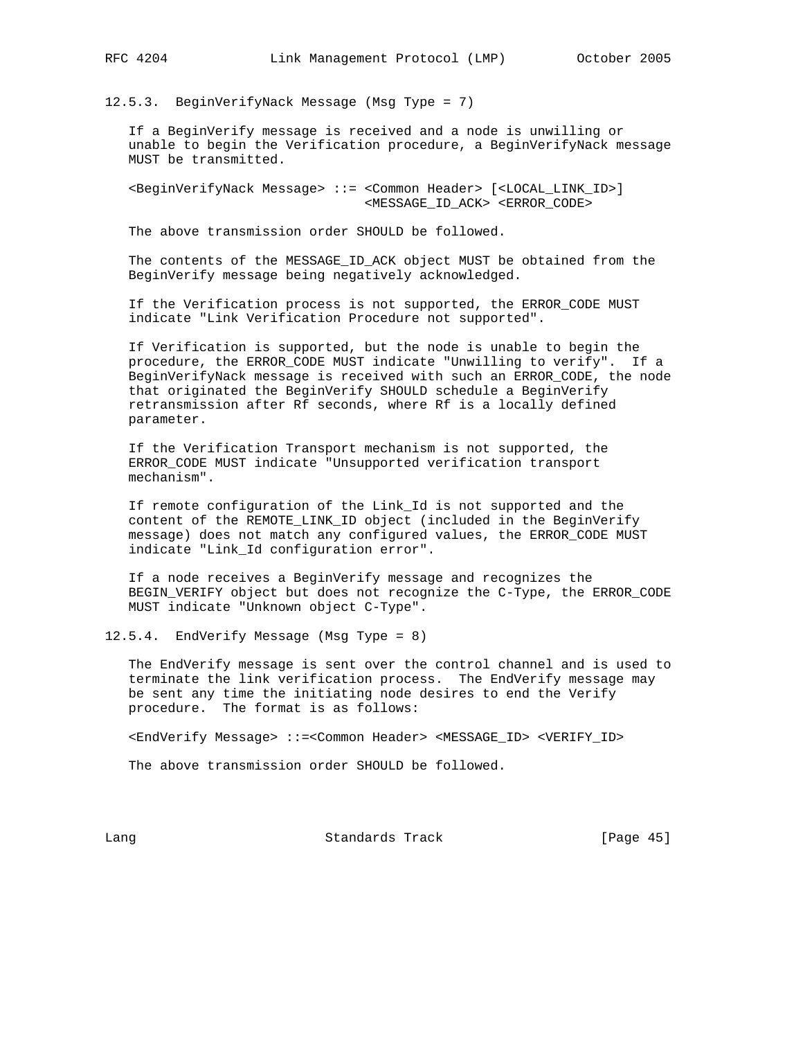12.5.3. BeginVerifyNack Message (Msg Type = 7)

 If a BeginVerify message is received and a node is unwilling or unable to begin the Verification procedure, a BeginVerifyNack message MUST be transmitted.

 <BeginVerifyNack Message> ::= <Common Header> [<LOCAL\_LINK\_ID>] <MESSAGE\_ID\_ACK> <ERROR\_CODE>

The above transmission order SHOULD be followed.

 The contents of the MESSAGE\_ID\_ACK object MUST be obtained from the BeginVerify message being negatively acknowledged.

 If the Verification process is not supported, the ERROR\_CODE MUST indicate "Link Verification Procedure not supported".

 If Verification is supported, but the node is unable to begin the procedure, the ERROR\_CODE MUST indicate "Unwilling to verify". If a BeginVerifyNack message is received with such an ERROR\_CODE, the node that originated the BeginVerify SHOULD schedule a BeginVerify retransmission after Rf seconds, where Rf is a locally defined parameter.

 If the Verification Transport mechanism is not supported, the ERROR\_CODE MUST indicate "Unsupported verification transport mechanism".

 If remote configuration of the Link\_Id is not supported and the content of the REMOTE\_LINK\_ID object (included in the BeginVerify message) does not match any configured values, the ERROR\_CODE MUST indicate "Link\_Id configuration error".

 If a node receives a BeginVerify message and recognizes the BEGIN\_VERIFY object but does not recognize the C-Type, the ERROR\_CODE MUST indicate "Unknown object C-Type".

12.5.4. EndVerify Message (Msg Type = 8)

 The EndVerify message is sent over the control channel and is used to terminate the link verification process. The EndVerify message may be sent any time the initiating node desires to end the Verify procedure. The format is as follows:

<EndVerify Message> ::=<Common Header> <MESSAGE\_ID> <VERIFY\_ID>

The above transmission order SHOULD be followed.

Lang Contract Standards Track [Page 45]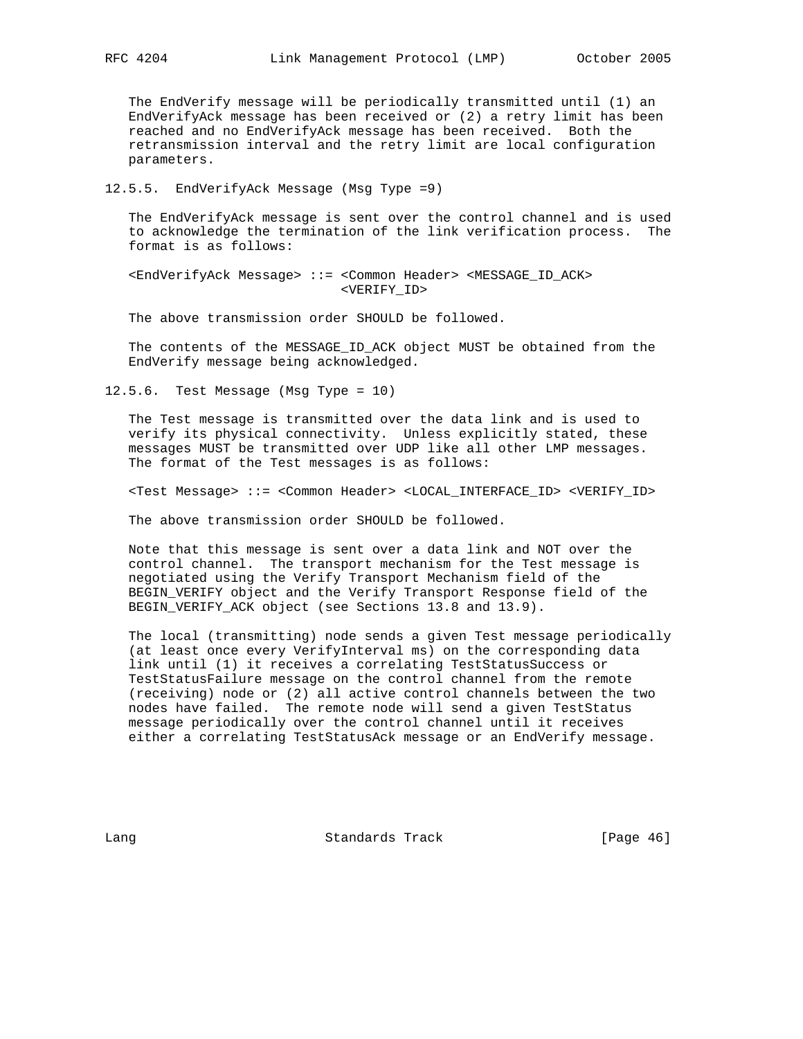The EndVerify message will be periodically transmitted until (1) an EndVerifyAck message has been received or (2) a retry limit has been reached and no EndVerifyAck message has been received. Both the retransmission interval and the retry limit are local configuration parameters.

12.5.5. EndVerifyAck Message (Msg Type =9)

 The EndVerifyAck message is sent over the control channel and is used to acknowledge the termination of the link verification process. The format is as follows:

 <EndVerifyAck Message> ::= <Common Header> <MESSAGE\_ID\_ACK> <VERIFY\_ID>

The above transmission order SHOULD be followed.

 The contents of the MESSAGE\_ID\_ACK object MUST be obtained from the EndVerify message being acknowledged.

12.5.6. Test Message (Msg Type = 10)

 The Test message is transmitted over the data link and is used to verify its physical connectivity. Unless explicitly stated, these messages MUST be transmitted over UDP like all other LMP messages. The format of the Test messages is as follows:

<Test Message> ::= <Common Header> <LOCAL\_INTERFACE\_ID> <VERIFY\_ID>

The above transmission order SHOULD be followed.

 Note that this message is sent over a data link and NOT over the control channel. The transport mechanism for the Test message is negotiated using the Verify Transport Mechanism field of the BEGIN\_VERIFY object and the Verify Transport Response field of the BEGIN\_VERIFY\_ACK object (see Sections 13.8 and 13.9).

 The local (transmitting) node sends a given Test message periodically (at least once every VerifyInterval ms) on the corresponding data link until (1) it receives a correlating TestStatusSuccess or TestStatusFailure message on the control channel from the remote (receiving) node or (2) all active control channels between the two nodes have failed. The remote node will send a given TestStatus message periodically over the control channel until it receives either a correlating TestStatusAck message or an EndVerify message.

Lang Contract Standards Track [Page 46]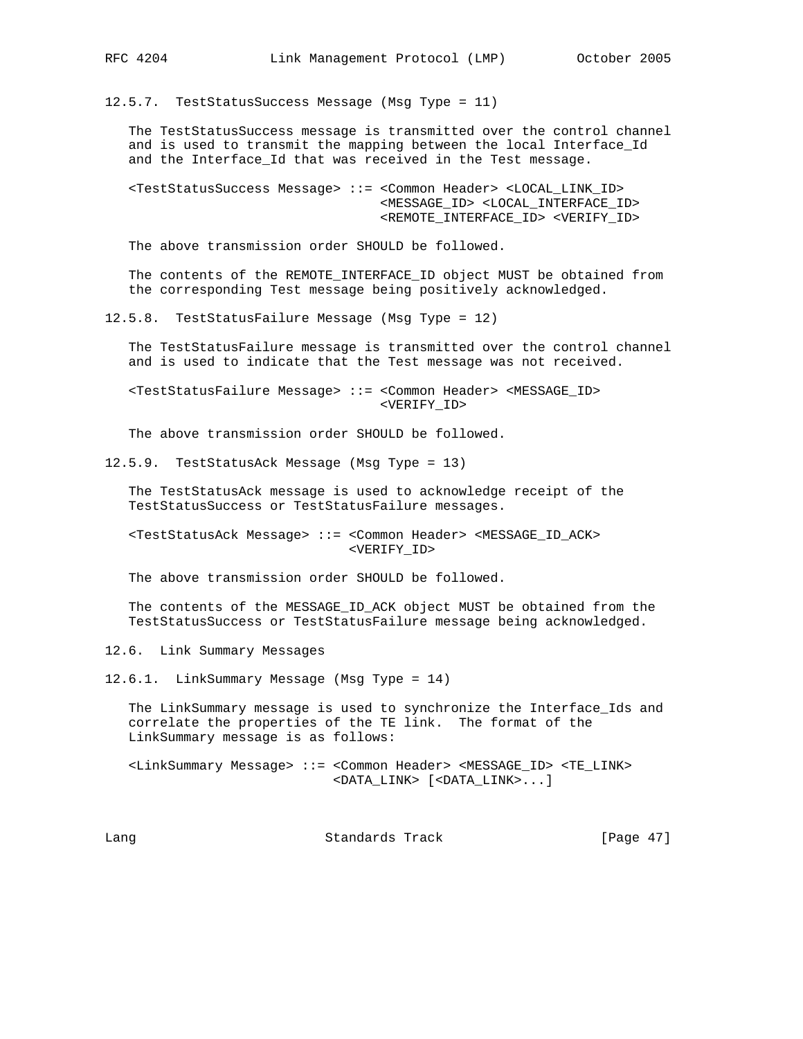12.5.7. TestStatusSuccess Message (Msg Type = 11)

 The TestStatusSuccess message is transmitted over the control channel and is used to transmit the mapping between the local Interface Id and the Interface\_Id that was received in the Test message.

 <TestStatusSuccess Message> ::= <Common Header> <LOCAL\_LINK\_ID> <MESSAGE\_ID> <LOCAL\_INTERFACE\_ID> <REMOTE\_INTERFACE\_ID> <VERIFY\_ID>

The above transmission order SHOULD be followed.

The contents of the REMOTE INTERFACE ID object MUST be obtained from the corresponding Test message being positively acknowledged.

12.5.8. TestStatusFailure Message (Msg Type = 12)

 The TestStatusFailure message is transmitted over the control channel and is used to indicate that the Test message was not received.

 <TestStatusFailure Message> ::= <Common Header> <MESSAGE\_ID> <VERIFY\_ID>

The above transmission order SHOULD be followed.

12.5.9. TestStatusAck Message (Msg Type = 13)

 The TestStatusAck message is used to acknowledge receipt of the TestStatusSuccess or TestStatusFailure messages.

 <TestStatusAck Message> ::= <Common Header> <MESSAGE\_ID\_ACK> <VERIFY\_ID>

The above transmission order SHOULD be followed.

 The contents of the MESSAGE\_ID\_ACK object MUST be obtained from the TestStatusSuccess or TestStatusFailure message being acknowledged.

12.6. Link Summary Messages

12.6.1. LinkSummary Message (Msg Type = 14)

 The LinkSummary message is used to synchronize the Interface\_Ids and correlate the properties of the TE link. The format of the LinkSummary message is as follows:

 <LinkSummary Message> ::= <Common Header> <MESSAGE\_ID> <TE\_LINK> <DATA\_LINK> [<DATA\_LINK>...]

Lang **Standards Track** [Page 47]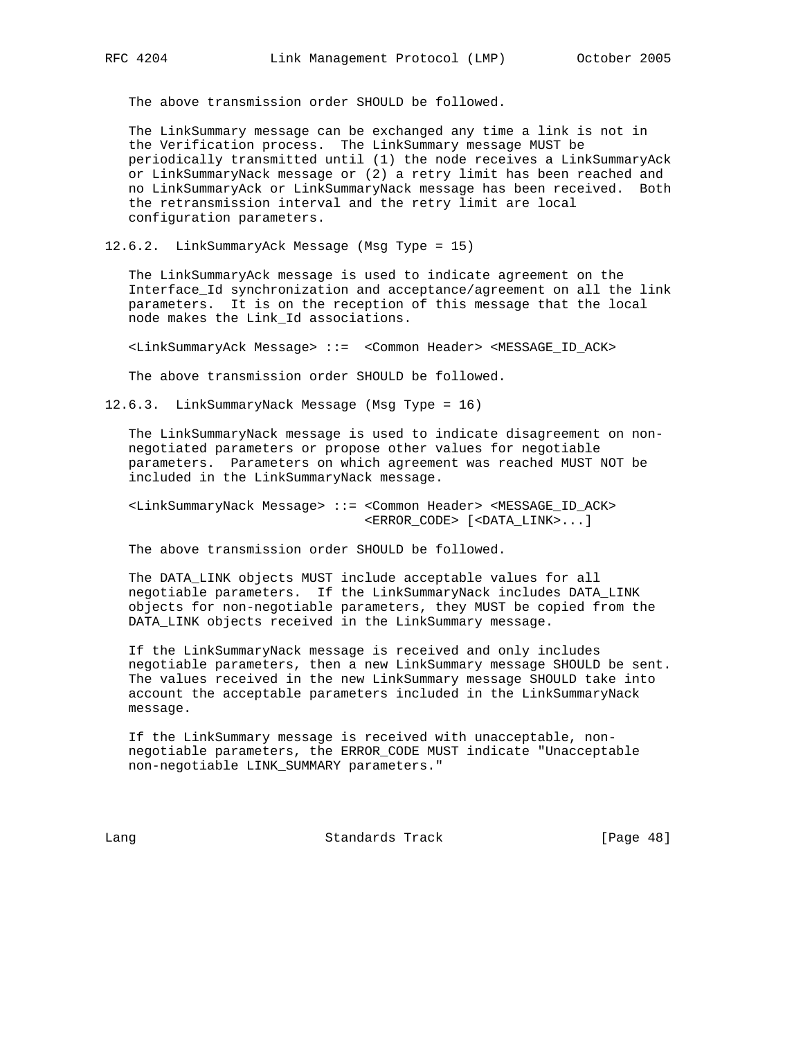The above transmission order SHOULD be followed.

 The LinkSummary message can be exchanged any time a link is not in the Verification process. The LinkSummary message MUST be periodically transmitted until (1) the node receives a LinkSummaryAck or LinkSummaryNack message or (2) a retry limit has been reached and no LinkSummaryAck or LinkSummaryNack message has been received. Both the retransmission interval and the retry limit are local configuration parameters.

12.6.2. LinkSummaryAck Message (Msg Type = 15)

 The LinkSummaryAck message is used to indicate agreement on the Interface\_Id synchronization and acceptance/agreement on all the link parameters. It is on the reception of this message that the local node makes the Link\_Id associations.

<LinkSummaryAck Message> ::= <Common Header> <MESSAGE\_ID\_ACK>

The above transmission order SHOULD be followed.

12.6.3. LinkSummaryNack Message (Msg Type = 16)

 The LinkSummaryNack message is used to indicate disagreement on non negotiated parameters or propose other values for negotiable parameters. Parameters on which agreement was reached MUST NOT be included in the LinkSummaryNack message.

 <LinkSummaryNack Message> ::= <Common Header> <MESSAGE\_ID\_ACK> <ERROR\_CODE> [<DATA\_LINK>...]

The above transmission order SHOULD be followed.

 The DATA\_LINK objects MUST include acceptable values for all negotiable parameters. If the LinkSummaryNack includes DATA\_LINK objects for non-negotiable parameters, they MUST be copied from the DATA\_LINK objects received in the LinkSummary message.

 If the LinkSummaryNack message is received and only includes negotiable parameters, then a new LinkSummary message SHOULD be sent. The values received in the new LinkSummary message SHOULD take into account the acceptable parameters included in the LinkSummaryNack message.

 If the LinkSummary message is received with unacceptable, non negotiable parameters, the ERROR\_CODE MUST indicate "Unacceptable non-negotiable LINK\_SUMMARY parameters."

Lang Contract Standards Track [Page 48]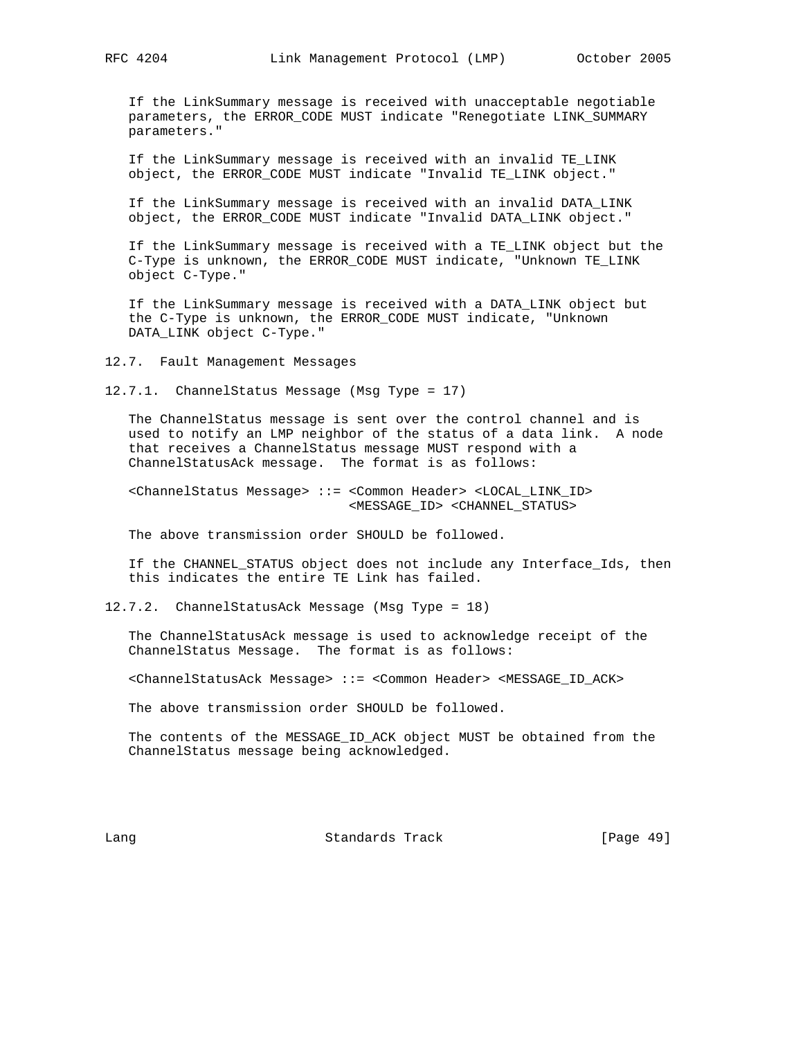If the LinkSummary message is received with unacceptable negotiable parameters, the ERROR\_CODE MUST indicate "Renegotiate LINK\_SUMMARY parameters."

 If the LinkSummary message is received with an invalid TE\_LINK object, the ERROR\_CODE MUST indicate "Invalid TE\_LINK object."

 If the LinkSummary message is received with an invalid DATA\_LINK object, the ERROR\_CODE MUST indicate "Invalid DATA\_LINK object."

 If the LinkSummary message is received with a TE\_LINK object but the C-Type is unknown, the ERROR\_CODE MUST indicate, "Unknown TE\_LINK object C-Type."

 If the LinkSummary message is received with a DATA\_LINK object but the C-Type is unknown, the ERROR\_CODE MUST indicate, "Unknown DATA\_LINK object C-Type."

12.7. Fault Management Messages

12.7.1. ChannelStatus Message (Msg Type = 17)

 The ChannelStatus message is sent over the control channel and is used to notify an LMP neighbor of the status of a data link. A node that receives a ChannelStatus message MUST respond with a ChannelStatusAck message. The format is as follows:

 <ChannelStatus Message> ::= <Common Header> <LOCAL\_LINK\_ID> <MESSAGE\_ID> <CHANNEL\_STATUS>

The above transmission order SHOULD be followed.

 If the CHANNEL\_STATUS object does not include any Interface\_Ids, then this indicates the entire TE Link has failed.

12.7.2. ChannelStatusAck Message (Msg Type = 18)

 The ChannelStatusAck message is used to acknowledge receipt of the ChannelStatus Message. The format is as follows:

<ChannelStatusAck Message> ::= <Common Header> <MESSAGE\_ID\_ACK>

The above transmission order SHOULD be followed.

 The contents of the MESSAGE\_ID\_ACK object MUST be obtained from the ChannelStatus message being acknowledged.

Lang **Standards Track** [Page 49]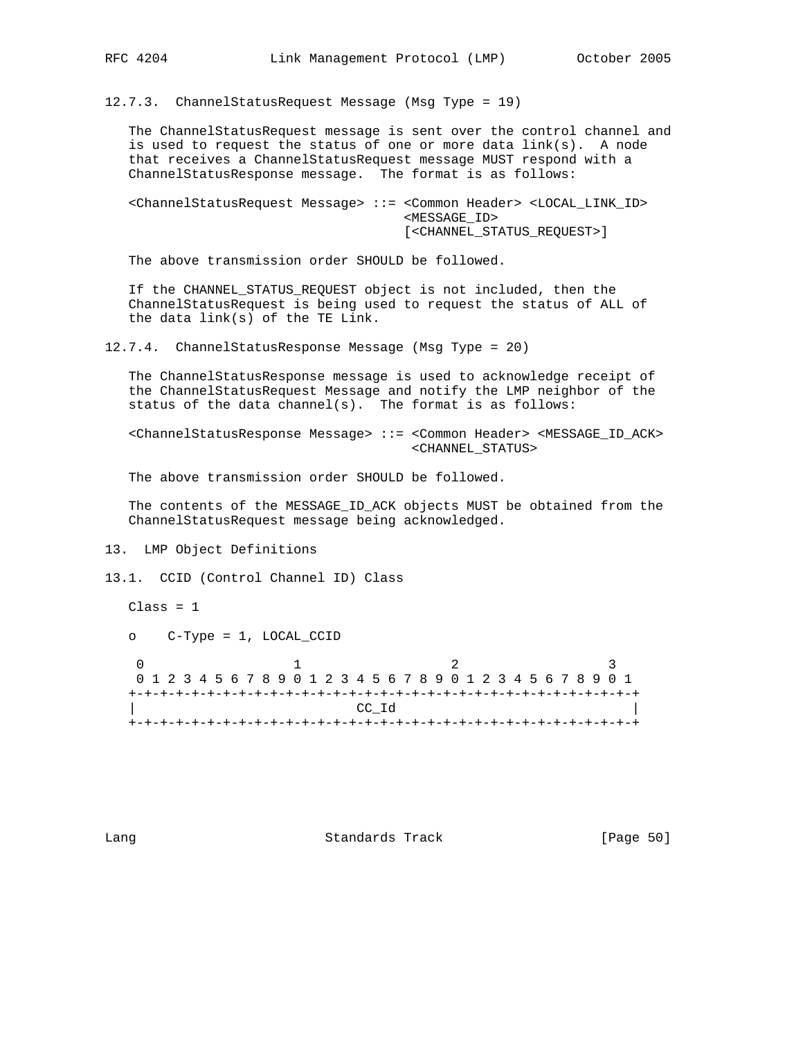12.7.3. ChannelStatusRequest Message (Msg Type = 19)

 The ChannelStatusRequest message is sent over the control channel and is used to request the status of one or more data link(s). A node that receives a ChannelStatusRequest message MUST respond with a ChannelStatusResponse message. The format is as follows:

 <ChannelStatusRequest Message> ::= <Common Header> <LOCAL\_LINK\_ID> <MESSAGE\_ID> [<CHANNEL\_STATUS\_REQUEST>]

The above transmission order SHOULD be followed.

 If the CHANNEL\_STATUS\_REQUEST object is not included, then the ChannelStatusRequest is being used to request the status of ALL of the data link(s) of the TE Link.

12.7.4. ChannelStatusResponse Message (Msg Type = 20)

 The ChannelStatusResponse message is used to acknowledge receipt of the ChannelStatusRequest Message and notify the LMP neighbor of the status of the data channel(s). The format is as follows:

 <ChannelStatusResponse Message> ::= <Common Header> <MESSAGE\_ID\_ACK> <CHANNEL\_STATUS>

The above transmission order SHOULD be followed.

 The contents of the MESSAGE\_ID\_ACK objects MUST be obtained from the ChannelStatusRequest message being acknowledged.

13. LMP Object Definitions

13.1. CCID (Control Channel ID) Class

 $Class = 1$ 

o C-Type = 1, LOCAL\_CCID

0  $1$  2 3 0 1 2 3 4 5 6 7 8 9 0 1 2 3 4 5 6 7 8 9 0 1 2 3 4 5 6 7 8 9 0 1 +-+-+-+-+-+-+-+-+-+-+-+-+-+-+-+-+-+-+-+-+-+-+-+-+-+-+-+-+-+-+-+-+ | CC\_Id | +-+-+-+-+-+-+-+-+-+-+-+-+-+-+-+-+-+-+-+-+-+-+-+-+-+-+-+-+-+-+-+-+

Lang **Standards Track** [Page 50]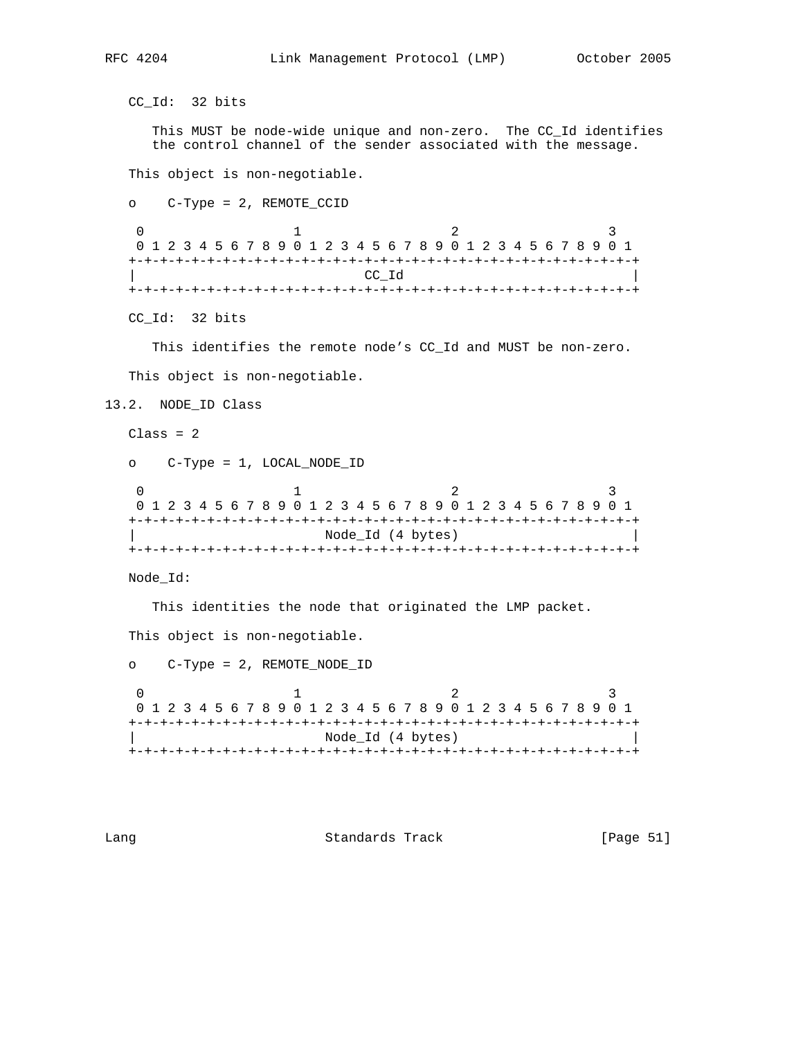```
 CC_Id: 32 bits
```
 This MUST be node-wide unique and non-zero. The CC\_Id identifies the control channel of the sender associated with the message.

This object is non-negotiable.

```
 o C-Type = 2, REMOTE_CCID
```
 $\begin{array}{ccccccc}\n0 & & & 1 & & & 2 & & 3\n\end{array}$  0 1 2 3 4 5 6 7 8 9 0 1 2 3 4 5 6 7 8 9 0 1 2 3 4 5 6 7 8 9 0 1 +-+-+-+-+-+-+-+-+-+-+-+-+-+-+-+-+-+-+-+-+-+-+-+-+-+-+-+-+-+-+-+-+  $\mathsf{CC\_Id}$  | +-+-+-+-+-+-+-+-+-+-+-+-+-+-+-+-+-+-+-+-+-+-+-+-+-+-+-+-+-+-+-+-+

CC\_Id: 32 bits

This identifies the remote node's CC\_Id and MUST be non-zero.

This object is non-negotiable.

```
13.2. NODE_ID Class
```
 $Class = 2$ 

o C-Type = 1, LOCAL\_NODE\_ID

0  $1$  2 3 0 1 2 3 4 5 6 7 8 9 0 1 2 3 4 5 6 7 8 9 0 1 2 3 4 5 6 7 8 9 0 1 +-+-+-+-+-+-+-+-+-+-+-+-+-+-+-+-+-+-+-+-+-+-+-+-+-+-+-+-+-+-+-+-+ | Node\_Id (4 bytes) | +-+-+-+-+-+-+-+-+-+-+-+-+-+-+-+-+-+-+-+-+-+-+-+-+-+-+-+-+-+-+-+-+

Node\_Id:

This identities the node that originated the LMP packet.

This object is non-negotiable.

 o C-Type = 2, REMOTE\_NODE\_ID 0  $1$  2 3 0 1 2 3 4 5 6 7 8 9 0 1 2 3 4 5 6 7 8 9 0 1 2 3 4 5 6 7 8 9 0 1 +-+-+-+-+-+-+-+-+-+-+-+-+-+-+-+-+-+-+-+-+-+-+-+-+-+-+-+-+-+-+-+-+ | Node\_Id (4 bytes) | +-+-+-+-+-+-+-+-+-+-+-+-+-+-+-+-+-+-+-+-+-+-+-+-+-+-+-+-+-+-+-+-+

Lang **Standards Track** [Page 51]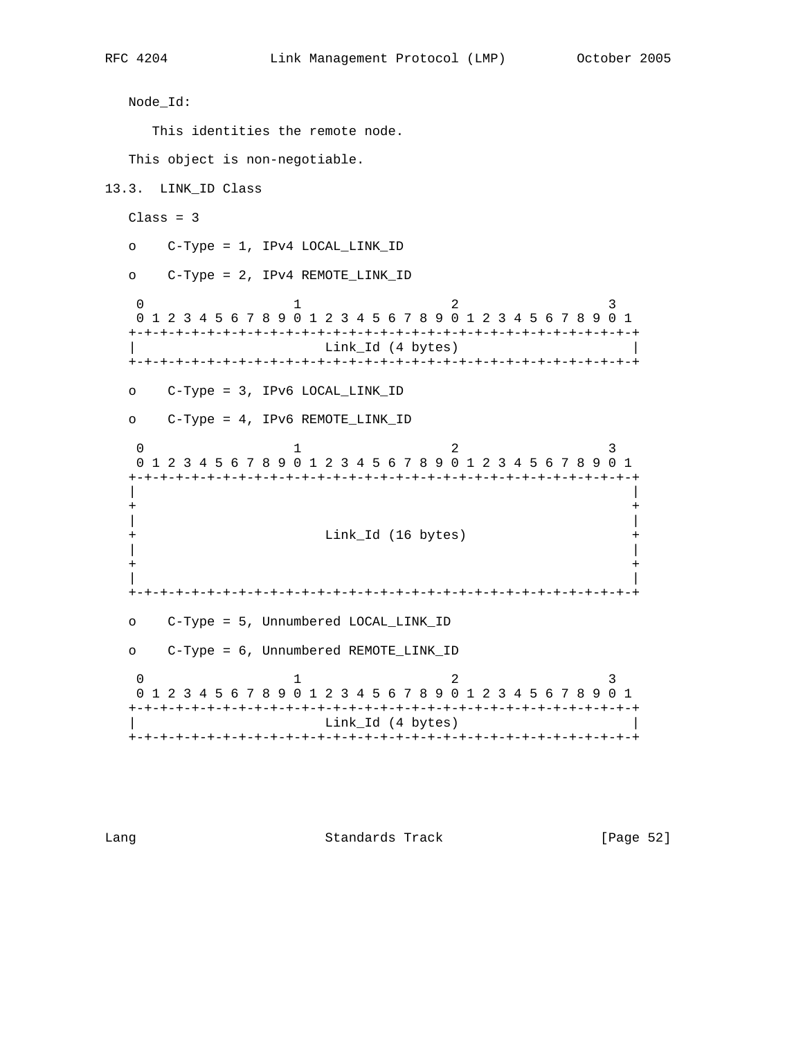```
 Node_Id:
    This identities the remote node.
  This object is non-negotiable.
13.3. LINK_ID Class
 Class = 3 o C-Type = 1, IPv4 LOCAL_LINK_ID
  o C-Type = 2, IPv4 REMOTE_LINK_ID
0 1 2 3
   0 1 2 3 4 5 6 7 8 9 0 1 2 3 4 5 6 7 8 9 0 1 2 3 4 5 6 7 8 9 0 1
   +-+-+-+-+-+-+-+-+-+-+-+-+-+-+-+-+-+-+-+-+-+-+-+-+-+-+-+-+-+-+-+-+
                 Link_Id (4 bytes)
   +-+-+-+-+-+-+-+-+-+-+-+-+-+-+-+-+-+-+-+-+-+-+-+-+-+-+-+-+-+-+-+-+
  o C-Type = 3, IPv6 LOCAL_LINK_ID
  o C-Type = 4, IPv6 REMOTE_LINK_ID
0 1 2 3
   0 1 2 3 4 5 6 7 8 9 0 1 2 3 4 5 6 7 8 9 0 1 2 3 4 5 6 7 8 9 0 1
   +-+-+-+-+-+-+-+-+-+-+-+-+-+-+-+-+-+-+-+-+-+-+-+-+-+-+-+-+-+-+-+-+
 | |
 + +
 | |
   + Link_Id (16 bytes) +
 | |
 + +
 | |
   +-+-+-+-+-+-+-+-+-+-+-+-+-+-+-+-+-+-+-+-+-+-+-+-+-+-+-+-+-+-+-+-+
  o C-Type = 5, Unnumbered LOCAL_LINK_ID
  o C-Type = 6, Unnumbered REMOTE_LINK_ID
0 1 2 3
 0 1 2 3 4 5 6 7 8 9 0 1 2 3 4 5 6 7 8 9 0 1 2 3 4 5 6 7 8 9 0 1
   +-+-+-+-+-+-+-+-+-+-+-+-+-+-+-+-+-+-+-+-+-+-+-+-+-+-+-+-+-+-+-+-+
                 Link_Id (4 bytes)
   +-+-+-+-+-+-+-+-+-+-+-+-+-+-+-+-+-+-+-+-+-+-+-+-+-+-+-+-+-+-+-+-+
```
Lang **Standards Track** [Page 52]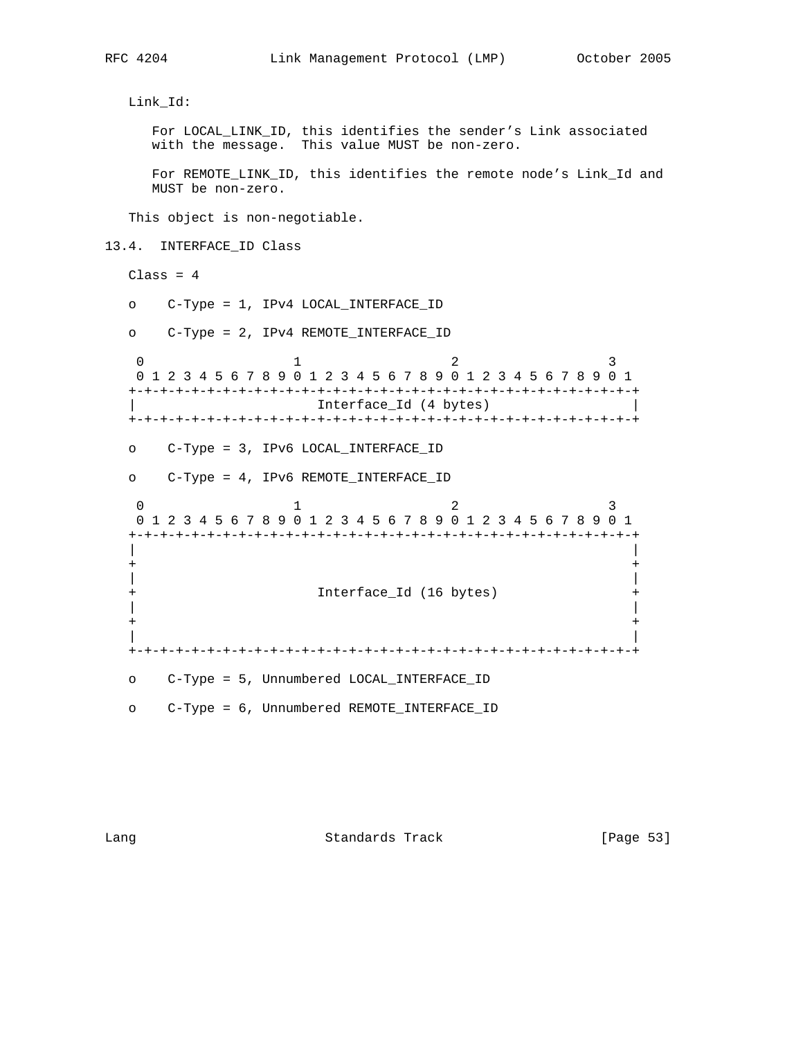```
 Link_Id:
     For LOCAL_LINK_ID, this identifies the sender's Link associated
    with the message. This value MUST be non-zero.
    For REMOTE_LINK_ID, this identifies the remote node's Link_Id and
    MUST be non-zero.
   This object is non-negotiable.
13.4. INTERFACE_ID Class
 Class = 4 o C-Type = 1, IPv4 LOCAL_INTERFACE_ID
  o C-Type = 2, IPv4 REMOTE_INTERFACE_ID
0 1 2 3
   0 1 2 3 4 5 6 7 8 9 0 1 2 3 4 5 6 7 8 9 0 1 2 3 4 5 6 7 8 9 0 1
   +-+-+-+-+-+-+-+-+-+-+-+-+-+-+-+-+-+-+-+-+-+-+-+-+-+-+-+-+-+-+-+-+
                 Interface_Id (4 bytes)
   +-+-+-+-+-+-+-+-+-+-+-+-+-+-+-+-+-+-+-+-+-+-+-+-+-+-+-+-+-+-+-+-+
  o C-Type = 3, IPv6 LOCAL_INTERFACE_ID
  o C-Type = 4, IPv6 REMOTE_INTERFACE_ID
0 1 2 3
 0 1 2 3 4 5 6 7 8 9 0 1 2 3 4 5 6 7 8 9 0 1 2 3 4 5 6 7 8 9 0 1
   +-+-+-+-+-+-+-+-+-+-+-+-+-+-+-+-+-+-+-+-+-+-+-+-+-+-+-+-+-+-+-+-+
 | |
 + +
 | |
   + Interface_Id (16 bytes) +
 | |
 + +
 | |
   +-+-+-+-+-+-+-+-+-+-+-+-+-+-+-+-+-+-+-+-+-+-+-+-+-+-+-+-+-+-+-+-+
  o C-Type = 5, Unnumbered LOCAL_INTERFACE_ID
  o C-Type = 6, Unnumbered REMOTE_INTERFACE_ID
```
Lang Contract Standards Track [Page 53]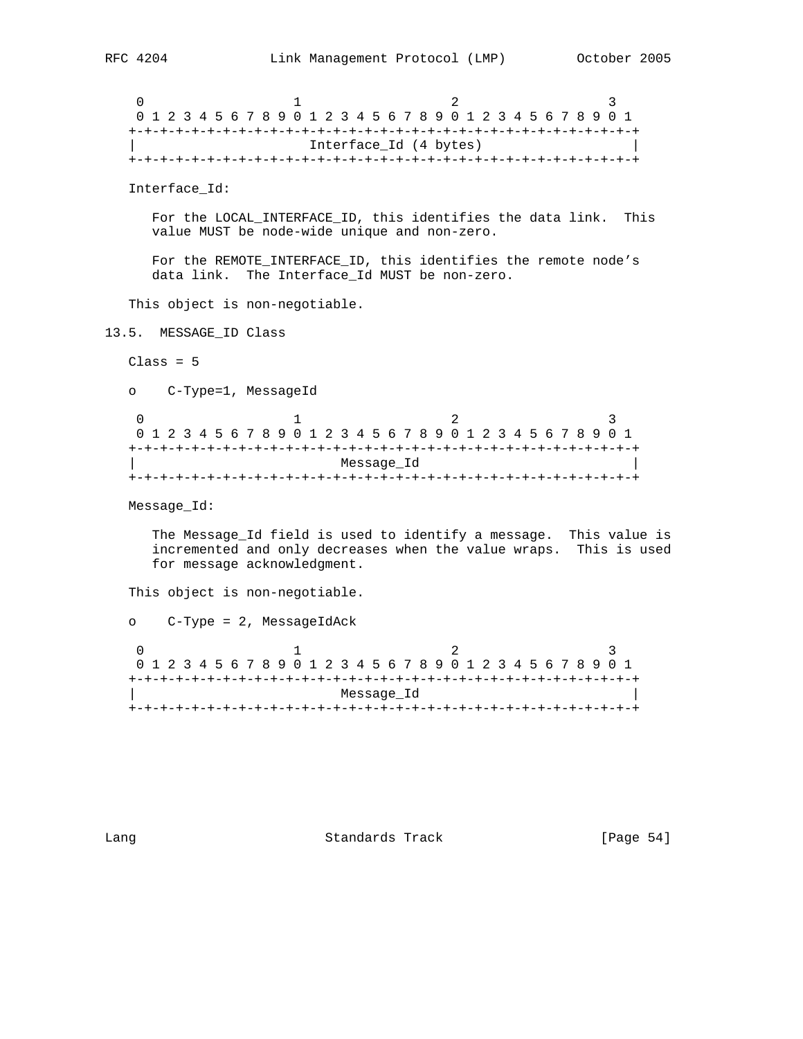```
0 1 2 3
    0 1 2 3 4 5 6 7 8 9 0 1 2 3 4 5 6 7 8 9 0 1 2 3 4 5 6 7 8 9 0 1
   +-+-+-+-+-+-+-+-+-+-+-+-+-+-+-+-+-+-+-+-+-+-+-+-+-+-+-+-+-+-+-+-+
                      Interface_Id (4 bytes)
   +-+-+-+-+-+-+-+-+-+-+-+-+-+-+-+-+-+-+-+-+-+-+-+-+-+-+-+-+-+-+-+-+
   Interface_Id:
      For the LOCAL_INTERFACE_ID, this identifies the data link. This
      value MUST be node-wide unique and non-zero.
      For the REMOTE_INTERFACE_ID, this identifies the remote node's
      data link. The Interface_Id MUST be non-zero.
   This object is non-negotiable.
13.5. MESSAGE_ID Class
  Class = 5 o C-Type=1, MessageId
0 1 2 3
   0 1 2 3 4 5 6 7 8 9 0 1 2 3 4 5 6 7 8 9 0 1 2 3 4 5 6 7 8 9 0 1
   +-+-+-+-+-+-+-+-+-+-+-+-+-+-+-+-+-+-+-+-+-+-+-+-+-+-+-+-+-+-+-+-+
                           | Message_Id |
   +-+-+-+-+-+-+-+-+-+-+-+-+-+-+-+-+-+-+-+-+-+-+-+-+-+-+-+-+-+-+-+-+
   Message_Id:
      The Message_Id field is used to identify a message. This value is
      incremented and only decreases when the value wraps. This is used
      for message acknowledgment.
   This object is non-negotiable.
   o C-Type = 2, MessageIdAck
0 1 2 3
    0 1 2 3 4 5 6 7 8 9 0 1 2 3 4 5 6 7 8 9 0 1 2 3 4 5 6 7 8 9 0 1
   +-+-+-+-+-+-+-+-+-+-+-+-+-+-+-+-+-+-+-+-+-+-+-+-+-+-+-+-+-+-+-+-+
                          | Message_Id |
   +-+-+-+-+-+-+-+-+-+-+-+-+-+-+-+-+-+-+-+-+-+-+-+-+-+-+-+-+-+-+-+-+
```
Lang **Standards Track** [Page 54]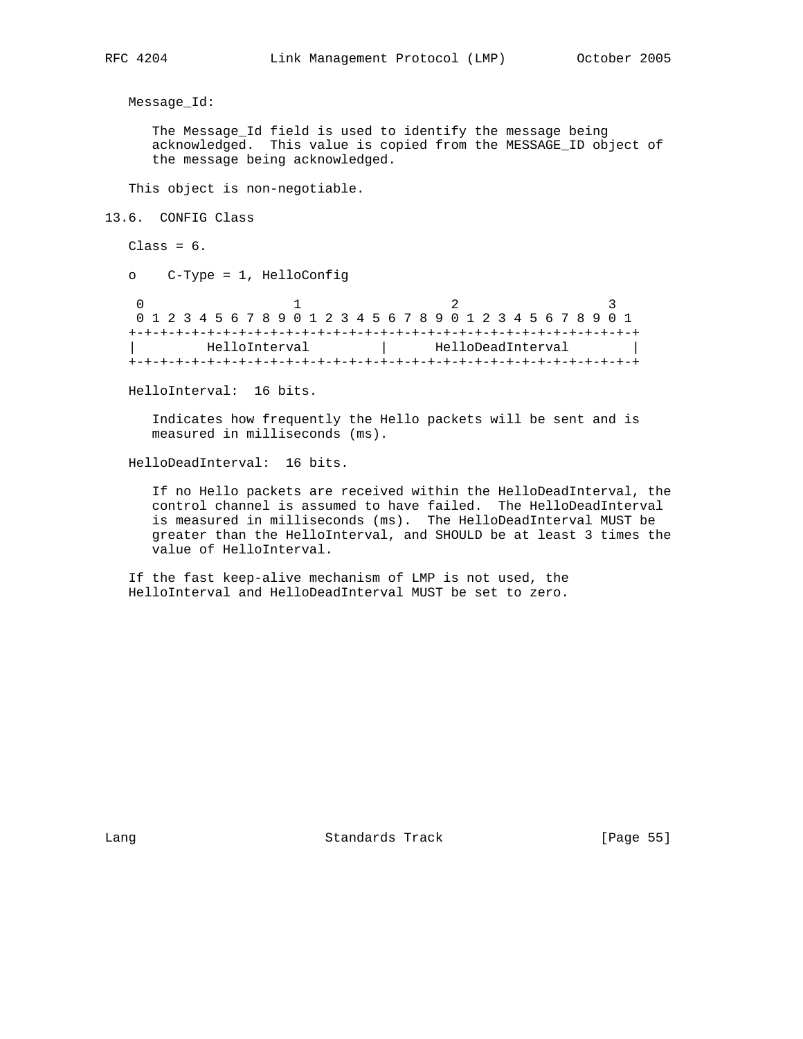Message\_Id:

 The Message\_Id field is used to identify the message being acknowledged. This value is copied from the MESSAGE\_ID object of the message being acknowledged.

This object is non-negotiable.

13.6. CONFIG Class

 $Class = 6.$ 

o C-Type = 1, HelloConfig

0  $1$  2 3 0 1 2 3 4 5 6 7 8 9 0 1 2 3 4 5 6 7 8 9 0 1 2 3 4 5 6 7 8 9 0 1 +-+-+-+-+-+-+-+-+-+-+-+-+-+-+-+-+-+-+-+-+-+-+-+-+-+-+-+-+-+-+-+-+ HelloInterval | HelloDeadInterval | +-+-+-+-+-+-+-+-+-+-+-+-+-+-+-+-+-+-+-+-+-+-+-+-+-+-+-+-+-+-+-+-+

HelloInterval: 16 bits.

 Indicates how frequently the Hello packets will be sent and is measured in milliseconds (ms).

HelloDeadInterval: 16 bits.

 If no Hello packets are received within the HelloDeadInterval, the control channel is assumed to have failed. The HelloDeadInterval is measured in milliseconds (ms). The HelloDeadInterval MUST be greater than the HelloInterval, and SHOULD be at least 3 times the value of HelloInterval.

 If the fast keep-alive mechanism of LMP is not used, the HelloInterval and HelloDeadInterval MUST be set to zero.

Lang Contract Standards Track Change 1989 [Page 55]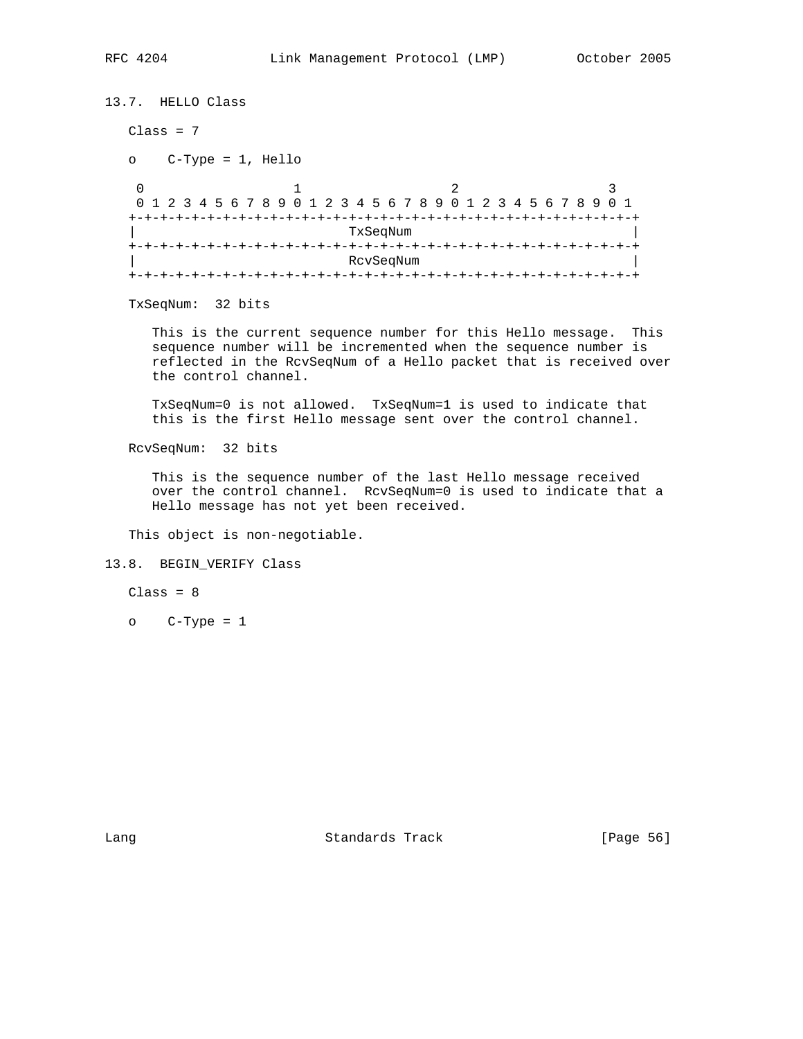```
13.7. HELLO Class
   Class = 7
   o C-Type = 1, Hello
0 1 2 3
    0 1 2 3 4 5 6 7 8 9 0 1 2 3 4 5 6 7 8 9 0 1 2 3 4 5 6 7 8 9 0 1
   +-+-+-+-+-+-+-+-+-+-+-+-+-+-+-+-+-+-+-+-+-+-+-+-+-+-+-+-+-+-+-+-+
                          TxSeqNum
   +-+-+-+-+-+-+-+-+-+-+-+-+-+-+-+-+-+-+-+-+-+-+-+-+-+-+-+-+-+-+-+-+
                          | RcvSeqNum |
   +-+-+-+-+-+-+-+-+-+-+-+-+-+-+-+-+-+-+-+-+-+-+-+-+-+-+-+-+-+-+-+-+
```
TxSeqNum: 32 bits

 This is the current sequence number for this Hello message. This sequence number will be incremented when the sequence number is reflected in the RcvSeqNum of a Hello packet that is received over the control channel.

 TxSeqNum=0 is not allowed. TxSeqNum=1 is used to indicate that this is the first Hello message sent over the control channel.

RcvSeqNum: 32 bits

 This is the sequence number of the last Hello message received over the control channel. RcvSeqNum=0 is used to indicate that a Hello message has not yet been received.

This object is non-negotiable.

#### 13.8. BEGIN\_VERIFY Class

 $Class = 8$ 

o C-Type = 1

Lang Contract Standards Track Change 1989 [Page 56]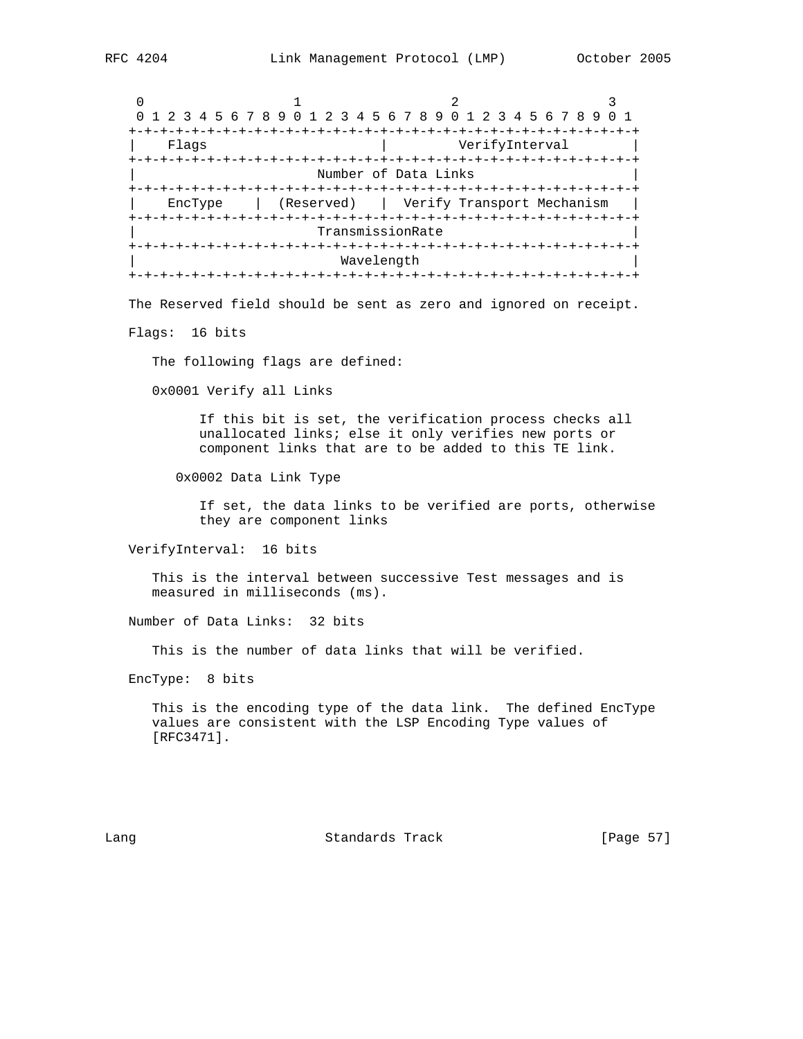0  $1$  2 3 0 1 2 3 4 5 6 7 8 9 0 1 2 3 4 5 6 7 8 9 0 1 2 3 4 5 6 7 8 9 0 1 +-+-+-+-+-+-+-+-+-+-+-+-+-+-+-+-+-+-+-+-+-+-+-+-+-+-+-+-+-+-+-+-+ Flags  $|$  VerifyInterval +-+-+-+-+-+-+-+-+-+-+-+-+-+-+-+-+-+-+-+-+-+-+-+-+-+-+-+-+-+-+-+-+ Number of Data Links +-+-+-+-+-+-+-+-+-+-+-+-+-+-+-+-+-+-+-+-+-+-+-+-+-+-+-+-+-+-+-+-+ | EncType | (Reserved) | Verify Transport Mechanism | +-+-+-+-+-+-+-+-+-+-+-+-+-+-+-+-+-+-+-+-+-+-+-+-+-+-+-+-+-+-+-+-+ | TransmissionRate | +-+-+-+-+-+-+-+-+-+-+-+-+-+-+-+-+-+-+-+-+-+-+-+-+-+-+-+-+-+-+-+-+ Wavelength +-+-+-+-+-+-+-+-+-+-+-+-+-+-+-+-+-+-+-+-+-+-+-+-+-+-+-+-+-+-+-+-+

The Reserved field should be sent as zero and ignored on receipt.

Flags: 16 bits

The following flags are defined:

0x0001 Verify all Links

 If this bit is set, the verification process checks all unallocated links; else it only verifies new ports or component links that are to be added to this TE link.

0x0002 Data Link Type

 If set, the data links to be verified are ports, otherwise they are component links

VerifyInterval: 16 bits

 This is the interval between successive Test messages and is measured in milliseconds (ms).

Number of Data Links: 32 bits

This is the number of data links that will be verified.

EncType: 8 bits

 This is the encoding type of the data link. The defined EncType values are consistent with the LSP Encoding Type values of [RFC3471].

Lang **Standards Track** [Page 57]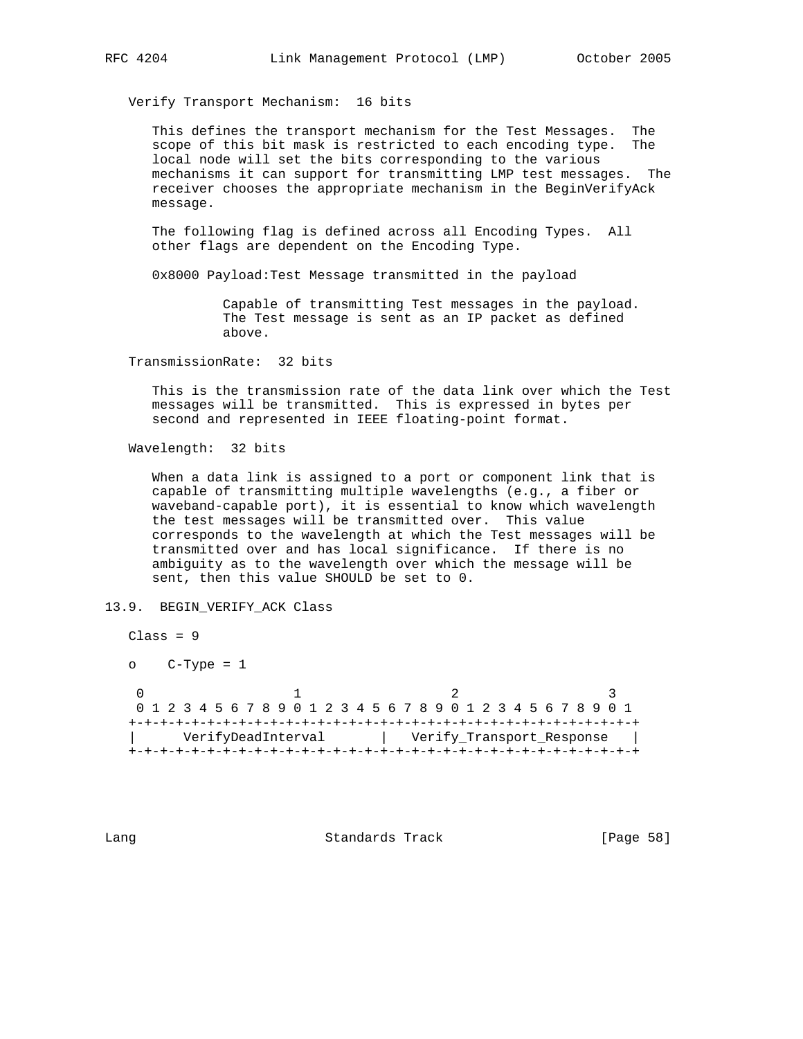Verify Transport Mechanism: 16 bits

 This defines the transport mechanism for the Test Messages. The scope of this bit mask is restricted to each encoding type. The local node will set the bits corresponding to the various mechanisms it can support for transmitting LMP test messages. The receiver chooses the appropriate mechanism in the BeginVerifyAck message.

 The following flag is defined across all Encoding Types. All other flags are dependent on the Encoding Type.

0x8000 Payload:Test Message transmitted in the payload

 Capable of transmitting Test messages in the payload. The Test message is sent as an IP packet as defined above.

TransmissionRate: 32 bits

 This is the transmission rate of the data link over which the Test messages will be transmitted. This is expressed in bytes per second and represented in IEEE floating-point format.

Wavelength: 32 bits

 When a data link is assigned to a port or component link that is capable of transmitting multiple wavelengths (e.g., a fiber or waveband-capable port), it is essential to know which wavelength the test messages will be transmitted over. This value corresponds to the wavelength at which the Test messages will be transmitted over and has local significance. If there is no ambiguity as to the wavelength over which the message will be sent, then this value SHOULD be set to 0.

13.9. BEGIN\_VERIFY\_ACK Class

 Class = 9 o C-Type = 1 0  $1$  2 3 0 1 2 3 4 5 6 7 8 9 0 1 2 3 4 5 6 7 8 9 0 1 2 3 4 5 6 7 8 9 0 1 +-+-+-+-+-+-+-+-+-+-+-+-+-+-+-+-+-+-+-+-+-+-+-+-+-+-+-+-+-+-+-+-+ | VerifyDeadInterval | Verify\_Transport\_Response | +-+-+-+-+-+-+-+-+-+-+-+-+-+-+-+-+-+-+-+-+-+-+-+-+-+-+-+-+-+-+-+-+

Lang **Standards Track** [Page 58]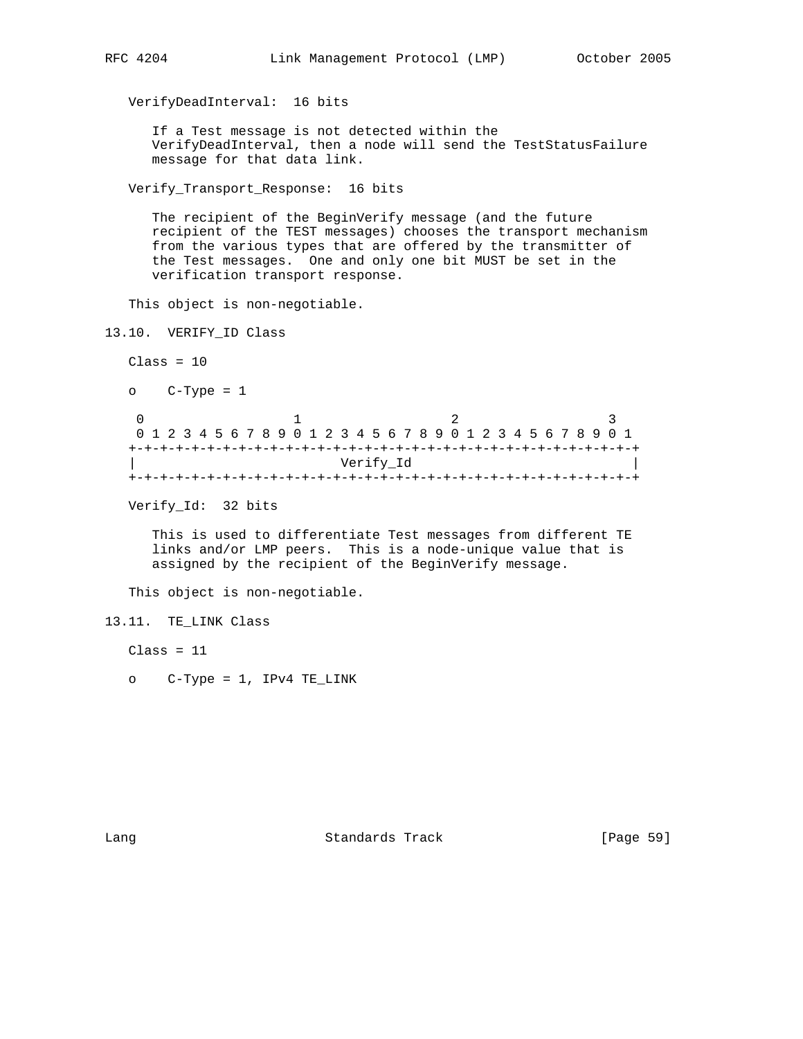VerifyDeadInterval: 16 bits

 If a Test message is not detected within the VerifyDeadInterval, then a node will send the TestStatusFailure message for that data link.

Verify\_Transport\_Response: 16 bits

 The recipient of the BeginVerify message (and the future recipient of the TEST messages) chooses the transport mechanism from the various types that are offered by the transmitter of the Test messages. One and only one bit MUST be set in the verification transport response.

This object is non-negotiable.

13.10. VERIFY\_ID Class

 $Class = 10$ 

```
 o C-Type = 1
```
0  $1$  2 3 0 1 2 3 4 5 6 7 8 9 0 1 2 3 4 5 6 7 8 9 0 1 2 3 4 5 6 7 8 9 0 1 +-+-+-+-+-+-+-+-+-+-+-+-+-+-+-+-+-+-+-+-+-+-+-+-+-+-+-+-+-+-+-+-+ | Verify\_Id | +-+-+-+-+-+-+-+-+-+-+-+-+-+-+-+-+-+-+-+-+-+-+-+-+-+-+-+-+-+-+-+-+

Verify\_Id: 32 bits

 This is used to differentiate Test messages from different TE links and/or LMP peers. This is a node-unique value that is assigned by the recipient of the BeginVerify message.

This object is non-negotiable.

```
13.11. TE_LINK Class
```
 $Class = 11$ 

o C-Type = 1, IPv4 TE\_LINK

Lang Contract Contract Standards Track Contract (Page 59)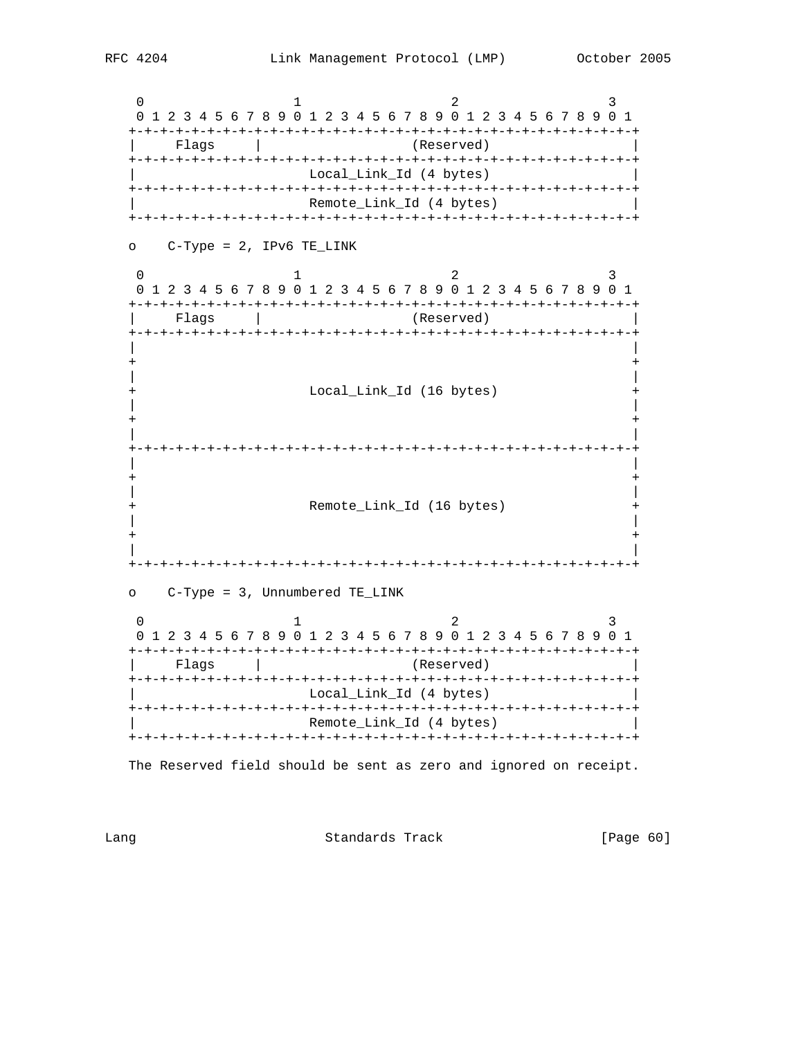0  $1$  2 3 0 1 2 3 4 5 6 7 8 9 0 1 2 3 4 5 6 7 8 9 0 1 2 3 4 5 6 7 8 9 0 1 +-+-+-+-+-+-+-+-+-+-+-+-+-+-+-+-+-+-+-+-+-+-+-+-+-+-+-+-+-+-+-+-+ | Flags | (Reserved) | +-+-+-+-+-+-+-+-+-+-+-+-+-+-+-+-+-+-+-+-+-+-+-+-+-+-+-+-+-+-+-+-+ Local\_Link\_Id (4 bytes) +-+-+-+-+-+-+-+-+-+-+-+-+-+-+-+-+-+-+-+-+-+-+-+-+-+-+-+-+-+-+-+-+ | Remote\_Link\_Id (4 bytes) | +-+-+-+-+-+-+-+-+-+-+-+-+-+-+-+-+-+-+-+-+-+-+-+-+-+-+-+-+-+-+-+-+ o C-Type = 2, IPv6 TE\_LINK 0  $1$  2 3 0 1 2 3 4 5 6 7 8 9 0 1 2 3 4 5 6 7 8 9 0 1 2 3 4 5 6 7 8 9 0 1 +-+-+-+-+-+-+-+-+-+-+-+-+-+-+-+-+-+-+-+-+-+-+-+-+-+-+-+-+-+-+-+-+ | Flags | (Reserved) | +-+-+-+-+-+-+-+-+-+-+-+-+-+-+-+-+-+-+-+-+-+-+-+-+-+-+-+-+-+-+-+-+ | | + + | | Local\_Link\_Id (16 bytes) | | + + | | +-+-+-+-+-+-+-+-+-+-+-+-+-+-+-+-+-+-+-+-+-+-+-+-+-+-+-+-+-+-+-+-+ | | + + | | Remote\_Link\_Id (16 bytes) + | | + + | | +-+-+-+-+-+-+-+-+-+-+-+-+-+-+-+-+-+-+-+-+-+-+-+-+-+-+-+-+-+-+-+-+ o C-Type = 3, Unnumbered TE\_LINK 0  $1$  2 3 0 1 2 3 4 5 6 7 8 9 0 1 2 3 4 5 6 7 8 9 0 1 2 3 4 5 6 7 8 9 0 1 +-+-+-+-+-+-+-+-+-+-+-+-+-+-+-+-+-+-+-+-+-+-+-+-+-+-+-+-+-+-+-+-+ Flags | (Reserved) +-+-+-+-+-+-+-+-+-+-+-+-+-+-+-+-+-+-+-+-+-+-+-+-+-+-+-+-+-+-+-+-+ Local\_Link\_Id (4 bytes) +-+-+-+-+-+-+-+-+-+-+-+-+-+-+-+-+-+-+-+-+-+-+-+-+-+-+-+-+-+-+-+-+ | Remote\_Link\_Id (4 bytes) | +-+-+-+-+-+-+-+-+-+-+-+-+-+-+-+-+-+-+-+-+-+-+-+-+-+-+-+-+-+-+-+-+

The Reserved field should be sent as zero and ignored on receipt.

Lang **Standards Track** [Page 60]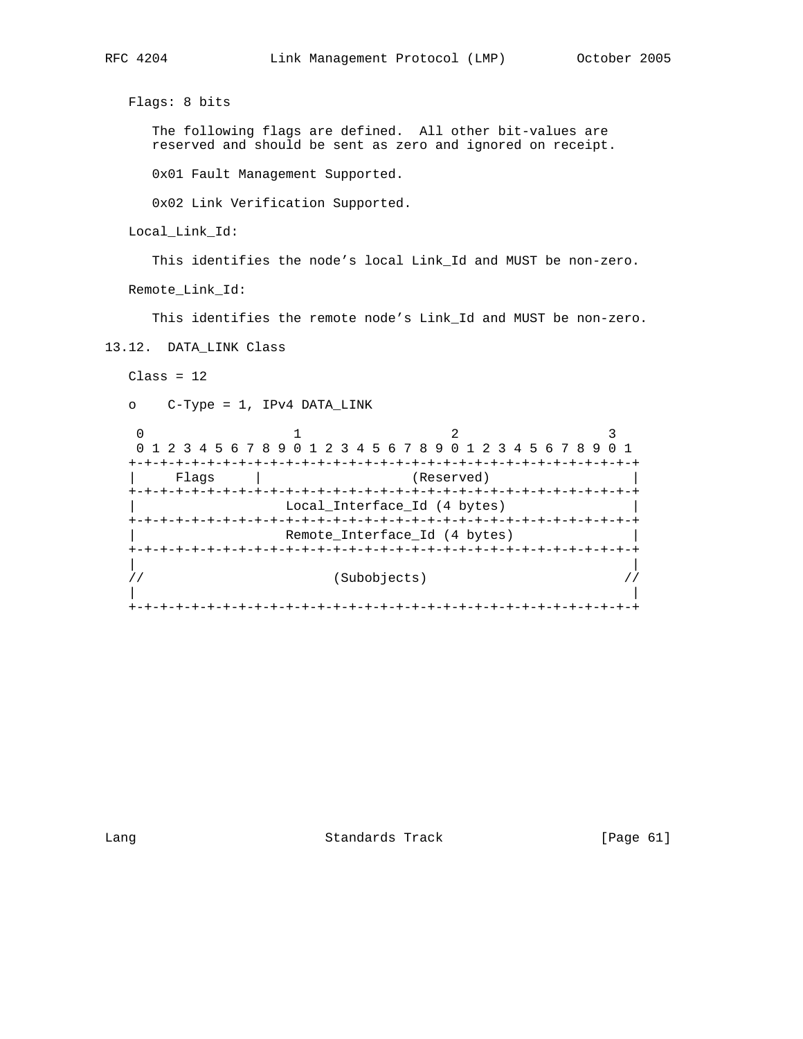Flags: 8 bits

 The following flags are defined. All other bit-values are reserved and should be sent as zero and ignored on receipt.

0x01 Fault Management Supported.

0x02 Link Verification Supported.

Local\_Link\_Id:

This identifies the node's local Link\_Id and MUST be non-zero.

Remote\_Link\_Id:

This identifies the remote node's Link\_Id and MUST be non-zero.

13.12. DATA\_LINK Class

 $Class = 12$ 

```
 o C-Type = 1, IPv4 DATA_LINK
```

|       | 0 1 2 3 4 5 6 7 8 9 0 1 2 3 4 5 6 7 8 9 0 1 2 3 4 5 6 7 8 9 |                               |  |
|-------|-------------------------------------------------------------|-------------------------------|--|
|       |                                                             |                               |  |
| Flaqs |                                                             | (Reserved)                    |  |
|       |                                                             |                               |  |
|       |                                                             | Local_Interface_Id (4 bytes)  |  |
|       |                                                             |                               |  |
|       |                                                             | Remote Interface Id (4 bytes) |  |
|       |                                                             |                               |  |
|       |                                                             |                               |  |
|       |                                                             | (Subobjects)                  |  |
|       |                                                             |                               |  |
|       |                                                             |                               |  |

Lang Contract Standards Track Change (Page 61)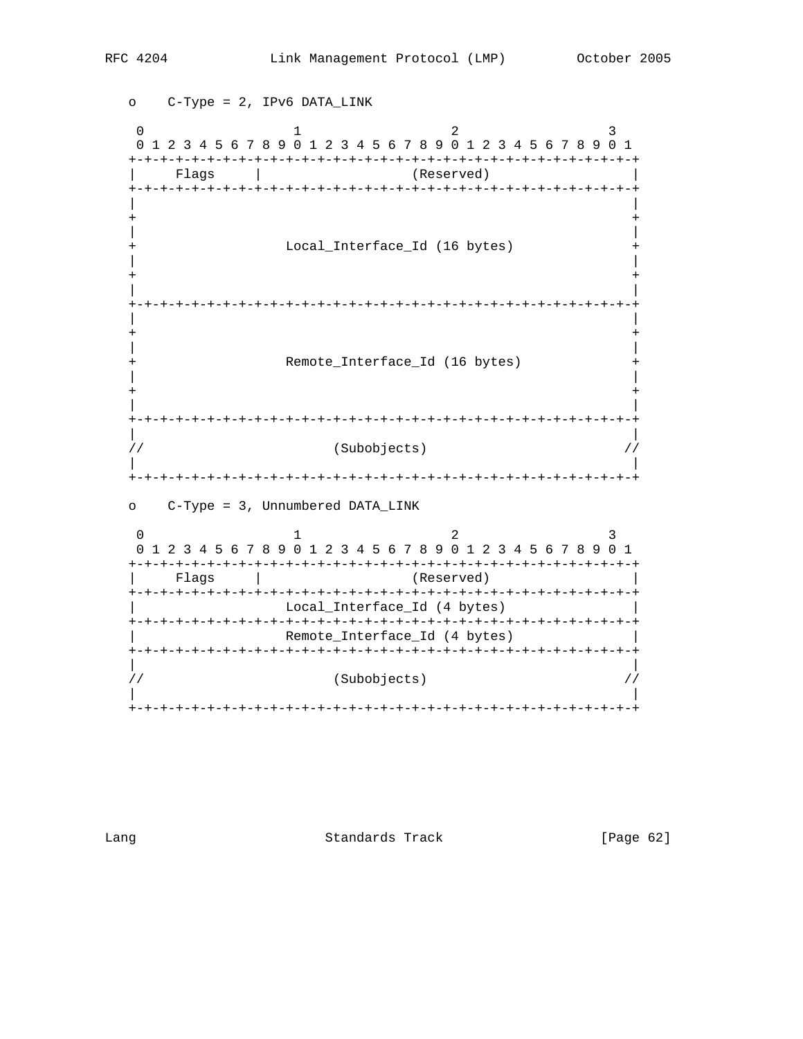o C-Type = 2, IPv6 DATA\_LINK 0  $1$  2 3 0 1 2 3 4 5 6 7 8 9 0 1 2 3 4 5 6 7 8 9 0 1 2 3 4 5 6 7 8 9 0 1 +-+-+-+-+-+-+-+-+-+-+-+-+-+-+-+-+-+-+-+-+-+-+-+-+-+-+-+-+-+-+-+-+ | Flags | (Reserved) | +-+-+-+-+-+-+-+-+-+-+-+-+-+-+-+-+-+-+-+-+-+-+-+-+-+-+-+-+-+-+-+-+ | | + + | | Local\_Interface\_Id (16 bytes) | | + + | | +-+-+-+-+-+-+-+-+-+-+-+-+-+-+-+-+-+-+-+-+-+-+-+-+-+-+-+-+-+-+-+-+ | | + + | | Remote\_Interface\_Id (16 bytes) | | + + | | +-+-+-+-+-+-+-+-+-+-+-+-+-+-+-+-+-+-+-+-+-+-+-+-+-+-+-+-+-+-+-+-+ | | // (Subobjects) // | | +-+-+-+-+-+-+-+-+-+-+-+-+-+-+-+-+-+-+-+-+-+-+-+-+-+-+-+-+-+-+-+-+ o C-Type = 3, Unnumbered DATA\_LINK 0  $1$  2 3 0 1 2 3 4 5 6 7 8 9 0 1 2 3 4 5 6 7 8 9 0 1 2 3 4 5 6 7 8 9 0 1 +-+-+-+-+-+-+-+-+-+-+-+-+-+-+-+-+-+-+-+-+-+-+-+-+-+-+-+-+-+-+-+-+ | Flags | (Reserved) | +-+-+-+-+-+-+-+-+-+-+-+-+-+-+-+-+-+-+-+-+-+-+-+-+-+-+-+-+-+-+-+-+ | Local\_Interface\_Id (4 bytes) | +-+-+-+-+-+-+-+-+-+-+-+-+-+-+-+-+-+-+-+-+-+-+-+-+-+-+-+-+-+-+-+-+ Remote\_Interface\_Id (4 bytes) +-+-+-+-+-+-+-+-+-+-+-+-+-+-+-+-+-+-+-+-+-+-+-+-+-+-+-+-+-+-+-+-+ | | // (Subobjects) // | | +-+-+-+-+-+-+-+-+-+-+-+-+-+-+-+-+-+-+-+-+-+-+-+-+-+-+-+-+-+-+-+-+

Lang Contract Standards Track [Page 62]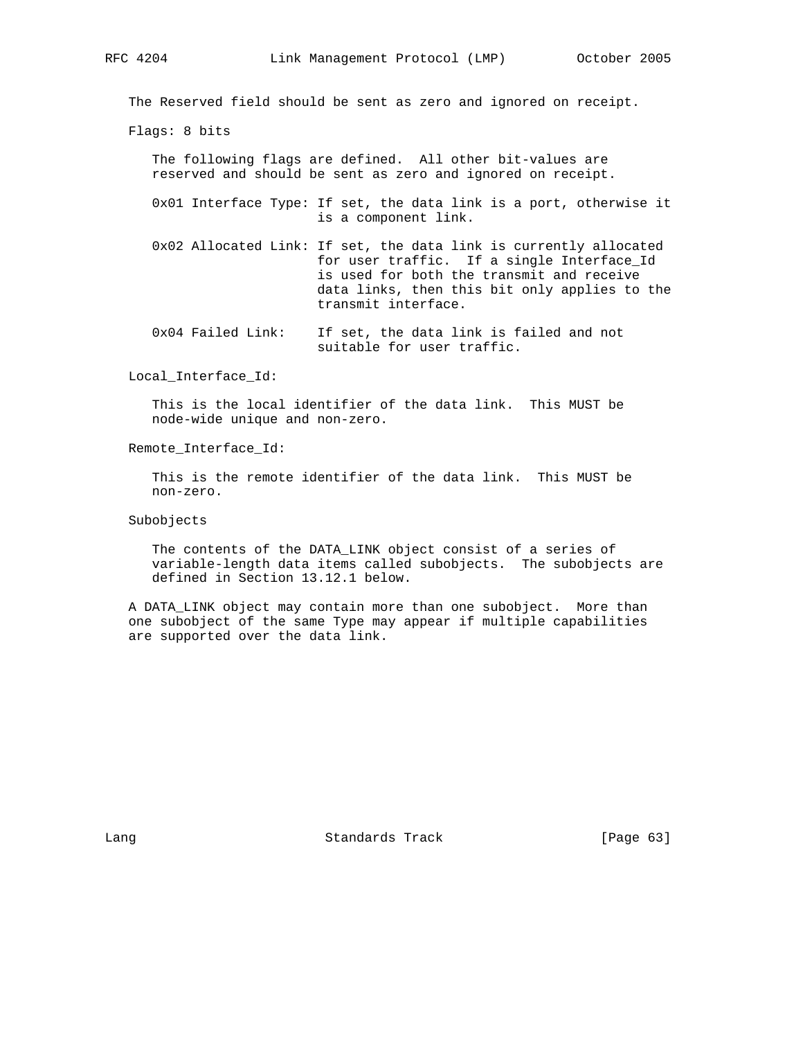The Reserved field should be sent as zero and ignored on receipt.

Flags: 8 bits

 The following flags are defined. All other bit-values are reserved and should be sent as zero and ignored on receipt.

 0x01 Interface Type: If set, the data link is a port, otherwise it is a component link.

- 0x02 Allocated Link: If set, the data link is currently allocated for user traffic. If a single Interface\_Id is used for both the transmit and receive data links, then this bit only applies to the transmit interface.
- 0x04 Failed Link: If set, the data link is failed and not suitable for user traffic.

Local\_Interface\_Id:

 This is the local identifier of the data link. This MUST be node-wide unique and non-zero.

Remote\_Interface\_Id:

 This is the remote identifier of the data link. This MUST be non-zero.

Subobjects

 The contents of the DATA\_LINK object consist of a series of variable-length data items called subobjects. The subobjects are defined in Section 13.12.1 below.

 A DATA\_LINK object may contain more than one subobject. More than one subobject of the same Type may appear if multiple capabilities are supported over the data link.

Lang **Standards Track** [Page 63]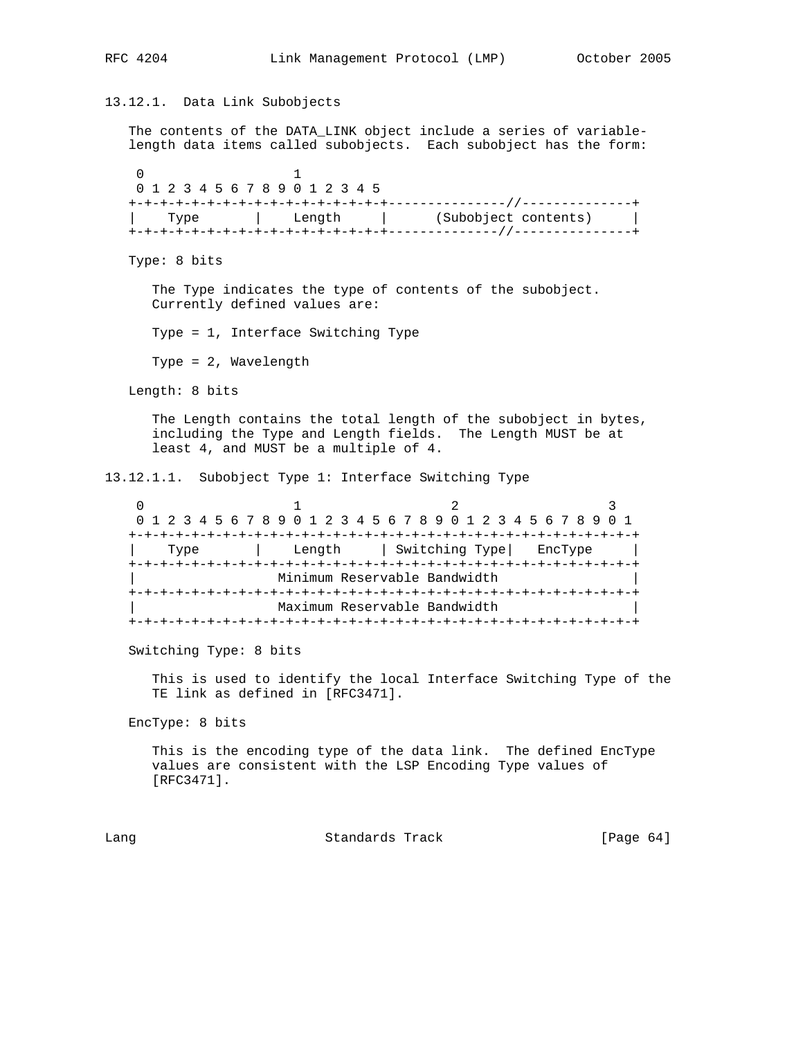```
13.12.1. Data Link Subobjects
   The contents of the DATA_LINK object include a series of variable-
   length data items called subobjects. Each subobject has the form:
 0 1
    0 1 2 3 4 5 6 7 8 9 0 1 2 3 4 5
   +-+-+-+-+-+-+-+-+-+-+-+-+-+-+-+-+---------------//--------------+
       | Type | Length | (Subobject contents) |
   +-+-+-+-+-+-+-+-+-+-+-+-+-+-+-+-+--------------//---------------+
   Type: 8 bits
      The Type indicates the type of contents of the subobject.
      Currently defined values are:
      Type = 1, Interface Switching Type
      Type = 2, Wavelength
   Length: 8 bits
      The Length contains the total length of the subobject in bytes,
      including the Type and Length fields. The Length MUST be at
      least 4, and MUST be a multiple of 4.
13.12.1.1. Subobject Type 1: Interface Switching Type
0 1 2 3
    0 1 2 3 4 5 6 7 8 9 0 1 2 3 4 5 6 7 8 9 0 1 2 3 4 5 6 7 8 9 0 1
   +-+-+-+-+-+-+-+-+-+-+-+-+-+-+-+-+-+-+-+-+-+-+-+-+-+-+-+-+-+-+-+-+
        | Type | Length | Switching Type| EncType |
   +-+-+-+-+-+-+-+-+-+-+-+-+-+-+-+-+-+-+-+-+-+-+-+-+-+-+-+-+-+-+-+-+
                    | Minimum Reservable Bandwidth |
   +-+-+-+-+-+-+-+-+-+-+-+-+-+-+-+-+-+-+-+-+-+-+-+-+-+-+-+-+-+-+-+-+
                    | Maximum Reservable Bandwidth |
   +-+-+-+-+-+-+-+-+-+-+-+-+-+-+-+-+-+-+-+-+-+-+-+-+-+-+-+-+-+-+-+-+
   Switching Type: 8 bits
      This is used to identify the local Interface Switching Type of the
      TE link as defined in [RFC3471].
   EncType: 8 bits
      This is the encoding type of the data link. The defined EncType
      values are consistent with the LSP Encoding Type values of
      [RFC3471].
Lang Standards Track [Page 64]
```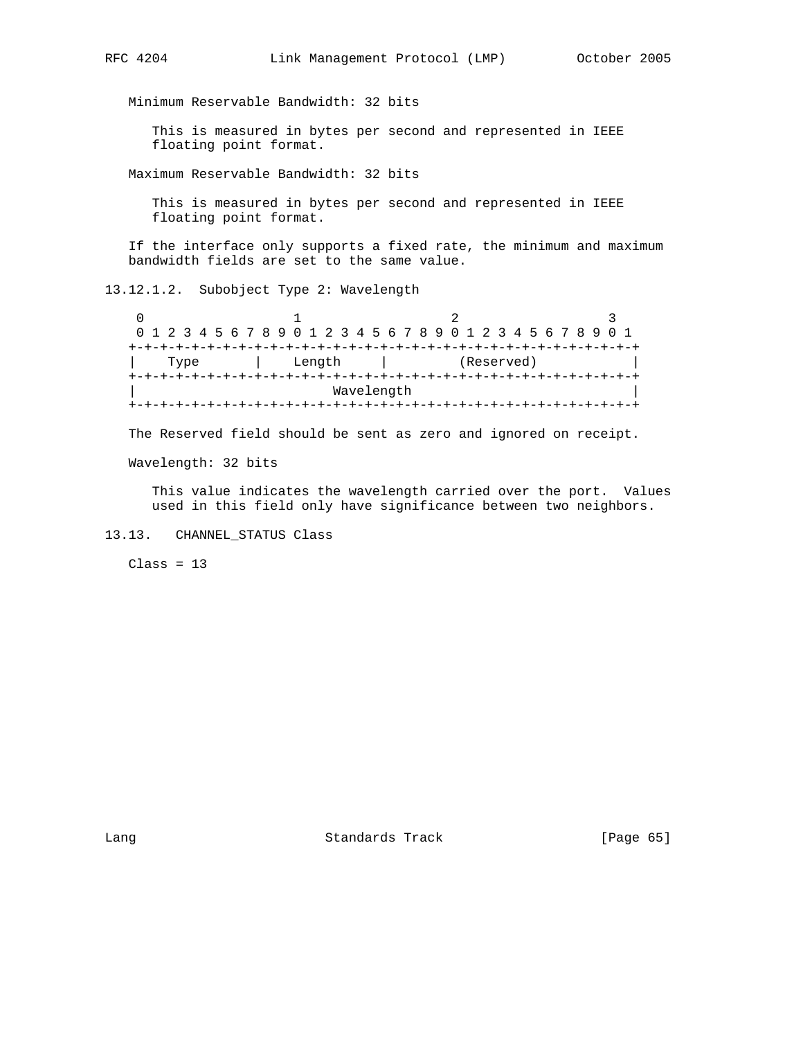Minimum Reservable Bandwidth: 32 bits

 This is measured in bytes per second and represented in IEEE floating point format.

Maximum Reservable Bandwidth: 32 bits

 This is measured in bytes per second and represented in IEEE floating point format.

 If the interface only supports a fixed rate, the minimum and maximum bandwidth fields are set to the same value.

13.12.1.2. Subobject Type 2: Wavelength

0  $1$  2 3 0 1 2 3 4 5 6 7 8 9 0 1 2 3 4 5 6 7 8 9 0 1 2 3 4 5 6 7 8 9 0 1 +-+-+-+-+-+-+-+-+-+-+-+-+-+-+-+-+-+-+-+-+-+-+-+-+-+-+-+-+-+-+-+-+ | Type | Length | (Reserved) | +-+-+-+-+-+-+-+-+-+-+-+-+-+-+-+-+-+-+-+-+-+-+-+-+-+-+-+-+-+-+-+-+ Wavelength +-+-+-+-+-+-+-+-+-+-+-+-+-+-+-+-+-+-+-+-+-+-+-+-+-+-+-+-+-+-+-+-+

The Reserved field should be sent as zero and ignored on receipt.

Wavelength: 32 bits

 This value indicates the wavelength carried over the port. Values used in this field only have significance between two neighbors.

13.13. CHANNEL\_STATUS Class

 $Class = 13$ 

Lang Contract Standards Track [Page 65]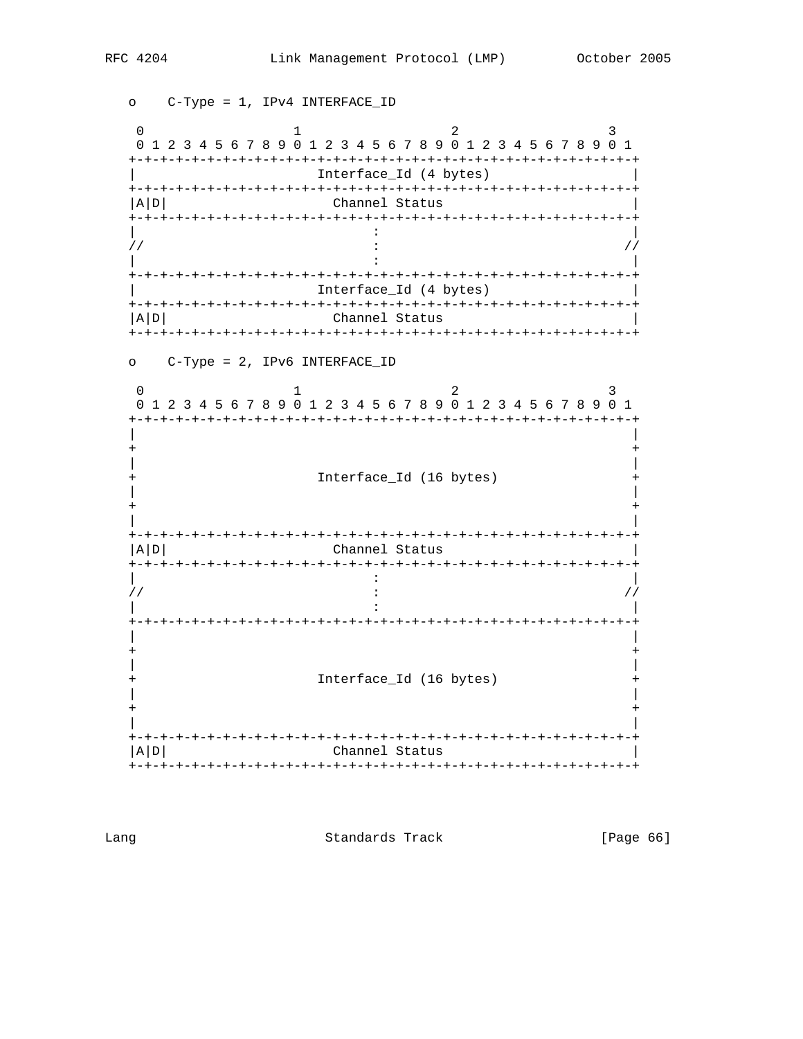o C-Type = 1, IPv4 INTERFACE\_ID  $\overline{0}$  $\mathbf{1}$ 2  $\mathbf{R}$ 0 1 2 3 4 5 6 7 8 9 0 1 2 3 4 5 6 7 8 9 0 1 2 3 4 5 6 7 8 9 0 1 Interface\_Id (4 bytes)  $|A|D|$ Channel Status  $\frac{1}{2}$  $\frac{1}{2}$  $\cdot$ Interface\_Id (4 bytes)  $A/D$ Channel Status o C-Type = 2, IPv6 INTERFACE\_ID  $\Omega$ 2  $\mathbf{1}$  $\mathbf{3}$ 0 1 2 3 4 5 6 7 8 9 0 1 2 3 4 5 6 7 8 9 0 1 2 3 4 5 6 7 8 9 0 1 Interface\_Id (16 bytes)  $+$  $|A|D|$ Channel Status  $\cdot$  $\frac{1}{2}$  $\ddot{\phantom{a}}$  :  $\frac{1}{2}$  $\cdot$ Interface\_Id (16 bytes)  $+$ |A|D| Channel Status 

Lang

Standards Track

[Page 66]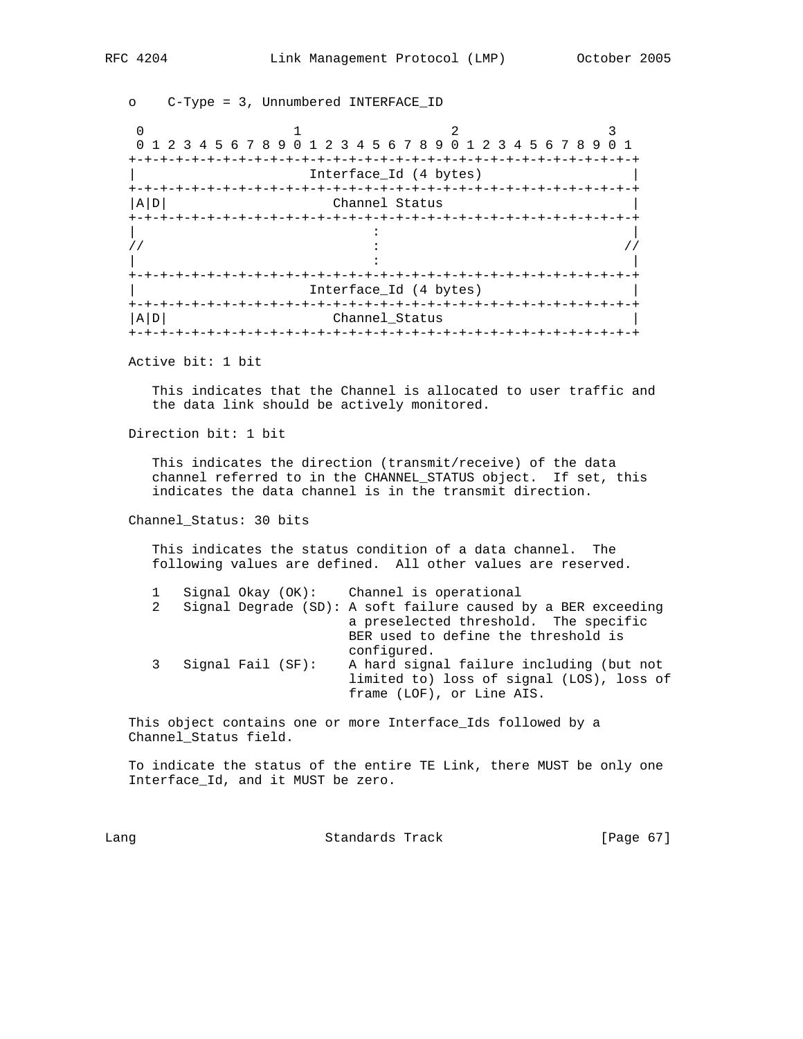o C-Type = 3, Unnumbered INTERFACE\_ID 0  $1$  2 3 0 1 2 3 4 5 6 7 8 9 0 1 2 3 4 5 6 7 8 9 0 1 2 3 4 5 6 7 8 9 0 1 +-+-+-+-+-+-+-+-+-+-+-+-+-+-+-+-+-+-+-+-+-+-+-+-+-+-+-+-+-+-+-+-+ Interface\_Id (4 bytes) +-+-+-+-+-+-+-+-+-+-+-+-+-+-+-+-+-+-+-+-+-+-+-+-+-+-+-+-+-+-+-+-+ Channel Status +-+-+-+-+-+-+-+-+-+-+-+-+-+-+-+-+-+-+-+-+-+-+-+-+-+-+-+-+-+-+-+-+ | : |  $\frac{1}{2}$  :  $\frac{1}{2}$  :  $\frac{1}{2}$  :  $\frac{1}{2}$  :  $\frac{1}{2}$  :  $\frac{1}{2}$  :  $\frac{1}{2}$  :  $\frac{1}{2}$  :  $\frac{1}{2}$  :  $\frac{1}{2}$  :  $\frac{1}{2}$  :  $\frac{1}{2}$  :  $\frac{1}{2}$  :  $\frac{1}{2}$  :  $\frac{1}{2}$  :  $\frac{1}{2}$  :  $\frac{1}{2}$  :  $\frac{1}{2}$  :  $\frac{1$  | : | +-+-+-+-+-+-+-+-+-+-+-+-+-+-+-+-+-+-+-+-+-+-+-+-+-+-+-+-+-+-+-+-+ Interface\_Id (4 bytes) +-+-+-+-+-+-+-+-+-+-+-+-+-+-+-+-+-+-+-+-+-+-+-+-+-+-+-+-+-+-+-+-+ |A|D| Channel\_Status | +-+-+-+-+-+-+-+-+-+-+-+-+-+-+-+-+-+-+-+-+-+-+-+-+-+-+-+-+-+-+-+-+

Active bit: 1 bit

 This indicates that the Channel is allocated to user traffic and the data link should be actively monitored.

Direction bit: 1 bit

 This indicates the direction (transmit/receive) of the data channel referred to in the CHANNEL\_STATUS object. If set, this indicates the data channel is in the transmit direction.

Channel\_Status: 30 bits

 This indicates the status condition of a data channel. The following values are defined. All other values are reserved.

|  |                     | Signal Okay (OK): Channel is operational                                                                                                                       |
|--|---------------------|----------------------------------------------------------------------------------------------------------------------------------------------------------------|
|  |                     | 2 Signal Degrade (SD): A soft failure caused by a BER exceeding<br>a preselected threshold. The specific<br>BER used to define the threshold is<br>configured. |
|  | 3 Signal Fail (SF): | A hard signal failure including (but not<br>limited to) loss of signal (LOS), loss of<br>frame (LOF), or Line AIS.                                             |

 This object contains one or more Interface\_Ids followed by a Channel\_Status field.

 To indicate the status of the entire TE Link, there MUST be only one Interface\_Id, and it MUST be zero.

Lang **Example 2018** Standards Track **Example 2018** [Page 67]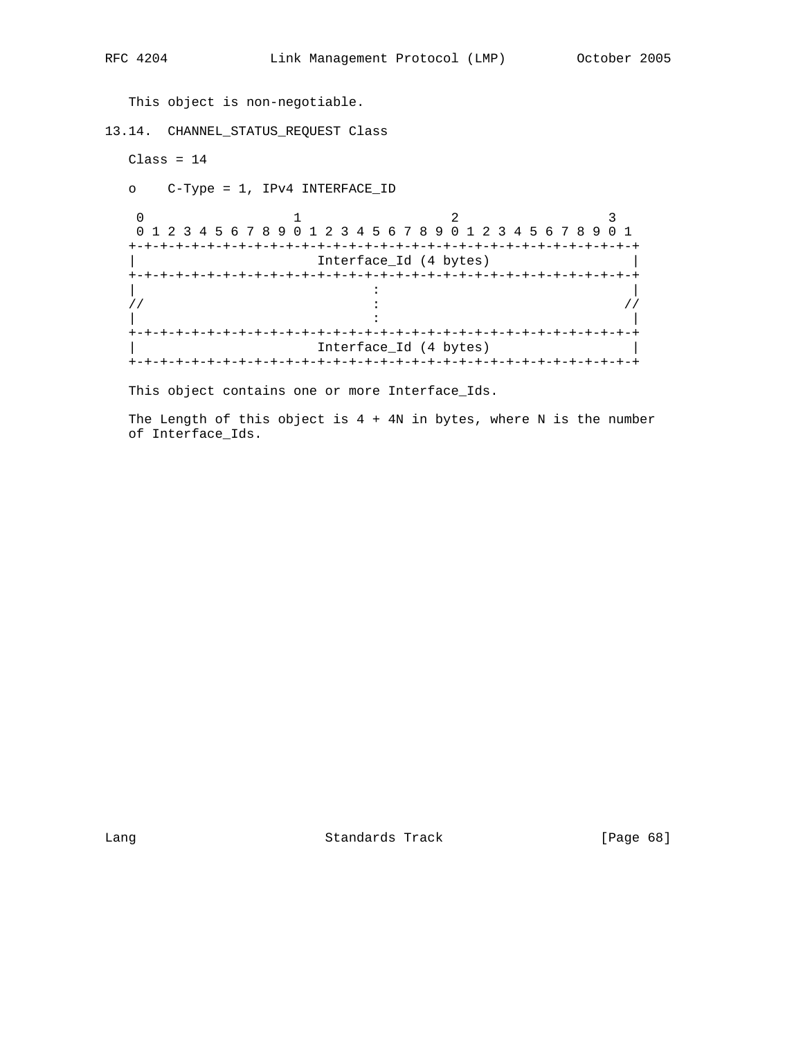This object is non-negotiable.

13.14. CHANNEL\_STATUS\_REQUEST Class

```
Class = 14
```
o C-Type = 1, IPv4 INTERFACE\_ID

0  $1$  2 3 0 1 2 3 4 5 6 7 8 9 0 1 2 3 4 5 6 7 8 9 0 1 2 3 4 5 6 7 8 9 0 1 +-+-+-+-+-+-+-+-+-+-+-+-+-+-+-+-+-+-+-+-+-+-+-+-+-+-+-+-+-+-+-+-+ Interface\_Id (4 bytes) +-+-+-+-+-+-+-+-+-+-+-+-+-+-+-+-+-+-+-+-+-+-+-+-+-+-+-+-+-+-+-+-+ | : |  $\frac{1}{2}$  :  $\frac{1}{2}$  :  $\frac{1}{2}$  :  $\frac{1}{2}$  :  $\frac{1}{2}$  :  $\frac{1}{2}$  :  $\frac{1}{2}$  :  $\frac{1}{2}$  :  $\frac{1}{2}$  :  $\frac{1}{2}$  :  $\frac{1}{2}$  :  $\frac{1}{2}$  :  $\frac{1}{2}$  :  $\frac{1}{2}$  :  $\frac{1}{2}$  :  $\frac{1}{2}$  :  $\frac{1}{2}$  :  $\frac{1}{2}$  :  $\frac{1$  | : | +-+-+-+-+-+-+-+-+-+-+-+-+-+-+-+-+-+-+-+-+-+-+-+-+-+-+-+-+-+-+-+-+ Interface\_Id (4 bytes) +-+-+-+-+-+-+-+-+-+-+-+-+-+-+-+-+-+-+-+-+-+-+-+-+-+-+-+-+-+-+-+-+

This object contains one or more Interface\_Ids.

The Length of this object is  $4 + 4N$  in bytes, where N is the number of Interface\_Ids.

Lang Contract Contract Standards Track Contract (Page 68)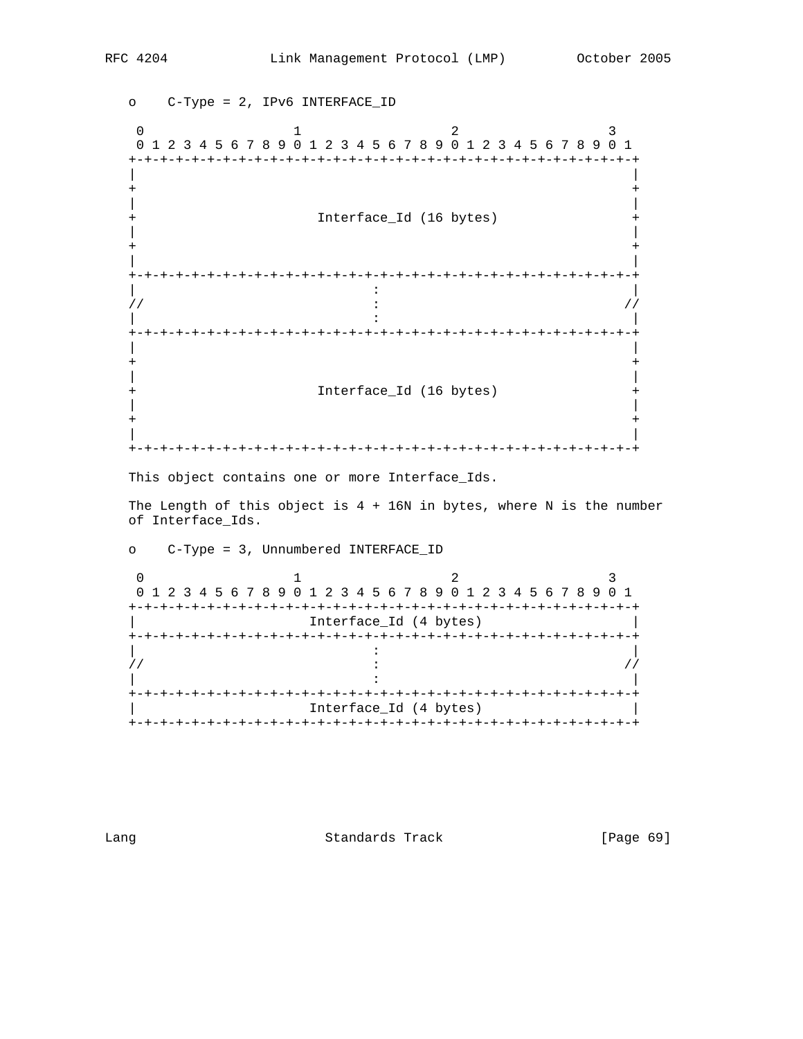o C-Type = 2, IPv6 INTERFACE\_ID 0  $1$  2 3 0 1 2 3 4 5 6 7 8 9 0 1 2 3 4 5 6 7 8 9 0 1 2 3 4 5 6 7 8 9 0 1 +-+-+-+-+-+-+-+-+-+-+-+-+-+-+-+-+-+-+-+-+-+-+-+-+-+-+-+-+-+-+-+-+ | | + + | | Interface\_Id (16 bytes) | | + + | | +-+-+-+-+-+-+-+-+-+-+-+-+-+-+-+-+-+-+-+-+-+-+-+-+-+-+-+-+-+-+-+-+ | : |  $\frac{1}{2}$  :  $\frac{1}{2}$  :  $\frac{1}{2}$  :  $\frac{1}{2}$  :  $\frac{1}{2}$  :  $\frac{1}{2}$  :  $\frac{1}{2}$  :  $\frac{1}{2}$  :  $\frac{1}{2}$  :  $\frac{1}{2}$  :  $\frac{1}{2}$  :  $\frac{1}{2}$  :  $\frac{1}{2}$  :  $\frac{1}{2}$  :  $\frac{1}{2}$  :  $\frac{1}{2}$  :  $\frac{1}{2}$  :  $\frac{1}{2}$  :  $\frac{1$  | : | +-+-+-+-+-+-+-+-+-+-+-+-+-+-+-+-+-+-+-+-+-+-+-+-+-+-+-+-+-+-+-+-+ | | + + | | Interface\_Id (16 bytes) + | | + + | | +-+-+-+-+-+-+-+-+-+-+-+-+-+-+-+-+-+-+-+-+-+-+-+-+-+-+-+-+-+-+-+-+

This object contains one or more Interface\_Ids.

o C-Type = 3, Unnumbered INTERFACE\_ID

The Length of this object is  $4 + 16N$  in bytes, where N is the number of Interface\_Ids.

0  $1$  2 3 0 1 2 3 4 5 6 7 8 9 0 1 2 3 4 5 6 7 8 9 0 1 2 3 4 5 6 7 8 9 0 1 +-+-+-+-+-+-+-+-+-+-+-+-+-+-+-+-+-+-+-+-+-+-+-+-+-+-+-+-+-+-+-+-+ Interface\_Id (4 bytes) +-+-+-+-+-+-+-+-+-+-+-+-+-+-+-+-+-+-+-+-+-+-+-+-+-+-+-+-+-+-+-+-+ | : |  $\frac{1}{2}$  :  $\frac{1}{2}$  :  $\frac{1}{2}$  :  $\frac{1}{2}$  :  $\frac{1}{2}$  :  $\frac{1}{2}$  :  $\frac{1}{2}$  :  $\frac{1}{2}$  :  $\frac{1}{2}$  :  $\frac{1}{2}$  :  $\frac{1}{2}$  :  $\frac{1}{2}$  :  $\frac{1}{2}$  :  $\frac{1}{2}$  :  $\frac{1}{2}$  :  $\frac{1}{2}$  :  $\frac{1}{2}$  :  $\frac{1}{2}$  :  $\frac{1$  | : | +-+-+-+-+-+-+-+-+-+-+-+-+-+-+-+-+-+-+-+-+-+-+-+-+-+-+-+-+-+-+-+-+ Interface\_Id (4 bytes) +-+-+-+-+-+-+-+-+-+-+-+-+-+-+-+-+-+-+-+-+-+-+-+-+-+-+-+-+-+-+-+-+

Lang Contract Standards Track [Page 69]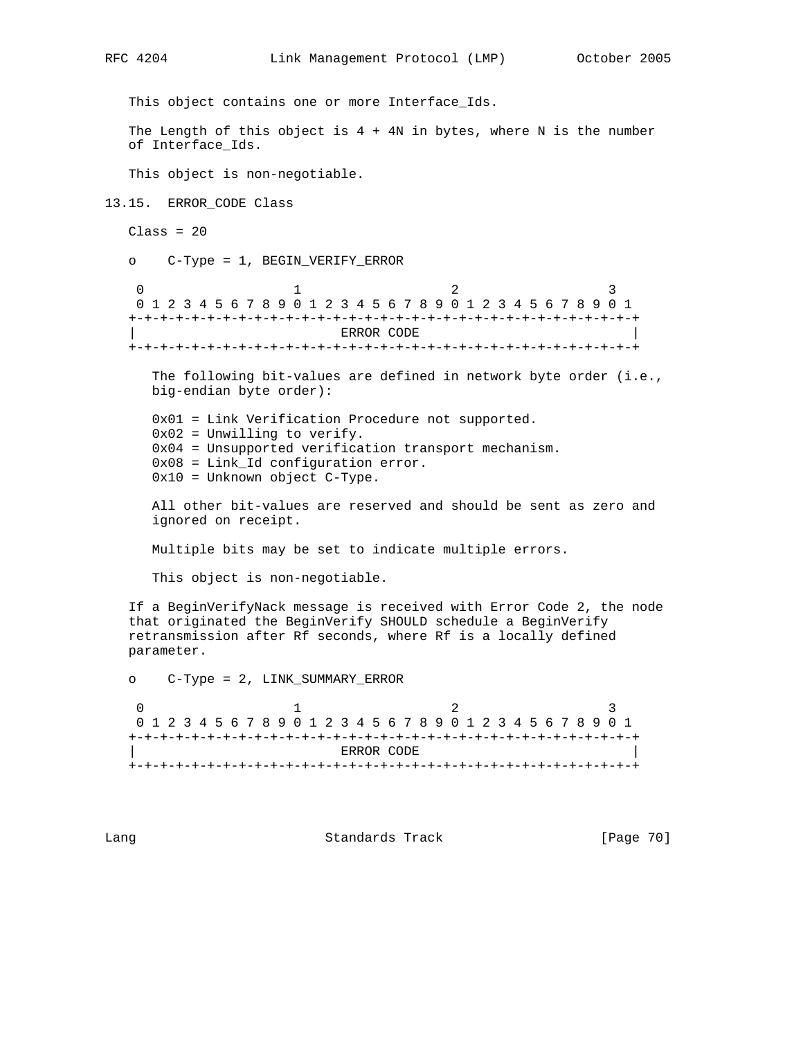This object contains one or more Interface\_Ids. The Length of this object is  $4 + 4N$  in bytes, where N is the number of Interface\_Ids. This object is non-negotiable. 13.15. ERROR\_CODE Class  $Class = 20$  o C-Type = 1, BEGIN\_VERIFY\_ERROR 0  $1$  2 3 0 1 2 3 4 5 6 7 8 9 0 1 2 3 4 5 6 7 8 9 0 1 2 3 4 5 6 7 8 9 0 1 +-+-+-+-+-+-+-+-+-+-+-+-+-+-+-+-+-+-+-+-+-+-+-+-+-+-+-+-+-+-+-+-+ | ERROR CODE | +-+-+-+-+-+-+-+-+-+-+-+-+-+-+-+-+-+-+-+-+-+-+-+-+-+-+-+-+-+-+-+-+ The following bit-values are defined in network byte order (i.e., big-endian byte order): 0x01 = Link Verification Procedure not supported. 0x02 = Unwilling to verify. 0x04 = Unsupported verification transport mechanism. 0x08 = Link\_Id configuration error. 0x10 = Unknown object C-Type. All other bit-values are reserved and should be sent as zero and ignored on receipt. Multiple bits may be set to indicate multiple errors. This object is non-negotiable. If a BeginVerifyNack message is received with Error Code 2, the node that originated the BeginVerify SHOULD schedule a BeginVerify retransmission after Rf seconds, where Rf is a locally defined parameter. o C-Type = 2, LINK\_SUMMARY\_ERROR 0  $1$  2 3 0 1 2 3 4 5 6 7 8 9 0 1 2 3 4 5 6 7 8 9 0 1 2 3 4 5 6 7 8 9 0 1 +-+-+-+-+-+-+-+-+-+-+-+-+-+-+-+-+-+-+-+-+-+-+-+-+-+-+-+-+-+-+-+-+  $ERROR$  CODE +-+-+-+-+-+-+-+-+-+-+-+-+-+-+-+-+-+-+-+-+-+-+-+-+-+-+-+-+-+-+-+-+

Lang **Example 2018** Standards Track **Example 2018** [Page 70]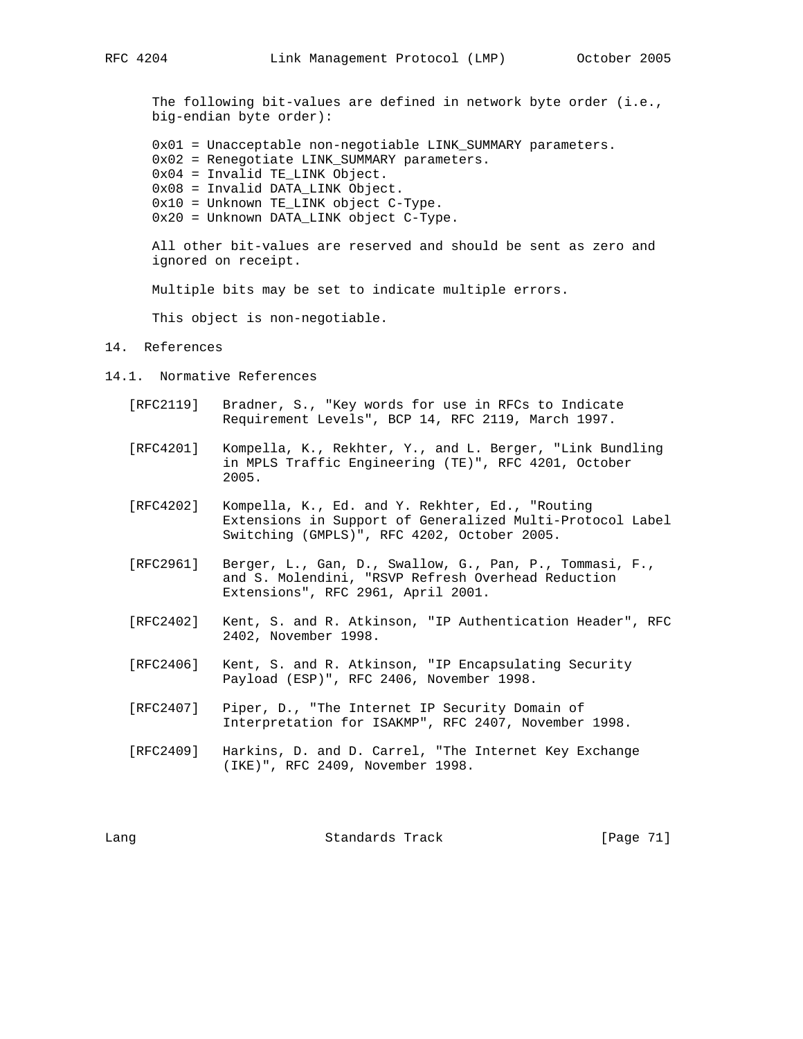The following bit-values are defined in network byte order (i.e., big-endian byte order):

 0x01 = Unacceptable non-negotiable LINK\_SUMMARY parameters. 0x02 = Renegotiate LINK\_SUMMARY parameters. 0x04 = Invalid TE\_LINK Object. 0x08 = Invalid DATA\_LINK Object. 0x10 = Unknown TE\_LINK object C-Type.

0x20 = Unknown DATA\_LINK object C-Type.

 All other bit-values are reserved and should be sent as zero and ignored on receipt.

Multiple bits may be set to indicate multiple errors.

This object is non-negotiable.

#### 14. References

- 14.1. Normative References
	- [RFC2119] Bradner, S., "Key words for use in RFCs to Indicate Requirement Levels", BCP 14, RFC 2119, March 1997.
	- [RFC4201] Kompella, K., Rekhter, Y., and L. Berger, "Link Bundling in MPLS Traffic Engineering (TE)", RFC 4201, October 2005.
	- [RFC4202] Kompella, K., Ed. and Y. Rekhter, Ed., "Routing Extensions in Support of Generalized Multi-Protocol Label Switching (GMPLS)", RFC 4202, October 2005.
	- [RFC2961] Berger, L., Gan, D., Swallow, G., Pan, P., Tommasi, F., and S. Molendini, "RSVP Refresh Overhead Reduction Extensions", RFC 2961, April 2001.
	- [RFC2402] Kent, S. and R. Atkinson, "IP Authentication Header", RFC 2402, November 1998.
	- [RFC2406] Kent, S. and R. Atkinson, "IP Encapsulating Security Payload (ESP)", RFC 2406, November 1998.
	- [RFC2407] Piper, D., "The Internet IP Security Domain of Interpretation for ISAKMP", RFC 2407, November 1998.
	- [RFC2409] Harkins, D. and D. Carrel, "The Internet Key Exchange (IKE)", RFC 2409, November 1998.

Lang Contract Contract Standards Track Contract (Page 71)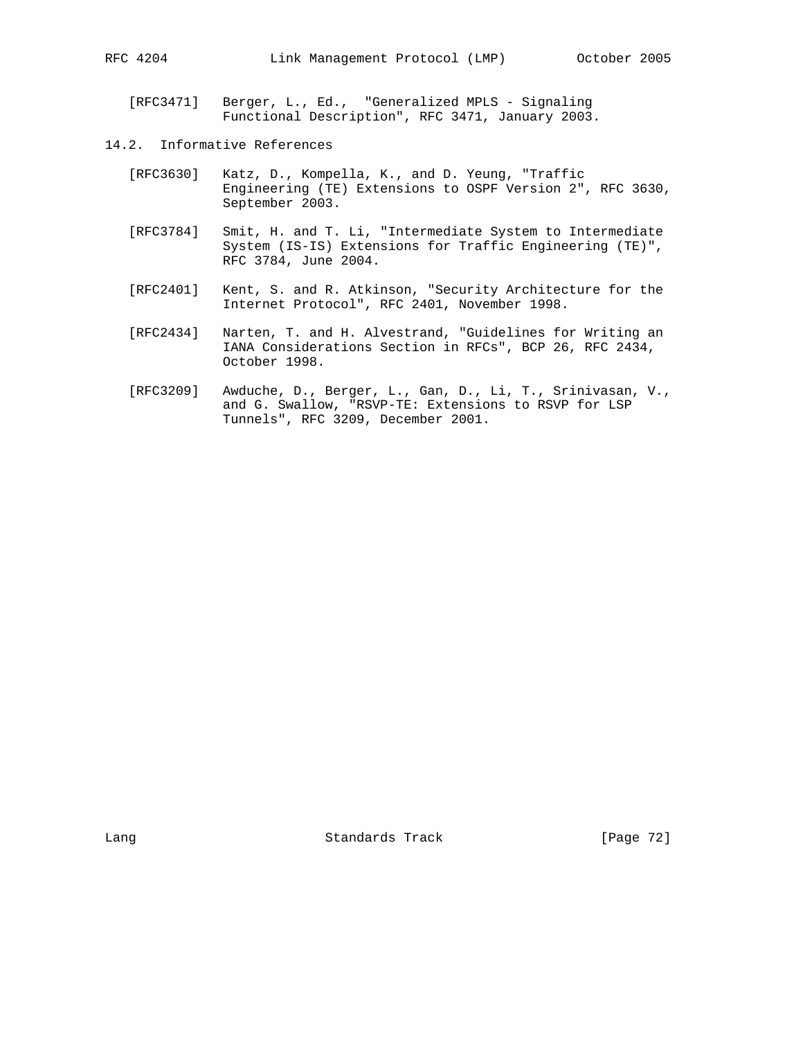[RFC3471] Berger, L., Ed., "Generalized MPLS - Signaling Functional Description", RFC 3471, January 2003.

- 14.2. Informative References
	- [RFC3630] Katz, D., Kompella, K., and D. Yeung, "Traffic Engineering (TE) Extensions to OSPF Version 2", RFC 3630, September 2003.
	- [RFC3784] Smit, H. and T. Li, "Intermediate System to Intermediate System (IS-IS) Extensions for Traffic Engineering (TE)", RFC 3784, June 2004.
	- [RFC2401] Kent, S. and R. Atkinson, "Security Architecture for the Internet Protocol", RFC 2401, November 1998.
	- [RFC2434] Narten, T. and H. Alvestrand, "Guidelines for Writing an IANA Considerations Section in RFCs", BCP 26, RFC 2434, October 1998.
	- [RFC3209] Awduche, D., Berger, L., Gan, D., Li, T., Srinivasan, V., and G. Swallow, "RSVP-TE: Extensions to RSVP for LSP Tunnels", RFC 3209, December 2001.

Lang Contract Standards Track [Page 72]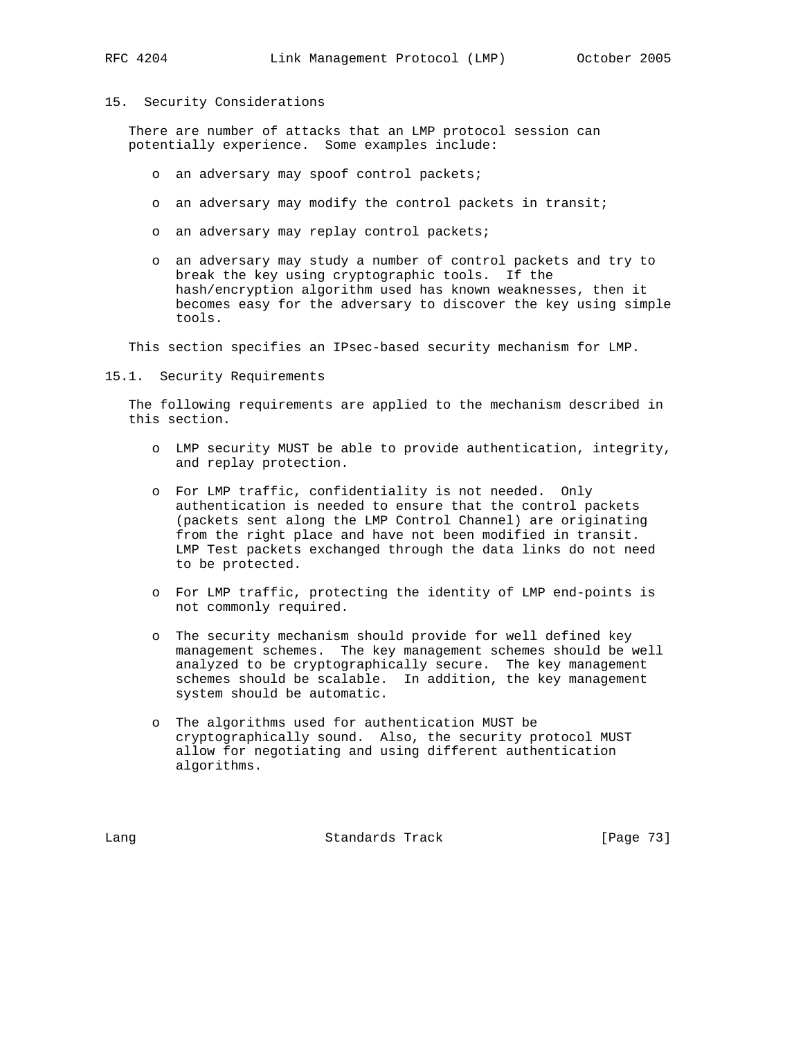# 15. Security Considerations

 There are number of attacks that an LMP protocol session can potentially experience. Some examples include:

- o an adversary may spoof control packets;
- o an adversary may modify the control packets in transit;
- o an adversary may replay control packets;
- o an adversary may study a number of control packets and try to break the key using cryptographic tools. If the hash/encryption algorithm used has known weaknesses, then it becomes easy for the adversary to discover the key using simple tools.

This section specifies an IPsec-based security mechanism for LMP.

15.1. Security Requirements

 The following requirements are applied to the mechanism described in this section.

- o LMP security MUST be able to provide authentication, integrity, and replay protection.
- o For LMP traffic, confidentiality is not needed. Only authentication is needed to ensure that the control packets (packets sent along the LMP Control Channel) are originating from the right place and have not been modified in transit. LMP Test packets exchanged through the data links do not need to be protected.
- o For LMP traffic, protecting the identity of LMP end-points is not commonly required.
- o The security mechanism should provide for well defined key management schemes. The key management schemes should be well analyzed to be cryptographically secure. The key management schemes should be scalable. In addition, the key management system should be automatic.
- o The algorithms used for authentication MUST be cryptographically sound. Also, the security protocol MUST allow for negotiating and using different authentication algorithms.

Lang Contract Standards Track [Page 73]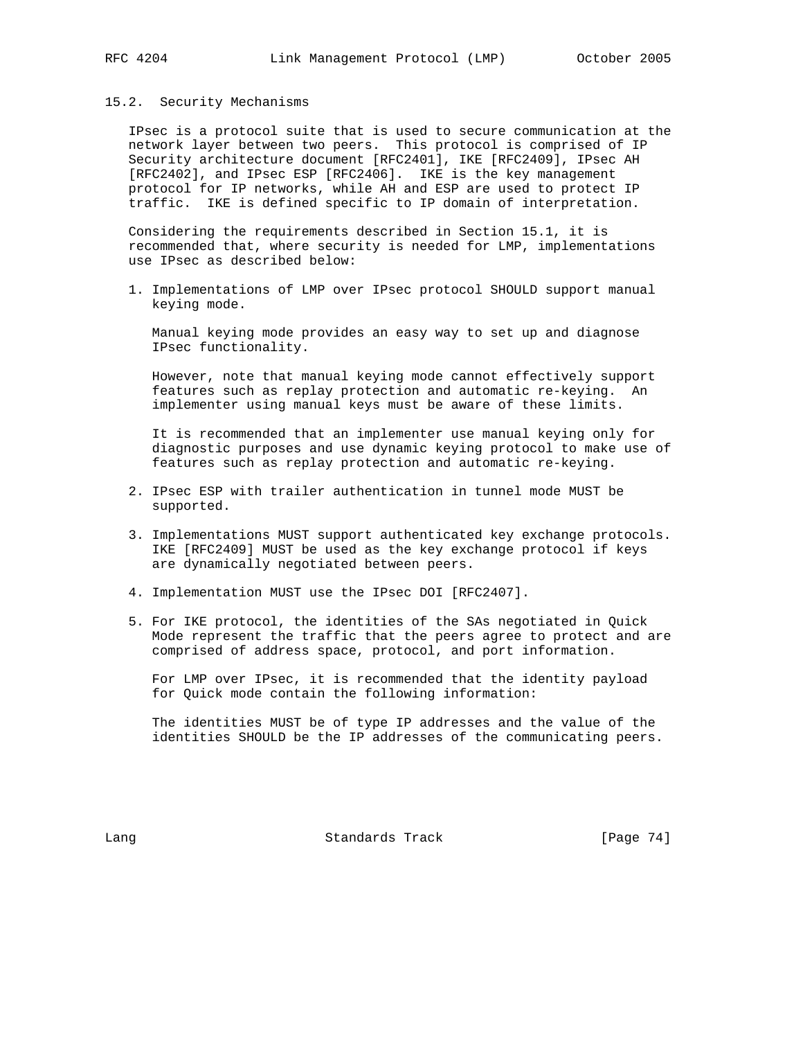## 15.2. Security Mechanisms

 IPsec is a protocol suite that is used to secure communication at the network layer between two peers. This protocol is comprised of IP Security architecture document [RFC2401], IKE [RFC2409], IPsec AH [RFC2402], and IPsec ESP [RFC2406]. IKE is the key management protocol for IP networks, while AH and ESP are used to protect IP traffic. IKE is defined specific to IP domain of interpretation.

 Considering the requirements described in Section 15.1, it is recommended that, where security is needed for LMP, implementations use IPsec as described below:

 1. Implementations of LMP over IPsec protocol SHOULD support manual keying mode.

 Manual keying mode provides an easy way to set up and diagnose IPsec functionality.

 However, note that manual keying mode cannot effectively support features such as replay protection and automatic re-keying. An implementer using manual keys must be aware of these limits.

 It is recommended that an implementer use manual keying only for diagnostic purposes and use dynamic keying protocol to make use of features such as replay protection and automatic re-keying.

- 2. IPsec ESP with trailer authentication in tunnel mode MUST be supported.
- 3. Implementations MUST support authenticated key exchange protocols. IKE [RFC2409] MUST be used as the key exchange protocol if keys are dynamically negotiated between peers.
- 4. Implementation MUST use the IPsec DOI [RFC2407].
- 5. For IKE protocol, the identities of the SAs negotiated in Quick Mode represent the traffic that the peers agree to protect and are comprised of address space, protocol, and port information.

 For LMP over IPsec, it is recommended that the identity payload for Quick mode contain the following information:

 The identities MUST be of type IP addresses and the value of the identities SHOULD be the IP addresses of the communicating peers.

Lang **Standards Track** [Page 74]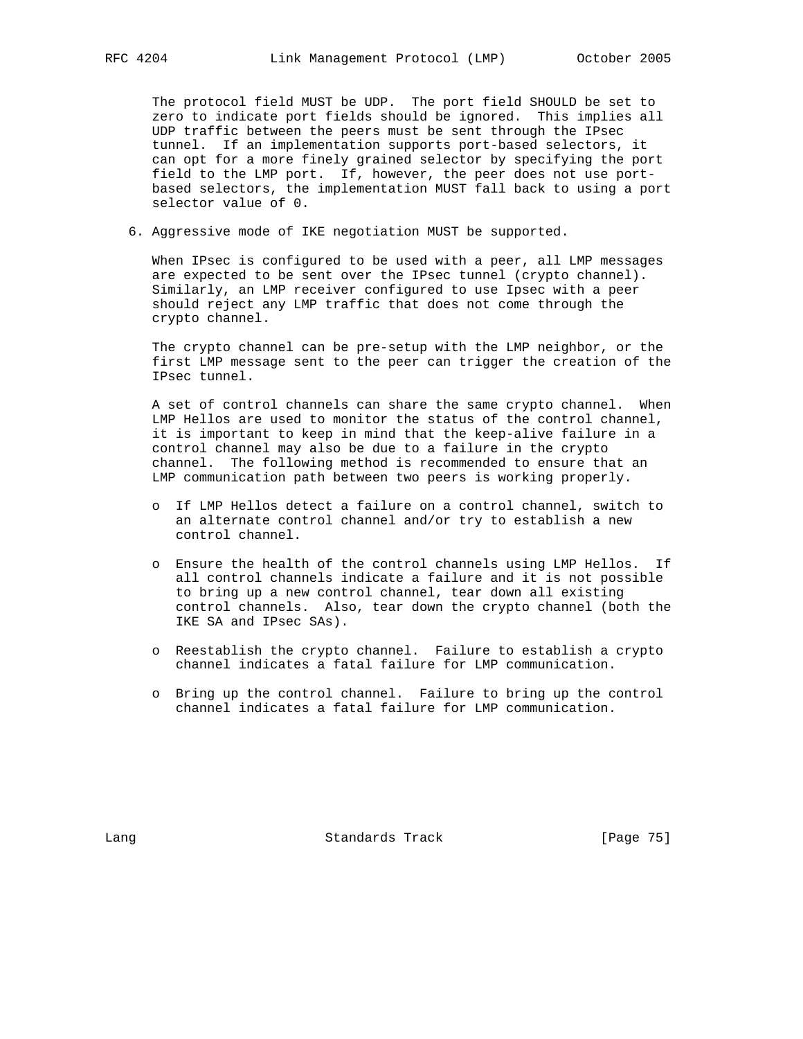The protocol field MUST be UDP. The port field SHOULD be set to zero to indicate port fields should be ignored. This implies all UDP traffic between the peers must be sent through the IPsec tunnel. If an implementation supports port-based selectors, it can opt for a more finely grained selector by specifying the port field to the LMP port. If, however, the peer does not use port based selectors, the implementation MUST fall back to using a port selector value of 0.

6. Aggressive mode of IKE negotiation MUST be supported.

 When IPsec is configured to be used with a peer, all LMP messages are expected to be sent over the IPsec tunnel (crypto channel). Similarly, an LMP receiver configured to use Ipsec with a peer should reject any LMP traffic that does not come through the crypto channel.

 The crypto channel can be pre-setup with the LMP neighbor, or the first LMP message sent to the peer can trigger the creation of the IPsec tunnel.

 A set of control channels can share the same crypto channel. When LMP Hellos are used to monitor the status of the control channel, it is important to keep in mind that the keep-alive failure in a control channel may also be due to a failure in the crypto channel. The following method is recommended to ensure that an LMP communication path between two peers is working properly.

- o If LMP Hellos detect a failure on a control channel, switch to an alternate control channel and/or try to establish a new control channel.
- o Ensure the health of the control channels using LMP Hellos. If all control channels indicate a failure and it is not possible to bring up a new control channel, tear down all existing control channels. Also, tear down the crypto channel (both the IKE SA and IPsec SAs).
- o Reestablish the crypto channel. Failure to establish a crypto channel indicates a fatal failure for LMP communication.
- o Bring up the control channel. Failure to bring up the control channel indicates a fatal failure for LMP communication.

Lang Contract Standards Track Change 75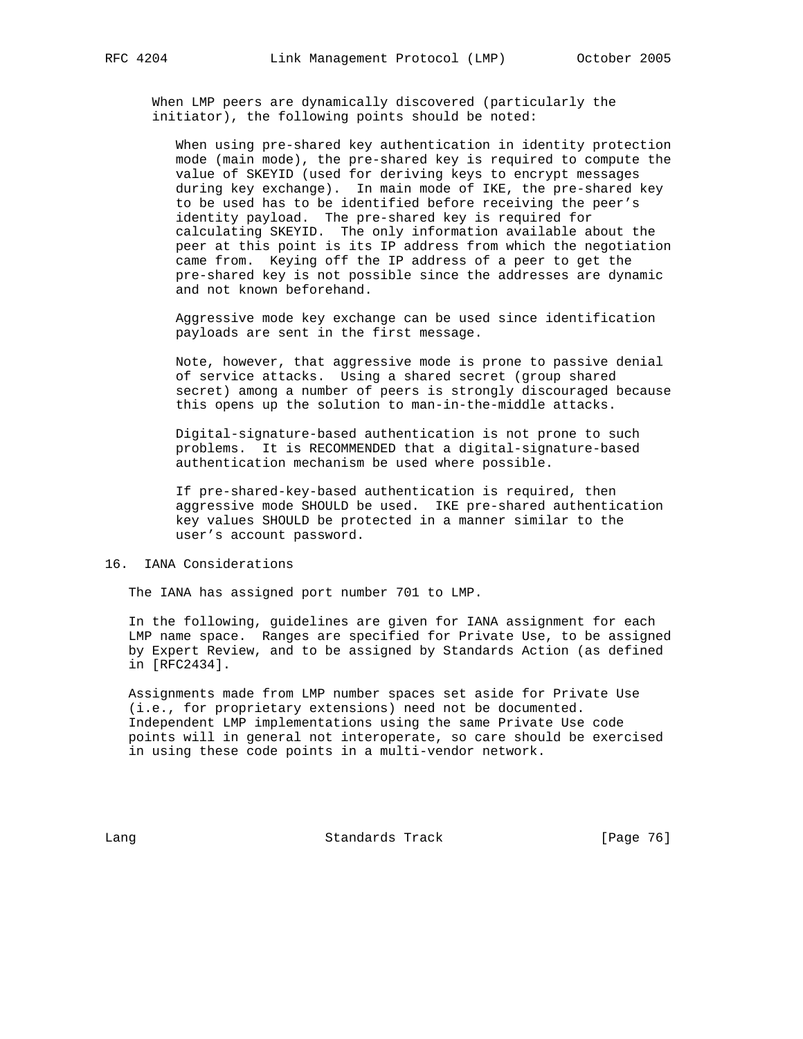When LMP peers are dynamically discovered (particularly the initiator), the following points should be noted:

 When using pre-shared key authentication in identity protection mode (main mode), the pre-shared key is required to compute the value of SKEYID (used for deriving keys to encrypt messages during key exchange). In main mode of IKE, the pre-shared key to be used has to be identified before receiving the peer's identity payload. The pre-shared key is required for calculating SKEYID. The only information available about the peer at this point is its IP address from which the negotiation came from. Keying off the IP address of a peer to get the pre-shared key is not possible since the addresses are dynamic and not known beforehand.

 Aggressive mode key exchange can be used since identification payloads are sent in the first message.

 Note, however, that aggressive mode is prone to passive denial of service attacks. Using a shared secret (group shared secret) among a number of peers is strongly discouraged because this opens up the solution to man-in-the-middle attacks.

 Digital-signature-based authentication is not prone to such problems. It is RECOMMENDED that a digital-signature-based authentication mechanism be used where possible.

 If pre-shared-key-based authentication is required, then aggressive mode SHOULD be used. IKE pre-shared authentication key values SHOULD be protected in a manner similar to the user's account password.

## 16. IANA Considerations

The IANA has assigned port number 701 to LMP.

 In the following, guidelines are given for IANA assignment for each LMP name space. Ranges are specified for Private Use, to be assigned by Expert Review, and to be assigned by Standards Action (as defined in [RFC2434].

 Assignments made from LMP number spaces set aside for Private Use (i.e., for proprietary extensions) need not be documented. Independent LMP implementations using the same Private Use code points will in general not interoperate, so care should be exercised in using these code points in a multi-vendor network.

Lang Contract Standards Track [Page 76]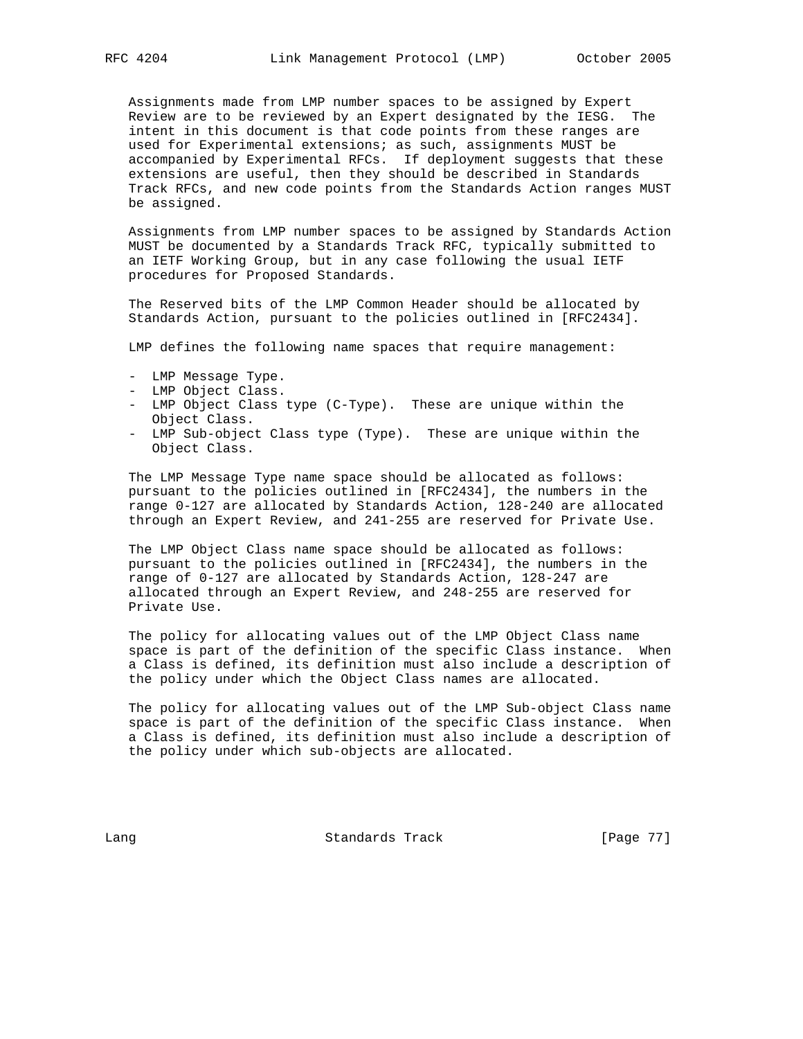Assignments made from LMP number spaces to be assigned by Expert Review are to be reviewed by an Expert designated by the IESG. The intent in this document is that code points from these ranges are used for Experimental extensions; as such, assignments MUST be accompanied by Experimental RFCs. If deployment suggests that these extensions are useful, then they should be described in Standards Track RFCs, and new code points from the Standards Action ranges MUST be assigned.

 Assignments from LMP number spaces to be assigned by Standards Action MUST be documented by a Standards Track RFC, typically submitted to an IETF Working Group, but in any case following the usual IETF procedures for Proposed Standards.

 The Reserved bits of the LMP Common Header should be allocated by Standards Action, pursuant to the policies outlined in [RFC2434].

LMP defines the following name spaces that require management:

- LMP Message Type.
- LMP Object Class.
- LMP Object Class type (C-Type). These are unique within the Object Class.
- LMP Sub-object Class type (Type). These are unique within the Object Class.

 The LMP Message Type name space should be allocated as follows: pursuant to the policies outlined in [RFC2434], the numbers in the range 0-127 are allocated by Standards Action, 128-240 are allocated through an Expert Review, and 241-255 are reserved for Private Use.

 The LMP Object Class name space should be allocated as follows: pursuant to the policies outlined in [RFC2434], the numbers in the range of 0-127 are allocated by Standards Action, 128-247 are allocated through an Expert Review, and 248-255 are reserved for Private Use.

 The policy for allocating values out of the LMP Object Class name space is part of the definition of the specific Class instance. When a Class is defined, its definition must also include a description of the policy under which the Object Class names are allocated.

 The policy for allocating values out of the LMP Sub-object Class name space is part of the definition of the specific Class instance. When a Class is defined, its definition must also include a description of the policy under which sub-objects are allocated.

Lang **Constanting Standards Track** [Page 77]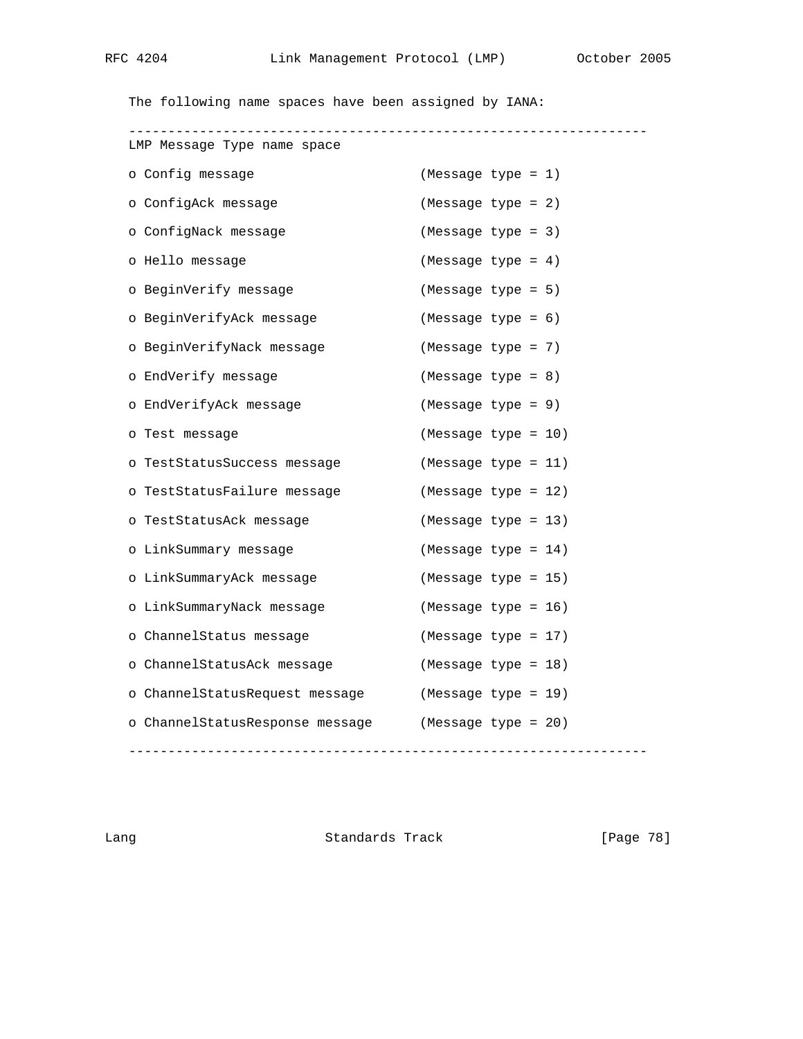The following name spaces have been assigned by IANA:

| LMP Message Type name space     |                       |
|---------------------------------|-----------------------|
| o Config message                | $(Message type = 1)$  |
| o ConfigAck message             | (Message type = 2)    |
| o ConfigNack message            | (Message type = 3)    |
| o Hello message                 | (Message type = $4$ ) |
| o BeginVerify message           | (Message type = 5)    |
| o BeginVerifyAck message        | $(Message type = 6)$  |
| o BeginVerifyNack message       | (Message type = 7)    |
| o EndVerify message             | (Message type = $8$ ) |
| o EndVerifyAck message          | (Message type = 9)    |
| o Test message                  | (Message type = 10)   |
| o TestStatusSuccess message     | (Message type = 11)   |
| o TestStatusFailure message     | (Message type = 12)   |
| o TestStatusAck message         | (Message type = 13)   |
| o LinkSummary message           | (Message type = 14)   |
| o LinkSummaryAck message        | (Message type = 15)   |
| o LinkSummaryNack message       | (Message type = 16)   |
| o ChannelStatus message         | (Message type = 17)   |
| o ChannelStatusAck message      | (Message type = 18)   |
| o ChannelStatusRequest message  | (Message type = 19)   |
| o ChannelStatusResponse message | (Message type = 20)   |
|                                 |                       |

Lang **Standards Track** [Page 78]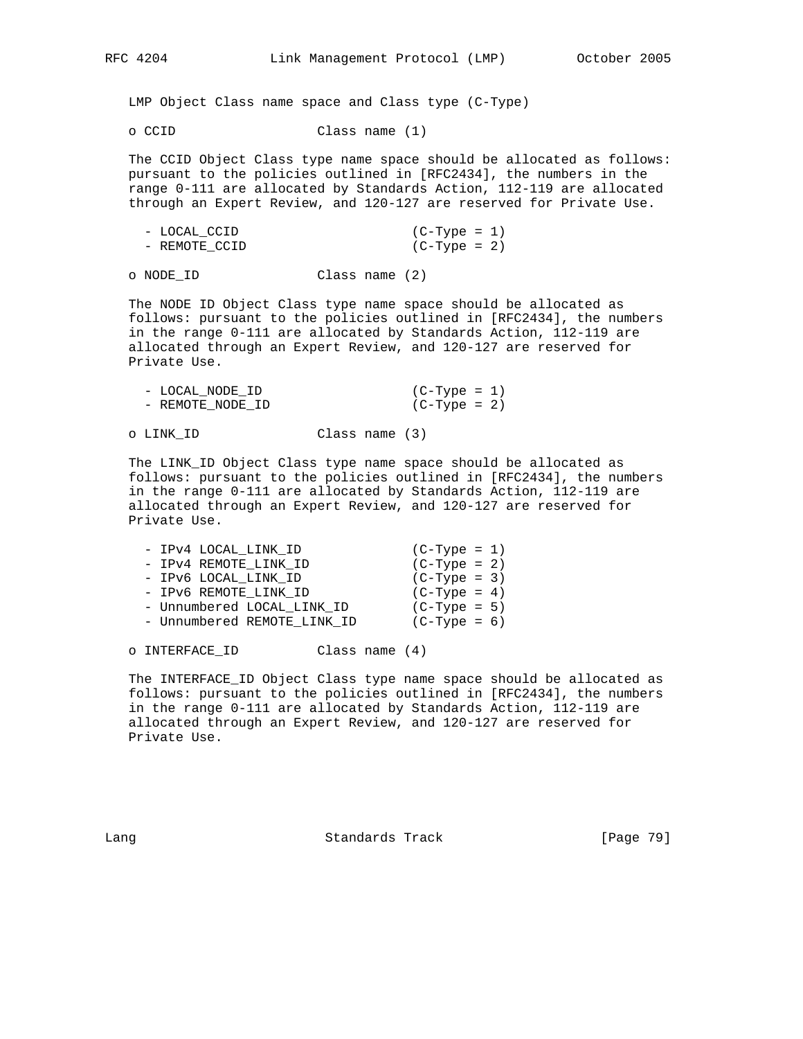LMP Object Class name space and Class type (C-Type)

o CCID Class name (1)

 The CCID Object Class type name space should be allocated as follows: pursuant to the policies outlined in [RFC2434], the numbers in the range 0-111 are allocated by Standards Action, 112-119 are allocated through an Expert Review, and 120-127 are reserved for Private Use.

| - LOCAL CCID  | (C-Type = 1)   |
|---------------|----------------|
| - REMOTE CCID | $(C-Type = 2)$ |

o NODE\_ID Class name (2)

 The NODE ID Object Class type name space should be allocated as follows: pursuant to the policies outlined in [RFC2434], the numbers in the range 0-111 are allocated by Standards Action, 112-119 are allocated through an Expert Review, and 120-127 are reserved for Private Use.

| - LOCAL NODE ID  | $(C-Type = 1)$ |
|------------------|----------------|
| - REMOTE NODE ID | $(C-Type = 2)$ |

o LINK\_ID Class name (3)

 The LINK\_ID Object Class type name space should be allocated as follows: pursuant to the policies outlined in [RFC2434], the numbers in the range 0-111 are allocated by Standards Action, 112-119 are allocated through an Expert Review, and 120-127 are reserved for Private Use.

| - IPv4 LOCAL LINK ID        | $(C-Type = 1)$ |  |
|-----------------------------|----------------|--|
| - IPv4 REMOTE LINK ID       | $(C-Type = 2)$ |  |
| - IPV6 LOCAL LINK ID        | $(C-Type = 3)$ |  |
| - IPV6 REMOTE LINK ID       | $(C-Type = 4)$ |  |
| - Unnumbered LOCAL LINK ID  | $(C-Type = 5)$ |  |
| - Unnumbered REMOTE LINK ID | $(C-Type = 6)$ |  |
|                             |                |  |

o INTERFACE\_ID Class name (4)

 The INTERFACE\_ID Object Class type name space should be allocated as follows: pursuant to the policies outlined in [RFC2434], the numbers in the range 0-111 are allocated by Standards Action, 112-119 are allocated through an Expert Review, and 120-127 are reserved for Private Use.

Lang Contract Standards Track [Page 79]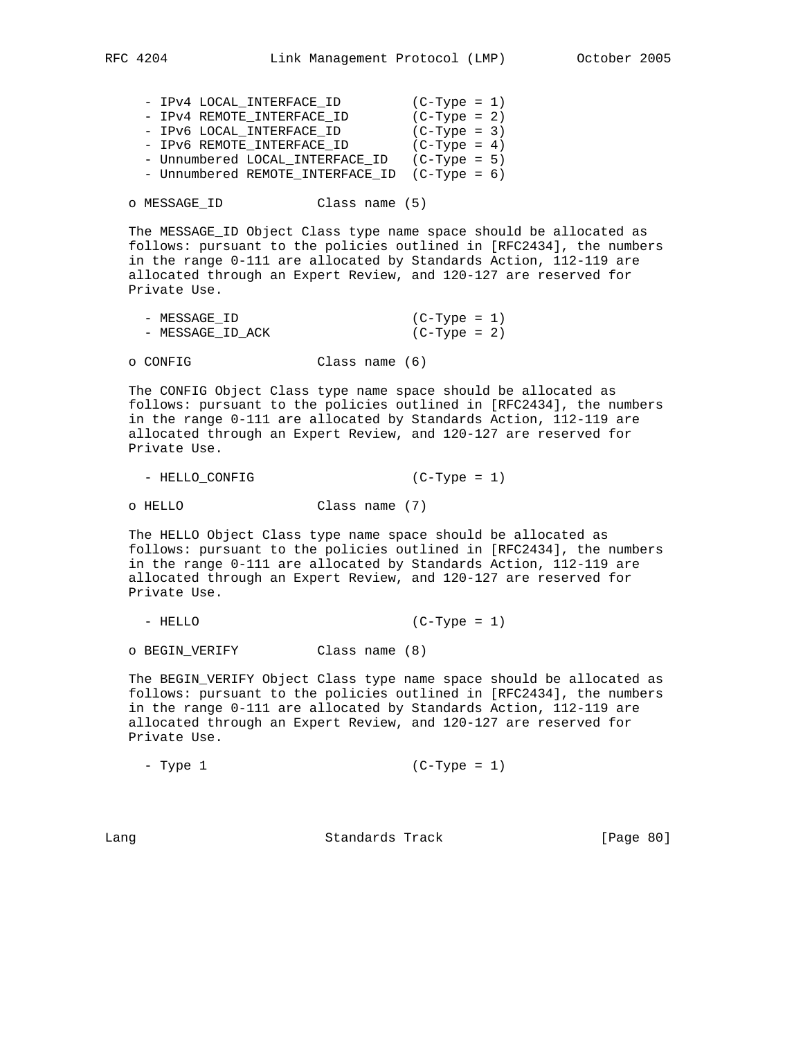| - IPV4 LOCAL INTERFACE ID        | $(C-Type = 1)$ |  |
|----------------------------------|----------------|--|
| - IPV4 REMOTE INTERFACE ID       | $(C-Type = 2)$ |  |
| - IPV6 LOCAL_INTERFACE_ID        | $(C-Type = 3)$ |  |
| - IPV6 REMOTE INTERFACE ID       | $(C-Type = 4)$ |  |
| - Unnumbered LOCAL INTERFACE ID  | $(C-Type = 5)$ |  |
| - Unnumbered REMOTE_INTERFACE_ID | $(C-Type = 6)$ |  |

o MESSAGE\_ID Class name (5)

 The MESSAGE\_ID Object Class type name space should be allocated as follows: pursuant to the policies outlined in [RFC2434], the numbers in the range 0-111 are allocated by Standards Action, 112-119 are allocated through an Expert Review, and 120-127 are reserved for Private Use.

| - MESSAGE ID     | $(C-Type = 1)$ |
|------------------|----------------|
| - MESSAGE ID ACK | $(C-Type = 2)$ |

o CONFIG Class name (6)

 The CONFIG Object Class type name space should be allocated as follows: pursuant to the policies outlined in [RFC2434], the numbers in the range 0-111 are allocated by Standards Action, 112-119 are allocated through an Expert Review, and 120-127 are reserved for Private Use.

- HELLO\_CONFIG (C-Type = 1)

o HELLO Class name (7)

 The HELLO Object Class type name space should be allocated as follows: pursuant to the policies outlined in [RFC2434], the numbers in the range 0-111 are allocated by Standards Action, 112-119 are allocated through an Expert Review, and 120-127 are reserved for Private Use.

- HELLO (C-Type = 1)

o BEGIN\_VERIFY Class name (8)

 The BEGIN\_VERIFY Object Class type name space should be allocated as follows: pursuant to the policies outlined in [RFC2434], the numbers in the range 0-111 are allocated by Standards Action, 112-119 are allocated through an Expert Review, and 120-127 are reserved for Private Use.

- Type 1 (C-Type = 1)

Lang **Standards Track** [Page 80]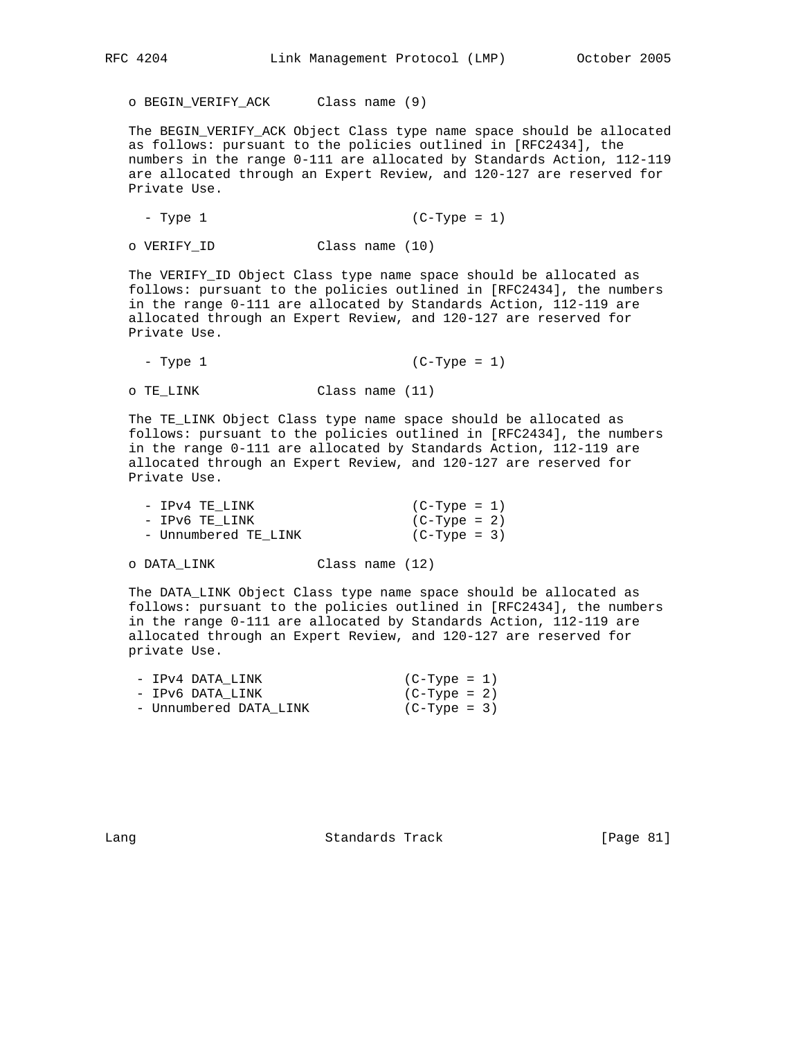o BEGIN\_VERIFY\_ACK Class name (9)

 The BEGIN\_VERIFY\_ACK Object Class type name space should be allocated as follows: pursuant to the policies outlined in [RFC2434], the numbers in the range 0-111 are allocated by Standards Action, 112-119 are allocated through an Expert Review, and 120-127 are reserved for Private Use.

- Type 1 (C-Type = 1)

o VERIFY\_ID Class name (10)

 The VERIFY\_ID Object Class type name space should be allocated as follows: pursuant to the policies outlined in [RFC2434], the numbers in the range 0-111 are allocated by Standards Action, 112-119 are allocated through an Expert Review, and 120-127 are reserved for Private Use.

- Type 1 (C-Type = 1)

o TE\_LINK Class name (11)

 The TE\_LINK Object Class type name space should be allocated as follows: pursuant to the policies outlined in [RFC2434], the numbers in the range 0-111 are allocated by Standards Action, 112-119 are allocated through an Expert Review, and 120-127 are reserved for Private Use.

| - IPv4 TE LINK       | (C-Type = 1)   |
|----------------------|----------------|
| - IPv6 TE LINK       | $(C-Type = 2)$ |
| - Unnumbered TE LINK | $(C-Type = 3)$ |

o DATA\_LINK Class name (12)

 The DATA\_LINK Object Class type name space should be allocated as follows: pursuant to the policies outlined in [RFC2434], the numbers in the range 0-111 are allocated by Standards Action, 112-119 are allocated through an Expert Review, and 120-127 are reserved for private Use.

| - IPv4 DATA LINK       | $(C-Type = 1)$ |
|------------------------|----------------|
| - IPv6 DATA LINK       | $(C-Type = 2)$ |
| - Unnumbered DATA LINK | $(C-Type = 3)$ |

Lang Contract Standards Track [Page 81]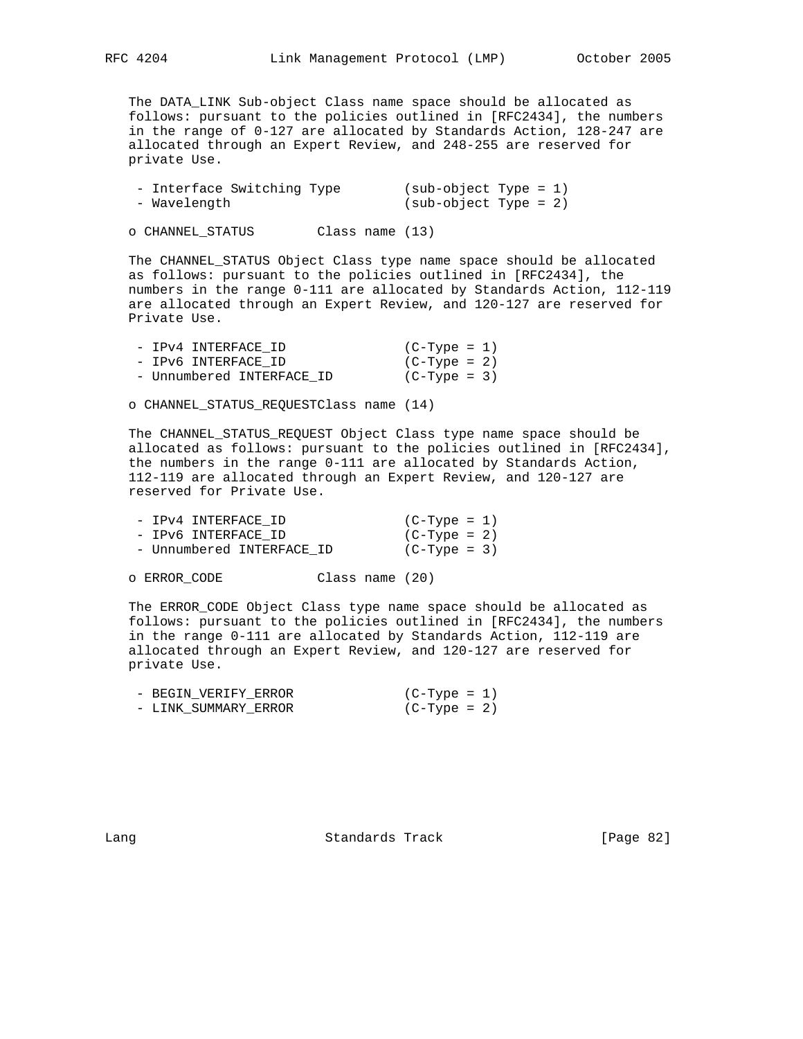The DATA\_LINK Sub-object Class name space should be allocated as follows: pursuant to the policies outlined in [RFC2434], the numbers in the range of 0-127 are allocated by Standards Action, 128-247 are allocated through an Expert Review, and 248-255 are reserved for private Use.

| - Interface Switching Type | $(sub-object Type = 1)$ |
|----------------------------|-------------------------|
| - Wavelength               | $(sub-object Type = 2)$ |

o CHANNEL\_STATUS Class name (13)

 The CHANNEL\_STATUS Object Class type name space should be allocated as follows: pursuant to the policies outlined in [RFC2434], the numbers in the range 0-111 are allocated by Standards Action, 112-119 are allocated through an Expert Review, and 120-127 are reserved for Private Use.

| - IPv4 INTERFACE ID       | (C-Type = 1)   |
|---------------------------|----------------|
| - IPv6 INTERFACE ID       | (C-Type = 2)   |
| - Unnumbered INTERFACE ID | $(C-Type = 3)$ |

o CHANNEL\_STATUS\_REQUESTClass name (14)

 The CHANNEL\_STATUS\_REQUEST Object Class type name space should be allocated as follows: pursuant to the policies outlined in [RFC2434], the numbers in the range 0-111 are allocated by Standards Action, 112-119 are allocated through an Expert Review, and 120-127 are reserved for Private Use.

| - IPv4 INTERFACE ID       | $(C-Type = 1)$ |  |
|---------------------------|----------------|--|
| - IPv6 INTERFACE ID       | $(C-Type = 2)$ |  |
| - Unnumbered INTERFACE ID | $(C-Type = 3)$ |  |

o ERROR\_CODE Class name (20)

 The ERROR\_CODE Object Class type name space should be allocated as follows: pursuant to the policies outlined in [RFC2434], the numbers in the range 0-111 are allocated by Standards Action, 112-119 are allocated through an Expert Review, and 120-127 are reserved for private Use.

| - BEGIN VERIFY ERROR | $(C-Type = 1)$ |
|----------------------|----------------|
| - LINK SUMMARY ERROR | $(C-Type = 2)$ |

Lang Contract Standards Track [Page 82]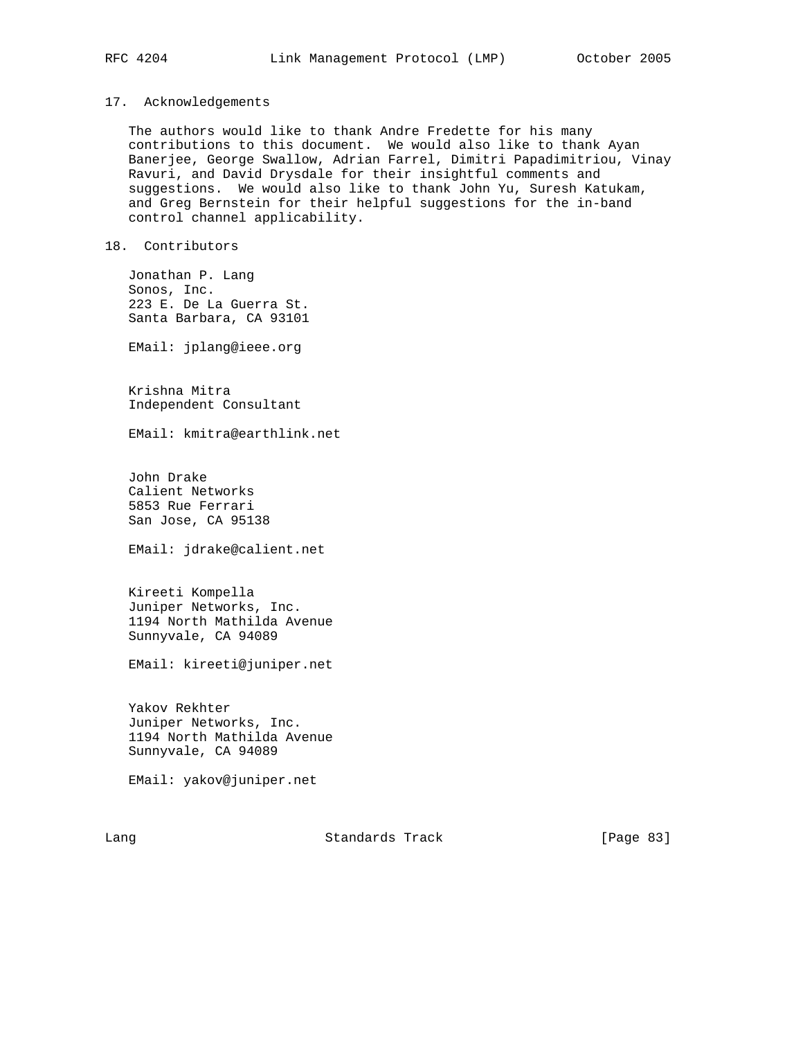## 17. Acknowledgements

 The authors would like to thank Andre Fredette for his many contributions to this document. We would also like to thank Ayan Banerjee, George Swallow, Adrian Farrel, Dimitri Papadimitriou, Vinay Ravuri, and David Drysdale for their insightful comments and suggestions. We would also like to thank John Yu, Suresh Katukam, and Greg Bernstein for their helpful suggestions for the in-band control channel applicability.

# 18. Contributors

 Jonathan P. Lang Sonos, Inc. 223 E. De La Guerra St. Santa Barbara, CA 93101

EMail: jplang@ieee.org

 Krishna Mitra Independent Consultant

EMail: kmitra@earthlink.net

 John Drake Calient Networks 5853 Rue Ferrari San Jose, CA 95138

EMail: jdrake@calient.net

 Kireeti Kompella Juniper Networks, Inc. 1194 North Mathilda Avenue Sunnyvale, CA 94089

EMail: kireeti@juniper.net

 Yakov Rekhter Juniper Networks, Inc. 1194 North Mathilda Avenue Sunnyvale, CA 94089

EMail: yakov@juniper.net

Lang **Standards Track** [Page 83]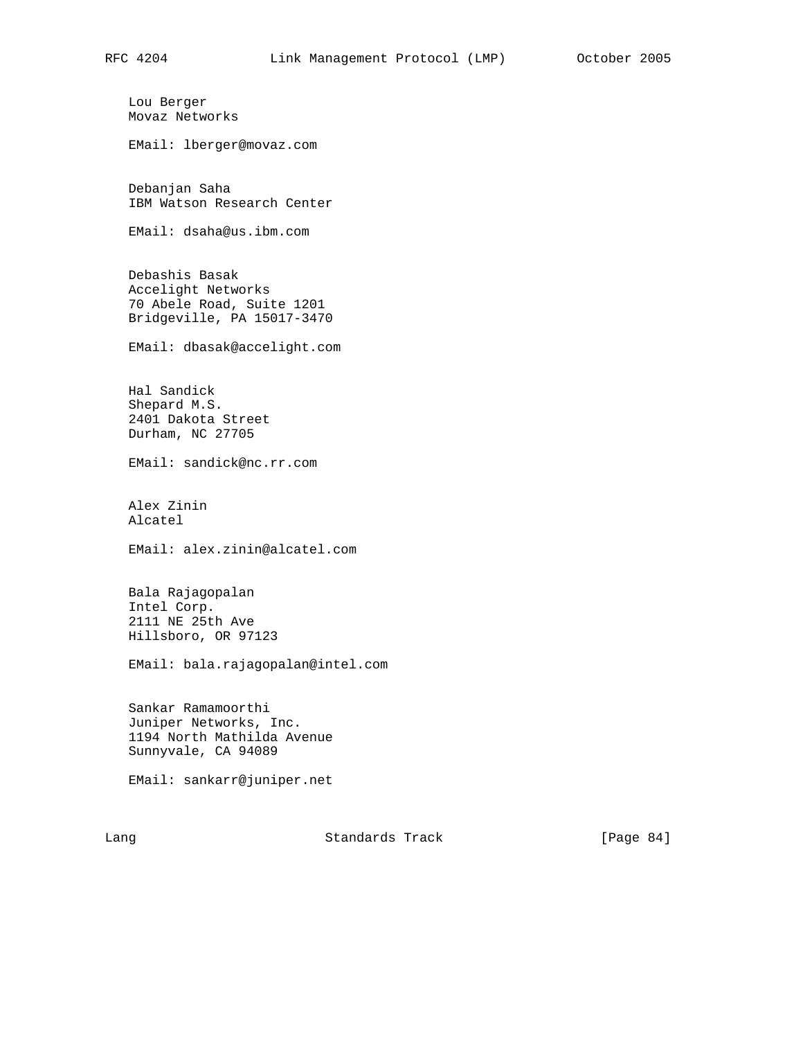Lou Berger Movaz Networks EMail: lberger@movaz.com Debanjan Saha IBM Watson Research Center EMail: dsaha@us.ibm.com Debashis Basak Accelight Networks 70 Abele Road, Suite 1201 Bridgeville, PA 15017-3470 EMail: dbasak@accelight.com Hal Sandick Shepard M.S. 2401 Dakota Street Durham, NC 27705 EMail: sandick@nc.rr.com Alex Zinin Alcatel EMail: alex.zinin@alcatel.com Bala Rajagopalan Intel Corp. 2111 NE 25th Ave Hillsboro, OR 97123 EMail: bala.rajagopalan@intel.com Sankar Ramamoorthi Juniper Networks, Inc. 1194 North Mathilda Avenue Sunnyvale, CA 94089 EMail: sankarr@juniper.net

Lang **Standards Track** [Page 84]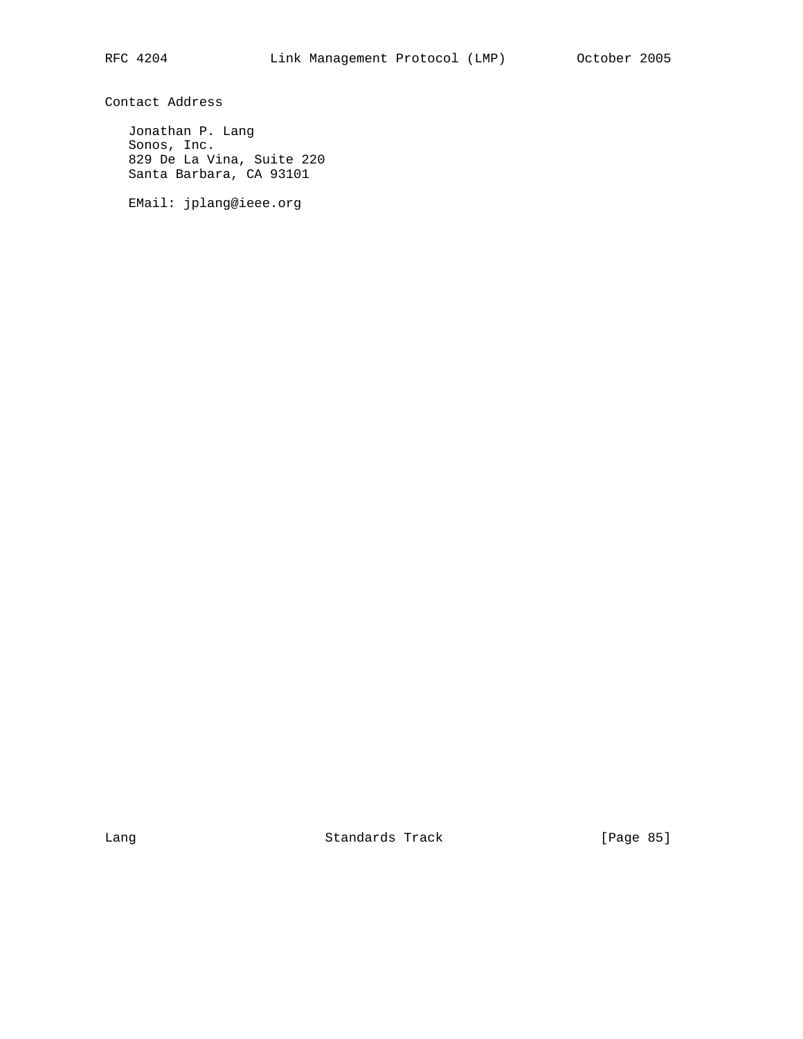Contact Address

 Jonathan P. Lang Sonos, Inc. 829 De La Vina, Suite 220 Santa Barbara, CA 93101

EMail: jplang@ieee.org

Lang Contract Contract Standards Track Contract (Page 85)